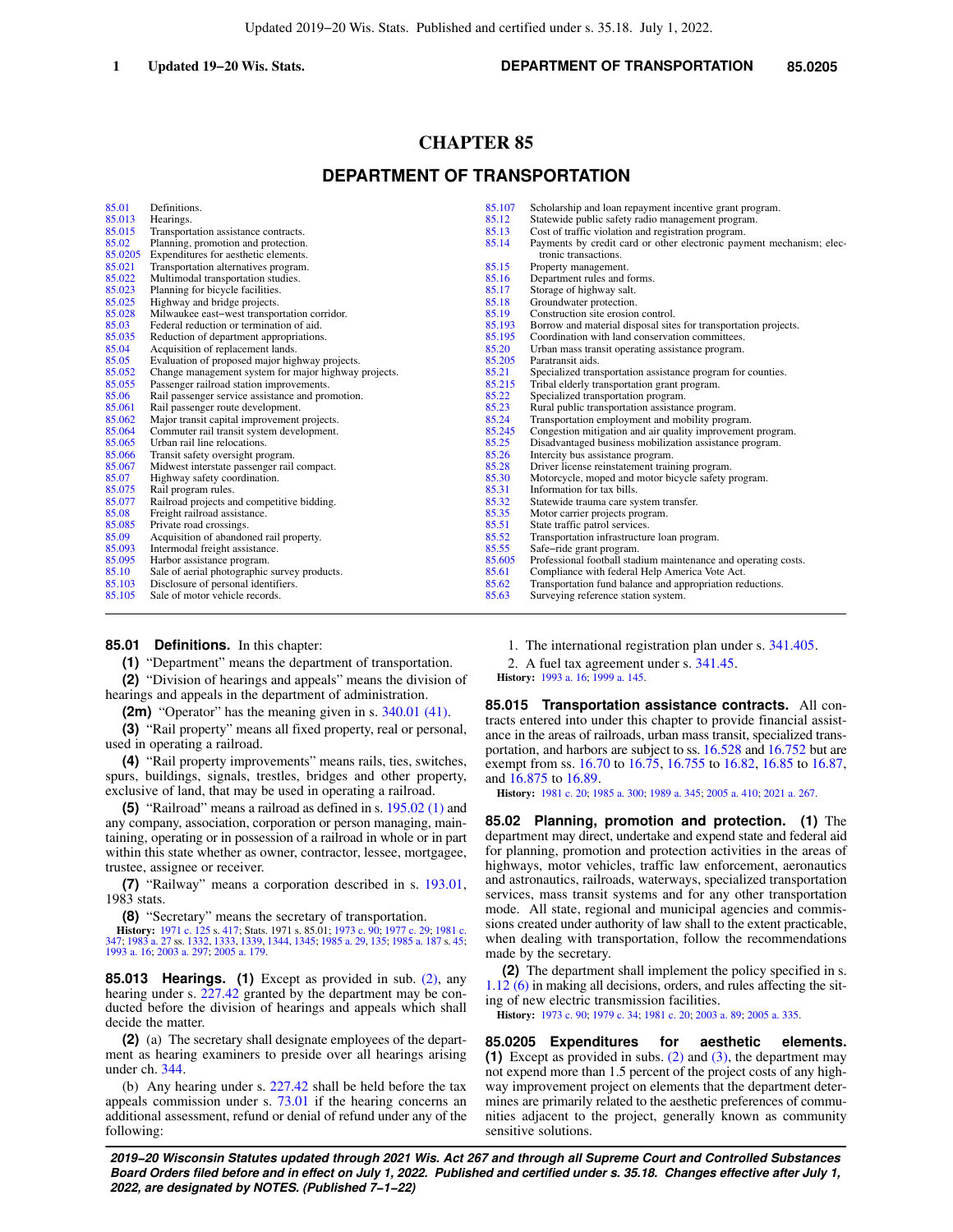### **1 Updated 19−20 Wis. Stats. DEPARTMENT OF TRANSPORTATION 85.0205**

# **CHAPTER 85**

# **DEPARTMENT OF TRANSPORTATION**

| 85.01   | Definitions.                                         | 85.107 | Scholarship and loan repayment incentive grant program.              |
|---------|------------------------------------------------------|--------|----------------------------------------------------------------------|
| 85.013  | Hearings.                                            | 85.12  | Statewide public safety radio management program.                    |
| 85.015  | Transportation assistance contracts.                 | 85.13  | Cost of traffic violation and registration program.                  |
| 85.02   | Planning, promotion and protection.                  | 85.14  | Payments by credit card or other electronic payment mechanism; elec- |
| 85.0205 | Expenditures for aesthetic elements.                 |        | tronic transactions.                                                 |
| 85.021  | Transportation alternatives program.                 | 85.15  | Property management.                                                 |
| 85.022  | Multimodal transportation studies.                   | 85.16  | Department rules and forms.                                          |
| 85.023  | Planning for bicycle facilities.                     | 85.17  | Storage of highway salt.                                             |
| 85.025  | Highway and bridge projects.                         | 85.18  | Groundwater protection.                                              |
| 85.028  | Milwaukee east-west transportation corridor.         | 85.19  | Construction site erosion control.                                   |
| 85.03   | Federal reduction or termination of aid.             | 85.193 | Borrow and material disposal sites for transportation projects.      |
| 85.035  | Reduction of department appropriations.              | 85.195 | Coordination with land conservation committees.                      |
| 85.04   | Acquisition of replacement lands.                    | 85.20  | Urban mass transit operating assistance program.                     |
| 85.05   | Evaluation of proposed major highway projects.       | 85.205 | Paratransit aids.                                                    |
| 85.052  | Change management system for major highway projects. | 85.21  | Specialized transportation assistance program for counties.          |
| 85.055  | Passenger railroad station improvements.             | 85.215 | Tribal elderly transportation grant program.                         |
| 85.06   | Rail passenger service assistance and promotion.     | 85.22  | Specialized transportation program.                                  |
| 85.061  | Rail passenger route development.                    | 85.23  | Rural public transportation assistance program.                      |
| 85.062  | Major transit capital improvement projects.          | 85.24  | Transportation employment and mobility program.                      |
| 85.064  | Commuter rail transit system development.            | 85.245 | Congestion mitigation and air quality improvement program.           |
| 85.065  | Urban rail line relocations.                         | 85.25  | Disadvantaged business mobilization assistance program.              |
| 85.066  | Transit safety oversight program.                    | 85.26  | Intercity bus assistance program.                                    |
| 85.067  | Midwest interstate passenger rail compact.           | 85.28  | Driver license reinstatement training program.                       |
| 85.07   | Highway safety coordination.                         | 85.30  | Motorcycle, moped and motor bicycle safety program.                  |
| 85.075  | Rail program rules.                                  | 85.31  | Information for tax bills.                                           |
| 85.077  | Railroad projects and competitive bidding.           | 85.32  | Statewide trauma care system transfer.                               |
| 85.08   | Freight railroad assistance.                         | 85.35  | Motor carrier projects program.                                      |
| 85.085  | Private road crossings.                              | 85.51  | State traffic patrol services.                                       |
| 85.09   | Acquisition of abandoned rail property.              | 85.52  | Transportation infrastructure loan program.                          |
| 85.093  | Intermodal freight assistance.                       | 85.55  | Safe-ride grant program.                                             |
| 85.095  | Harbor assistance program.                           | 85.605 | Professional football stadium maintenance and operating costs.       |
| 85.10   | Sale of aerial photographic survey products.         | 85.61  | Compliance with federal Help America Vote Act.                       |
| 85.103  | Disclosure of personal identifiers.                  | 85.62  | Transportation fund balance and appropriation reductions.            |
| 85.105  | Sale of motor vehicle records.                       | 85.63  | Surveying reference station system.                                  |

#### **85.01 Definitions.** In this chapter:

**(1)** "Department" means the department of transportation.

**(2)** "Division of hearings and appeals" means the division of hearings and appeals in the department of administration.

**(2m)** "Operator" has the meaning given in s. [340.01 \(41\).](https://docs.legis.wisconsin.gov/document/statutes/340.01(41))

**(3)** "Rail property" means all fixed property, real or personal, used in operating a railroad.

**(4)** "Rail property improvements" means rails, ties, switches, spurs, buildings, signals, trestles, bridges and other property, exclusive of land, that may be used in operating a railroad.

**(5)** "Railroad" means a railroad as defined in s. [195.02 \(1\)](https://docs.legis.wisconsin.gov/document/statutes/195.02(1)) and any company, association, corporation or person managing, maintaining, operating or in possession of a railroad in whole or in part within this state whether as owner, contractor, lessee, mortgagee, trustee, assignee or receiver.

**(7)** "Railway" means a corporation described in s. [193.01,](https://docs.legis.wisconsin.gov/document/statutes/1983/193.01) 1983 stats.

**(8)** "Secretary" means the secretary of transportation.

**History:** [1971 c. 125](https://docs.legis.wisconsin.gov/document/acts/1971/125) s. [417;](https://docs.legis.wisconsin.gov/document/acts/1971/125,%20s.%20417) Stats. 1971 s. 85.01; [1973 c. 90;](https://docs.legis.wisconsin.gov/document/acts/1973/90) [1977 c. 29](https://docs.legis.wisconsin.gov/document/acts/1977/29); [1981 c.](https://docs.legis.wisconsin.gov/document/acts/1981/347) [347](https://docs.legis.wisconsin.gov/document/acts/1981/347); [1983 a. 27](https://docs.legis.wisconsin.gov/document/acts/1983/27) ss. [1332](https://docs.legis.wisconsin.gov/document/acts/1983/27,%20s.%201332), [1333](https://docs.legis.wisconsin.gov/document/acts/1983/27,%20s.%201333), [1339,](https://docs.legis.wisconsin.gov/document/acts/1983/27,%20s.%201339) [1344,](https://docs.legis.wisconsin.gov/document/acts/1983/27,%20s.%201344) [1345;](https://docs.legis.wisconsin.gov/document/acts/1983/27,%20s.%201345) [1985 a. 29,](https://docs.legis.wisconsin.gov/document/acts/1985/29) [135;](https://docs.legis.wisconsin.gov/document/acts/1985/135) [1985 a. 187](https://docs.legis.wisconsin.gov/document/acts/1985/187) s. [45](https://docs.legis.wisconsin.gov/document/acts/1985/187,%20s.%2045); [1993 a. 16](https://docs.legis.wisconsin.gov/document/acts/1993/16); [2003 a. 297;](https://docs.legis.wisconsin.gov/document/acts/2003/297) [2005 a. 179.](https://docs.legis.wisconsin.gov/document/acts/2005/179)

**85.013 Hearings. (1)** Except as provided in sub. [\(2\)](https://docs.legis.wisconsin.gov/document/statutes/85.013(2)), any hearing under s. [227.42](https://docs.legis.wisconsin.gov/document/statutes/227.42) granted by the department may be conducted before the division of hearings and appeals which shall decide the matter.

**(2)** (a) The secretary shall designate employees of the department as hearing examiners to preside over all hearings arising under ch. [344](https://docs.legis.wisconsin.gov/document/statutes/ch.%20344).

(b) Any hearing under s. [227.42](https://docs.legis.wisconsin.gov/document/statutes/227.42) shall be held before the tax appeals commission under s. [73.01](https://docs.legis.wisconsin.gov/document/statutes/73.01) if the hearing concerns an additional assessment, refund or denial of refund under any of the following:

1. The international registration plan under s. [341.405.](https://docs.legis.wisconsin.gov/document/statutes/341.405)

2. A fuel tax agreement under s. [341.45](https://docs.legis.wisconsin.gov/document/statutes/341.45).

**History:** [1993 a. 16](https://docs.legis.wisconsin.gov/document/acts/1993/16); [1999 a. 145.](https://docs.legis.wisconsin.gov/document/acts/1999/145)

**85.015 Transportation assistance contracts.** All contracts entered into under this chapter to provide financial assistance in the areas of railroads, urban mass transit, specialized transportation, and harbors are subject to ss. [16.528](https://docs.legis.wisconsin.gov/document/statutes/16.528) and [16.752](https://docs.legis.wisconsin.gov/document/statutes/16.752) but are exempt from ss. [16.70](https://docs.legis.wisconsin.gov/document/statutes/16.70) to [16.75](https://docs.legis.wisconsin.gov/document/statutes/16.75), [16.755](https://docs.legis.wisconsin.gov/document/statutes/16.755) to [16.82](https://docs.legis.wisconsin.gov/document/statutes/16.82), [16.85](https://docs.legis.wisconsin.gov/document/statutes/16.85) to [16.87,](https://docs.legis.wisconsin.gov/document/statutes/16.87) and [16.875](https://docs.legis.wisconsin.gov/document/statutes/16.875) to [16.89](https://docs.legis.wisconsin.gov/document/statutes/16.89).

**History:** [1981 c. 20](https://docs.legis.wisconsin.gov/document/acts/1981/20); [1985 a. 300;](https://docs.legis.wisconsin.gov/document/acts/1985/300) [1989 a. 345](https://docs.legis.wisconsin.gov/document/acts/1989/345); [2005 a. 410](https://docs.legis.wisconsin.gov/document/acts/2005/410); [2021 a. 267.](https://docs.legis.wisconsin.gov/document/acts/2021/267)

**85.02 Planning, promotion and protection. (1)** The department may direct, undertake and expend state and federal aid for planning, promotion and protection activities in the areas of highways, motor vehicles, traffic law enforcement, aeronautics and astronautics, railroads, waterways, specialized transportation services, mass transit systems and for any other transportation mode. All state, regional and municipal agencies and commissions created under authority of law shall to the extent practicable, when dealing with transportation, follow the recommendations made by the secretary.

**(2)** The department shall implement the policy specified in s. [1.12 \(6\)](https://docs.legis.wisconsin.gov/document/statutes/1.12(6)) in making all decisions, orders, and rules affecting the siting of new electric transmission facilities.

**History:** [1973 c. 90](https://docs.legis.wisconsin.gov/document/acts/1973/90); [1979 c. 34](https://docs.legis.wisconsin.gov/document/acts/1979/34); [1981 c. 20](https://docs.legis.wisconsin.gov/document/acts/1981/20); [2003 a. 89;](https://docs.legis.wisconsin.gov/document/acts/2003/89) [2005 a. 335](https://docs.legis.wisconsin.gov/document/acts/2005/335).

**85.0205 Expenditures for aesthetic elements. (1)** Except as provided in subs. [\(2\)](https://docs.legis.wisconsin.gov/document/statutes/85.0205(2)) and [\(3\),](https://docs.legis.wisconsin.gov/document/statutes/85.0205(3)) the department may not expend more than 1.5 percent of the project costs of any highway improvement project on elements that the department determines are primarily related to the aesthetic preferences of communities adjacent to the project, generally known as community sensitive solutions.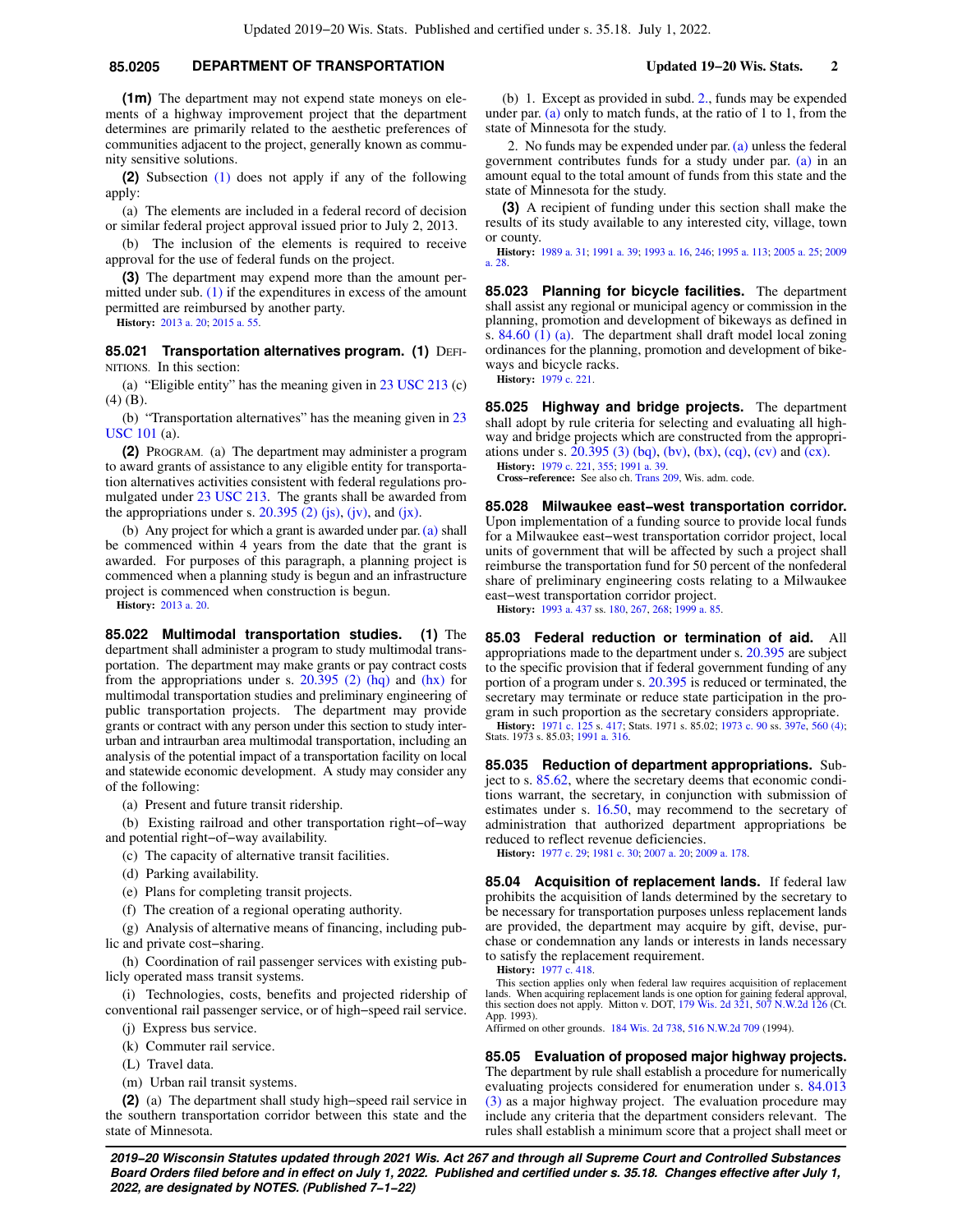### **85.0205 DEPARTMENT OF TRANSPORTATION Updated 19−20 Wis. Stats. 2**

**(1m)** The department may not expend state moneys on elements of a highway improvement project that the department determines are primarily related to the aesthetic preferences of communities adjacent to the project, generally known as community sensitive solutions.

**(2)** Subsection [\(1\)](https://docs.legis.wisconsin.gov/document/statutes/85.0205(1)) does not apply if any of the following apply:

(a) The elements are included in a federal record of decision or similar federal project approval issued prior to July 2, 2013.

(b) The inclusion of the elements is required to receive approval for the use of federal funds on the project.

**(3)** The department may expend more than the amount permitted under sub. [\(1\)](https://docs.legis.wisconsin.gov/document/statutes/85.0205(1)) if the expenditures in excess of the amount permitted are reimbursed by another party.

**History:** [2013 a. 20;](https://docs.legis.wisconsin.gov/document/acts/2013/20) [2015 a. 55.](https://docs.legis.wisconsin.gov/document/acts/2015/55)

**85.021 Transportation alternatives program. (1) DEFI-**NITIONS. In this section:

(a) "Eligible entity" has the meaning given in  $23 \text{ USC } 213$  (c) (4) (B).

(b) "Transportation alternatives" has the meaning given in [23](https://docs.legis.wisconsin.gov/document/usc/23%20USC%20101) [USC 101](https://docs.legis.wisconsin.gov/document/usc/23%20USC%20101) (a).

**(2)** PROGRAM. (a) The department may administer a program to award grants of assistance to any eligible entity for transportation alternatives activities consistent with federal regulations promulgated under [23 USC 213.](https://docs.legis.wisconsin.gov/document/usc/23%20USC%20213) The grants shall be awarded from the appropriations under s.  $20.395$  (2) (js), [\(jv\)](https://docs.legis.wisconsin.gov/document/statutes/20.395(2)(jv)), and [\(jx\)](https://docs.legis.wisconsin.gov/document/statutes/20.395(2)(jx)).

(b) Any project for which a grant is awarded under par. [\(a\)](https://docs.legis.wisconsin.gov/document/statutes/85.021(2)(a)) shall be commenced within 4 years from the date that the grant is awarded. For purposes of this paragraph, a planning project is commenced when a planning study is begun and an infrastructure project is commenced when construction is begun.

**History:** [2013 a. 20.](https://docs.legis.wisconsin.gov/document/acts/2013/20)

**85.022 Multimodal transportation studies. (1)** The department shall administer a program to study multimodal transportation. The department may make grants or pay contract costs from the appropriations under s.  $20.395$  (2) (hq) and [\(hx\)](https://docs.legis.wisconsin.gov/document/statutes/20.395(2)(hx)) for multimodal transportation studies and preliminary engineering of public transportation projects. The department may provide grants or contract with any person under this section to study interurban and intraurban area multimodal transportation, including an analysis of the potential impact of a transportation facility on local and statewide economic development. A study may consider any of the following:

(a) Present and future transit ridership.

(b) Existing railroad and other transportation right−of−way and potential right−of−way availability.

- (c) The capacity of alternative transit facilities.
- (d) Parking availability.
- (e) Plans for completing transit projects.

(f) The creation of a regional operating authority.

(g) Analysis of alternative means of financing, including public and private cost−sharing.

(h) Coordination of rail passenger services with existing publicly operated mass transit systems.

(i) Technologies, costs, benefits and projected ridership of conventional rail passenger service, or of high−speed rail service.

(j) Express bus service.

(k) Commuter rail service.

- (L) Travel data.
- (m) Urban rail transit systems.

**(2)** (a) The department shall study high−speed rail service in the southern transportation corridor between this state and the state of Minnesota.

(b) 1. Except as provided in subd. [2.](https://docs.legis.wisconsin.gov/document/statutes/85.022(2)(b)2.), funds may be expended under par. [\(a\)](https://docs.legis.wisconsin.gov/document/statutes/85.022(2)(a)) only to match funds, at the ratio of 1 to 1, from the state of Minnesota for the study.

2. No funds may be expended under par.  $(a)$  unless the federal government contributes funds for a study under par. [\(a\)](https://docs.legis.wisconsin.gov/document/statutes/85.022(2)(a)) in an amount equal to the total amount of funds from this state and the state of Minnesota for the study.

**(3)** A recipient of funding under this section shall make the results of its study available to any interested city, village, town or county.

**History:** [1989 a. 31;](https://docs.legis.wisconsin.gov/document/acts/1989/31) [1991 a. 39](https://docs.legis.wisconsin.gov/document/acts/1991/39); [1993 a. 16](https://docs.legis.wisconsin.gov/document/acts/1993/16), [246](https://docs.legis.wisconsin.gov/document/acts/1993/246); [1995 a. 113](https://docs.legis.wisconsin.gov/document/acts/1995/113); [2005 a. 25;](https://docs.legis.wisconsin.gov/document/acts/2005/25) [2009](https://docs.legis.wisconsin.gov/document/acts/2009/28) [a. 28.](https://docs.legis.wisconsin.gov/document/acts/2009/28)

**85.023 Planning for bicycle facilities.** The department shall assist any regional or municipal agency or commission in the planning, promotion and development of bikeways as defined in s. [84.60 \(1\) \(a\).](https://docs.legis.wisconsin.gov/document/statutes/84.60(1)(a)) The department shall draft model local zoning ordinances for the planning, promotion and development of bikeways and bicycle racks.

**History:** [1979 c. 221.](https://docs.legis.wisconsin.gov/document/acts/1979/221)

**85.025 Highway and bridge projects.** The department shall adopt by rule criteria for selecting and evaluating all highway and bridge projects which are constructed from the appropriations under s. [20.395 \(3\) \(bq\),](https://docs.legis.wisconsin.gov/document/statutes/20.395(3)(bq)) [\(bv\),](https://docs.legis.wisconsin.gov/document/statutes/20.395(3)(bv)) [\(bx\)](https://docs.legis.wisconsin.gov/document/statutes/20.395(3)(bx)), [\(cq\)](https://docs.legis.wisconsin.gov/document/statutes/20.395(3)(cq)), [\(cv\)](https://docs.legis.wisconsin.gov/document/statutes/20.395(3)(cv)) and [\(cx\).](https://docs.legis.wisconsin.gov/document/statutes/20.395(3)(cx))

**History:** [1979 c. 221,](https://docs.legis.wisconsin.gov/document/acts/1979/221) [355;](https://docs.legis.wisconsin.gov/document/acts/1979/355) [1991 a. 39.](https://docs.legis.wisconsin.gov/document/acts/1991/39) **Cross−reference:** See also ch. [Trans 209](https://docs.legis.wisconsin.gov/document/administrativecode/ch.%20Trans%20209), Wis. adm. code.

**85.028 Milwaukee east−west transportation corridor.** Upon implementation of a funding source to provide local funds for a Milwaukee east−west transportation corridor project, local units of government that will be affected by such a project shall reimburse the transportation fund for 50 percent of the nonfederal share of preliminary engineering costs relating to a Milwaukee east−west transportation corridor project.

**History:** [1993 a. 437](https://docs.legis.wisconsin.gov/document/acts/1993/437) ss. [180,](https://docs.legis.wisconsin.gov/document/acts/1993/437,%20s.%20180) [267,](https://docs.legis.wisconsin.gov/document/acts/1993/437,%20s.%20267) [268;](https://docs.legis.wisconsin.gov/document/acts/1993/437,%20s.%20268) [1999 a. 85](https://docs.legis.wisconsin.gov/document/acts/1999/85).

**85.03 Federal reduction or termination of aid.** All appropriations made to the department under s. [20.395](https://docs.legis.wisconsin.gov/document/statutes/20.395) are subject to the specific provision that if federal government funding of any portion of a program under s. [20.395](https://docs.legis.wisconsin.gov/document/statutes/20.395) is reduced or terminated, the secretary may terminate or reduce state participation in the program in such proportion as the secretary considers appropriate.

**History:** [1971 c. 125](https://docs.legis.wisconsin.gov/document/acts/1971/125) s. [417](https://docs.legis.wisconsin.gov/document/acts/1971/125,%20s.%20417); Stats. 1971 s. 85.02; [1973 c. 90](https://docs.legis.wisconsin.gov/document/acts/1973/90) ss. [397e,](https://docs.legis.wisconsin.gov/document/acts/1973/90,%20s.%20397e) [560 \(4\)](https://docs.legis.wisconsin.gov/document/acts/1973/90,%20s.%20560); Stats. 1973 s. 85.03; [1991 a. 316.](https://docs.legis.wisconsin.gov/document/acts/1991/316)

**85.035 Reduction of department appropriations.** Subject to s. [85.62](https://docs.legis.wisconsin.gov/document/statutes/85.62), where the secretary deems that economic conditions warrant, the secretary, in conjunction with submission of estimates under s. [16.50](https://docs.legis.wisconsin.gov/document/statutes/16.50), may recommend to the secretary of administration that authorized department appropriations be reduced to reflect revenue deficiencies.

**History:** [1977 c. 29](https://docs.legis.wisconsin.gov/document/acts/1977/29); [1981 c. 30](https://docs.legis.wisconsin.gov/document/acts/1981/30); [2007 a. 20](https://docs.legis.wisconsin.gov/document/acts/2007/20); [2009 a. 178](https://docs.legis.wisconsin.gov/document/acts/2009/178).

**85.04 Acquisition of replacement lands.** If federal law prohibits the acquisition of lands determined by the secretary to be necessary for transportation purposes unless replacement lands are provided, the department may acquire by gift, devise, purchase or condemnation any lands or interests in lands necessary to satisfy the replacement requirement.

**History:** [1977 c. 418.](https://docs.legis.wisconsin.gov/document/acts/1977/418)

This section applies only when federal law requires acquisition of replacement lands. When acquiring replacement lands is one option for gaining federal approval, this section does not apply. Mitton v. DOT, [179 Wis. 2d 321](https://docs.legis.wisconsin.gov/document/courts/179%20Wis.%202d%20321), [507 N.W.2d 126](https://docs.legis.wisconsin.gov/document/courts/507%20N.W.2d%20126) (Ct. App. 1993).

Affirmed on other grounds. [184 Wis. 2d 738,](https://docs.legis.wisconsin.gov/document/courts/184%20Wis.%202d%20738) [516 N.W.2d 709](https://docs.legis.wisconsin.gov/document/courts/516%20N.W.2d%20709) (1994).

**85.05 Evaluation of proposed major highway projects.** The department by rule shall establish a procedure for numerically evaluating projects considered for enumeration under s. [84.013](https://docs.legis.wisconsin.gov/document/statutes/84.013(3)) [\(3\)](https://docs.legis.wisconsin.gov/document/statutes/84.013(3)) as a major highway project. The evaluation procedure may include any criteria that the department considers relevant. The rules shall establish a minimum score that a project shall meet or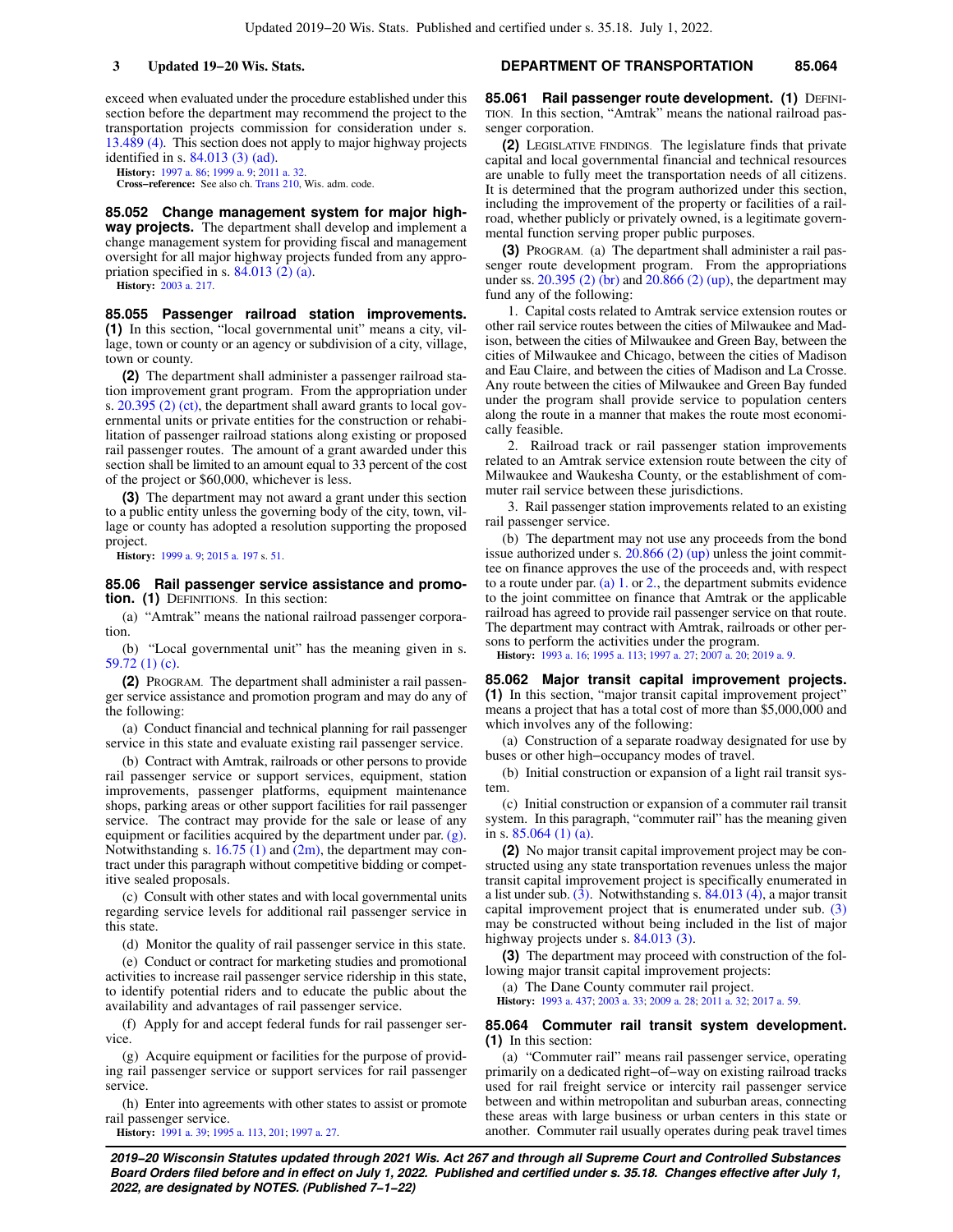exceed when evaluated under the procedure established under this section before the department may recommend the project to the transportation projects commission for consideration under s. [13.489 \(4\).](https://docs.legis.wisconsin.gov/document/statutes/13.489(4)) This section does not apply to major highway projects identified in s. [84.013 \(3\) \(ad\).](https://docs.legis.wisconsin.gov/document/statutes/84.013(3)(ad))

**History:** [1997 a. 86;](https://docs.legis.wisconsin.gov/document/acts/1997/86) [1999 a. 9](https://docs.legis.wisconsin.gov/document/acts/1999/9); [2011 a. 32](https://docs.legis.wisconsin.gov/document/acts/2011/32).

**Cross−reference:** See also ch. [Trans 210](https://docs.legis.wisconsin.gov/document/administrativecode/ch.%20Trans%20210), Wis. adm. code.

**85.052 Change management system for major highway projects.** The department shall develop and implement a change management system for providing fiscal and management oversight for all major highway projects funded from any appropriation specified in s. [84.013 \(2\) \(a\)](https://docs.legis.wisconsin.gov/document/statutes/84.013(2)(a)).

**History:** [2003 a. 217](https://docs.legis.wisconsin.gov/document/acts/2003/217).

**85.055 Passenger railroad station improvements. (1)** In this section, "local governmental unit" means a city, village, town or county or an agency or subdivision of a city, village, town or county.

**(2)** The department shall administer a passenger railroad station improvement grant program. From the appropriation under s. [20.395 \(2\) \(ct\),](https://docs.legis.wisconsin.gov/document/statutes/20.395(2)(ct)) the department shall award grants to local governmental units or private entities for the construction or rehabilitation of passenger railroad stations along existing or proposed rail passenger routes. The amount of a grant awarded under this section shall be limited to an amount equal to 33 percent of the cost of the project or \$60,000, whichever is less.

**(3)** The department may not award a grant under this section to a public entity unless the governing body of the city, town, village or county has adopted a resolution supporting the proposed project.

**History:** [1999 a. 9](https://docs.legis.wisconsin.gov/document/acts/1999/9); [2015 a. 197](https://docs.legis.wisconsin.gov/document/acts/2015/197) s. [51](https://docs.legis.wisconsin.gov/document/acts/2015/197,%20s.%2051).

**85.06 Rail passenger service assistance and promotion. (1)** DEFINITIONS. In this section:

(a) "Amtrak" means the national railroad passenger corporation.

(b) "Local governmental unit" has the meaning given in s. [59.72 \(1\) \(c\)](https://docs.legis.wisconsin.gov/document/statutes/59.72(1)(c)).

**(2)** PROGRAM. The department shall administer a rail passenger service assistance and promotion program and may do any of the following:

(a) Conduct financial and technical planning for rail passenger service in this state and evaluate existing rail passenger service.

(b) Contract with Amtrak, railroads or other persons to provide rail passenger service or support services, equipment, station improvements, passenger platforms, equipment maintenance shops, parking areas or other support facilities for rail passenger service. The contract may provide for the sale or lease of any equipment or facilities acquired by the department under par. [\(g\).](https://docs.legis.wisconsin.gov/document/statutes/85.06(2)(g)) Notwithstanding s.  $16.75$  (1) and [\(2m\),](https://docs.legis.wisconsin.gov/document/statutes/16.75(2m)) the department may contract under this paragraph without competitive bidding or competitive sealed proposals.

(c) Consult with other states and with local governmental units regarding service levels for additional rail passenger service in this state.

(d) Monitor the quality of rail passenger service in this state.

(e) Conduct or contract for marketing studies and promotional activities to increase rail passenger service ridership in this state, to identify potential riders and to educate the public about the availability and advantages of rail passenger service.

(f) Apply for and accept federal funds for rail passenger service.

(g) Acquire equipment or facilities for the purpose of providing rail passenger service or support services for rail passenger service.

(h) Enter into agreements with other states to assist or promote rail passenger service.

**History:** [1991 a. 39;](https://docs.legis.wisconsin.gov/document/acts/1991/39) [1995 a. 113](https://docs.legis.wisconsin.gov/document/acts/1995/113), [201](https://docs.legis.wisconsin.gov/document/acts/1995/201); [1997 a. 27](https://docs.legis.wisconsin.gov/document/acts/1997/27).

### **3 Updated 19−20 Wis. Stats. DEPARTMENT OF TRANSPORTATION 85.064**

85.061 Rail passenger route development. (1) DEFINI-TION. In this section, "Amtrak" means the national railroad passenger corporation.

**(2)** LEGISLATIVE FINDINGS. The legislature finds that private capital and local governmental financial and technical resources are unable to fully meet the transportation needs of all citizens. It is determined that the program authorized under this section, including the improvement of the property or facilities of a railroad, whether publicly or privately owned, is a legitimate governmental function serving proper public purposes.

**(3)** PROGRAM. (a) The department shall administer a rail passenger route development program. From the appropriations under ss. [20.395 \(2\) \(br\)](https://docs.legis.wisconsin.gov/document/statutes/20.395(2)(br)) and [20.866 \(2\) \(up\)](https://docs.legis.wisconsin.gov/document/statutes/20.866(2)(up)), the department may fund any of the following:

1. Capital costs related to Amtrak service extension routes or other rail service routes between the cities of Milwaukee and Madison, between the cities of Milwaukee and Green Bay, between the cities of Milwaukee and Chicago, between the cities of Madison and Eau Claire, and between the cities of Madison and La Crosse. Any route between the cities of Milwaukee and Green Bay funded under the program shall provide service to population centers along the route in a manner that makes the route most economically feasible.

2. Railroad track or rail passenger station improvements related to an Amtrak service extension route between the city of Milwaukee and Waukesha County, or the establishment of commuter rail service between these jurisdictions.

3. Rail passenger station improvements related to an existing rail passenger service.

(b) The department may not use any proceeds from the bond issue authorized under s. [20.866 \(2\) \(up\)](https://docs.legis.wisconsin.gov/document/statutes/20.866(2)(up)) unless the joint committee on finance approves the use of the proceeds and, with respect to a route under par. [\(a\) 1.](https://docs.legis.wisconsin.gov/document/statutes/85.061(3)(a)1.) or [2.](https://docs.legis.wisconsin.gov/document/statutes/85.061(3)(a)2.), the department submits evidence to the joint committee on finance that Amtrak or the applicable railroad has agreed to provide rail passenger service on that route. The department may contract with Amtrak, railroads or other persons to perform the activities under the program.

**History:** [1993 a. 16](https://docs.legis.wisconsin.gov/document/acts/1993/16); [1995 a. 113](https://docs.legis.wisconsin.gov/document/acts/1995/113); [1997 a. 27;](https://docs.legis.wisconsin.gov/document/acts/1997/27) [2007 a. 20;](https://docs.legis.wisconsin.gov/document/acts/2007/20) [2019 a. 9](https://docs.legis.wisconsin.gov/document/acts/2019/9).

**85.062 Major transit capital improvement projects. (1)** In this section, "major transit capital improvement project" means a project that has a total cost of more than \$5,000,000 and which involves any of the following:

(a) Construction of a separate roadway designated for use by buses or other high−occupancy modes of travel.

(b) Initial construction or expansion of a light rail transit system.

(c) Initial construction or expansion of a commuter rail transit system. In this paragraph, "commuter rail" has the meaning given in s. [85.064 \(1\) \(a\)](https://docs.legis.wisconsin.gov/document/statutes/85.064(1)(a)).

**(2)** No major transit capital improvement project may be constructed using any state transportation revenues unless the major transit capital improvement project is specifically enumerated in a list under sub. [\(3\).](https://docs.legis.wisconsin.gov/document/statutes/85.062(3)) Notwithstanding s. [84.013 \(4\),](https://docs.legis.wisconsin.gov/document/statutes/84.013(4)) a major transit capital improvement project that is enumerated under sub. [\(3\)](https://docs.legis.wisconsin.gov/document/statutes/85.062(3)) may be constructed without being included in the list of major highway projects under s. [84.013 \(3\)](https://docs.legis.wisconsin.gov/document/statutes/84.013(3)).

**(3)** The department may proceed with construction of the following major transit capital improvement projects:

(a) The Dane County commuter rail project.

**History:** [1993 a. 437;](https://docs.legis.wisconsin.gov/document/acts/1993/437) [2003 a. 33;](https://docs.legis.wisconsin.gov/document/acts/2003/33) [2009 a. 28;](https://docs.legis.wisconsin.gov/document/acts/2009/28) [2011 a. 32;](https://docs.legis.wisconsin.gov/document/acts/2011/32) [2017 a. 59.](https://docs.legis.wisconsin.gov/document/acts/2017/59)

#### **85.064 Commuter rail transit system development. (1)** In this section:

(a) "Commuter rail" means rail passenger service, operating primarily on a dedicated right−of−way on existing railroad tracks used for rail freight service or intercity rail passenger service between and within metropolitan and suburban areas, connecting these areas with large business or urban centers in this state or another. Commuter rail usually operates during peak travel times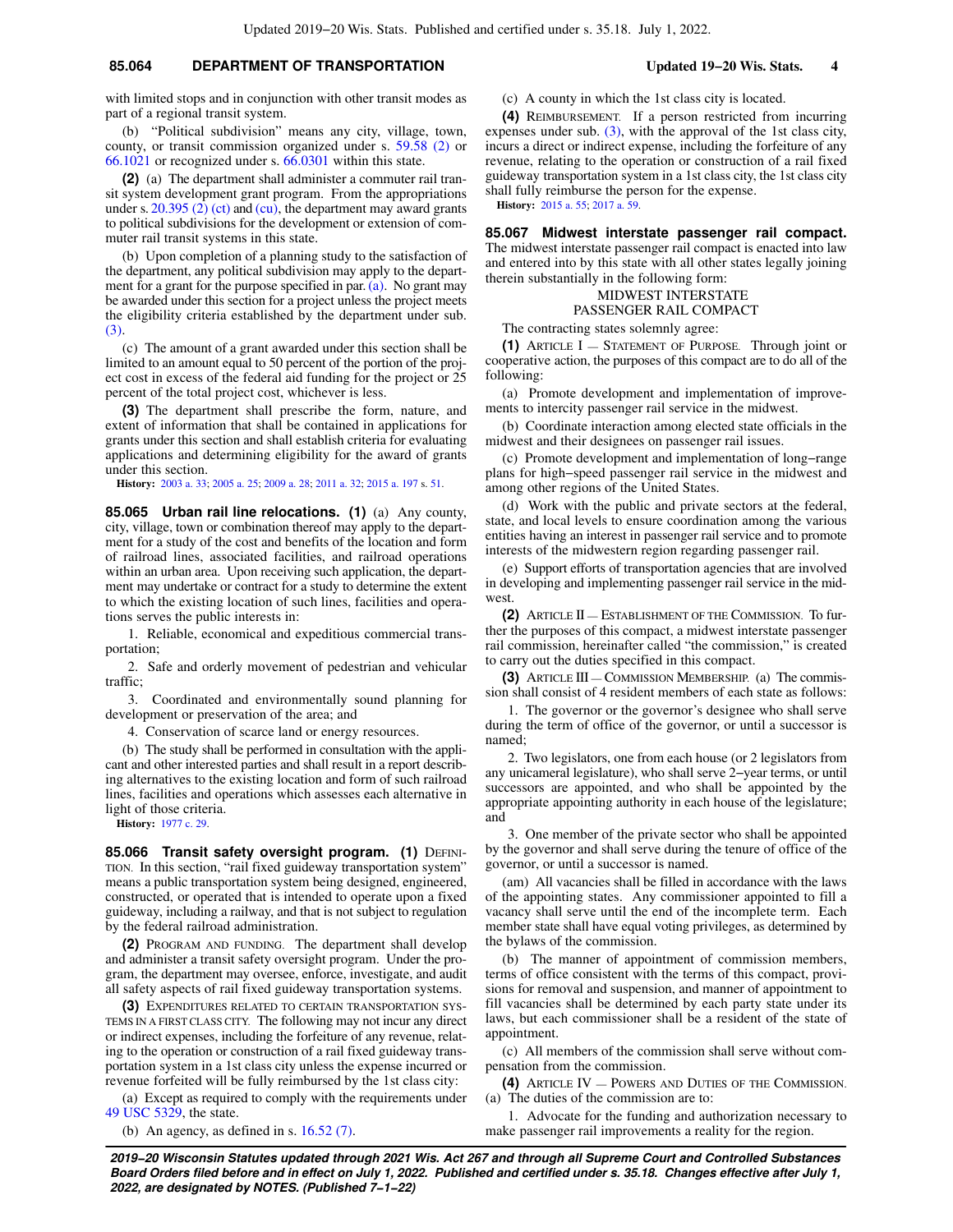### **85.064 DEPARTMENT OF TRANSPORTATION Updated 19−20 Wis. Stats. 4**

with limited stops and in conjunction with other transit modes as part of a regional transit system.

(b) "Political subdivision" means any city, village, town, county, or transit commission organized under s. [59.58 \(2\)](https://docs.legis.wisconsin.gov/document/statutes/59.58(2)) or [66.1021](https://docs.legis.wisconsin.gov/document/statutes/66.1021) or recognized under s. [66.0301](https://docs.legis.wisconsin.gov/document/statutes/66.0301) within this state.

**(2)** (a) The department shall administer a commuter rail transit system development grant program. From the appropriations under s.  $20.395$  (2) (ct) and [\(cu\),](https://docs.legis.wisconsin.gov/document/statutes/20.395(2)(cu)) the department may award grants to political subdivisions for the development or extension of commuter rail transit systems in this state.

(b) Upon completion of a planning study to the satisfaction of the department, any political subdivision may apply to the department for a grant for the purpose specified in par. [\(a\).](https://docs.legis.wisconsin.gov/document/statutes/85.064(2)(a)) No grant may be awarded under this section for a project unless the project meets the eligibility criteria established by the department under sub. [\(3\)](https://docs.legis.wisconsin.gov/document/statutes/85.064(3)).

(c) The amount of a grant awarded under this section shall be limited to an amount equal to 50 percent of the portion of the project cost in excess of the federal aid funding for the project or 25 percent of the total project cost, whichever is less.

**(3)** The department shall prescribe the form, nature, and extent of information that shall be contained in applications for grants under this section and shall establish criteria for evaluating applications and determining eligibility for the award of grants under this section.

**History:** [2003 a. 33;](https://docs.legis.wisconsin.gov/document/acts/2003/33) [2005 a. 25;](https://docs.legis.wisconsin.gov/document/acts/2005/25) [2009 a. 28](https://docs.legis.wisconsin.gov/document/acts/2009/28); [2011 a. 32](https://docs.legis.wisconsin.gov/document/acts/2011/32); [2015 a. 197](https://docs.legis.wisconsin.gov/document/acts/2015/197) s. [51.](https://docs.legis.wisconsin.gov/document/acts/2015/197,%20s.%2051)

**85.065 Urban rail line relocations. (1)** (a) Any county, city, village, town or combination thereof may apply to the department for a study of the cost and benefits of the location and form of railroad lines, associated facilities, and railroad operations within an urban area. Upon receiving such application, the department may undertake or contract for a study to determine the extent to which the existing location of such lines, facilities and operations serves the public interests in:

1. Reliable, economical and expeditious commercial transportation;

2. Safe and orderly movement of pedestrian and vehicular traffic;

3. Coordinated and environmentally sound planning for development or preservation of the area; and

4. Conservation of scarce land or energy resources.

(b) The study shall be performed in consultation with the applicant and other interested parties and shall result in a report describing alternatives to the existing location and form of such railroad lines, facilities and operations which assesses each alternative in light of those criteria.

**History:** [1977 c. 29.](https://docs.legis.wisconsin.gov/document/acts/1977/29)

85.066 Transit safety oversight program. (1) DEFINI-TION. In this section, "rail fixed guideway transportation system" means a public transportation system being designed, engineered, constructed, or operated that is intended to operate upon a fixed guideway, including a railway, and that is not subject to regulation by the federal railroad administration.

**(2)** PROGRAM AND FUNDING. The department shall develop and administer a transit safety oversight program. Under the program, the department may oversee, enforce, investigate, and audit all safety aspects of rail fixed guideway transportation systems.

**(3)** EXPENDITURES RELATED TO CERTAIN TRANSPORTATION SYS-TEMS IN A FIRST CLASS CITY. The following may not incur any direct or indirect expenses, including the forfeiture of any revenue, relating to the operation or construction of a rail fixed guideway transportation system in a 1st class city unless the expense incurred or revenue forfeited will be fully reimbursed by the 1st class city:

(a) Except as required to comply with the requirements under [49 USC 5329](https://docs.legis.wisconsin.gov/document/usc/49%20USC%205329), the state.

(b) An agency, as defined in s. [16.52 \(7\)](https://docs.legis.wisconsin.gov/document/statutes/16.52(7)).

(c) A county in which the 1st class city is located.

**(4)** REIMBURSEMENT. If a person restricted from incurring expenses under sub.  $(3)$ , with the approval of the 1st class city, incurs a direct or indirect expense, including the forfeiture of any revenue, relating to the operation or construction of a rail fixed guideway transportation system in a 1st class city, the 1st class city shall fully reimburse the person for the expense. **History:** [2015 a. 55](https://docs.legis.wisconsin.gov/document/acts/2015/55); [2017 a. 59](https://docs.legis.wisconsin.gov/document/acts/2017/59).

**85.067 Midwest interstate passenger rail compact.** The midwest interstate passenger rail compact is enacted into law and entered into by this state with all other states legally joining therein substantially in the following form:

# MIDWEST INTERSTATE

PASSENGER RAIL COMPACT

The contracting states solemnly agree:

**(1)** ARTICLE I — STATEMENT OF PURPOSE. Through joint or cooperative action, the purposes of this compact are to do all of the following:

(a) Promote development and implementation of improvements to intercity passenger rail service in the midwest.

(b) Coordinate interaction among elected state officials in the midwest and their designees on passenger rail issues.

(c) Promote development and implementation of long−range plans for high−speed passenger rail service in the midwest and among other regions of the United States.

(d) Work with the public and private sectors at the federal, state, and local levels to ensure coordination among the various entities having an interest in passenger rail service and to promote interests of the midwestern region regarding passenger rail.

(e) Support efforts of transportation agencies that are involved in developing and implementing passenger rail service in the midwest.

**(2)** ARTICLE II — ESTABLISHMENT OF THE COMMISSION. To further the purposes of this compact, a midwest interstate passenger rail commission, hereinafter called "the commission," is created to carry out the duties specified in this compact.

**(3)** ARTICLE III — COMMISSION MEMBERSHIP. (a) The commission shall consist of 4 resident members of each state as follows:

1. The governor or the governor's designee who shall serve during the term of office of the governor, or until a successor is named;

2. Two legislators, one from each house (or 2 legislators from any unicameral legislature), who shall serve 2−year terms, or until successors are appointed, and who shall be appointed by the appropriate appointing authority in each house of the legislature; and

3. One member of the private sector who shall be appointed by the governor and shall serve during the tenure of office of the governor, or until a successor is named.

(am) All vacancies shall be filled in accordance with the laws of the appointing states. Any commissioner appointed to fill a vacancy shall serve until the end of the incomplete term. Each member state shall have equal voting privileges, as determined by the bylaws of the commission.

(b) The manner of appointment of commission members, terms of office consistent with the terms of this compact, provisions for removal and suspension, and manner of appointment to fill vacancies shall be determined by each party state under its laws, but each commissioner shall be a resident of the state of appointment.

(c) All members of the commission shall serve without compensation from the commission.

**(4)** ARTICLE IV — POWERS AND DUTIES OF THE COMMISSION. (a) The duties of the commission are to:

1. Advocate for the funding and authorization necessary to make passenger rail improvements a reality for the region.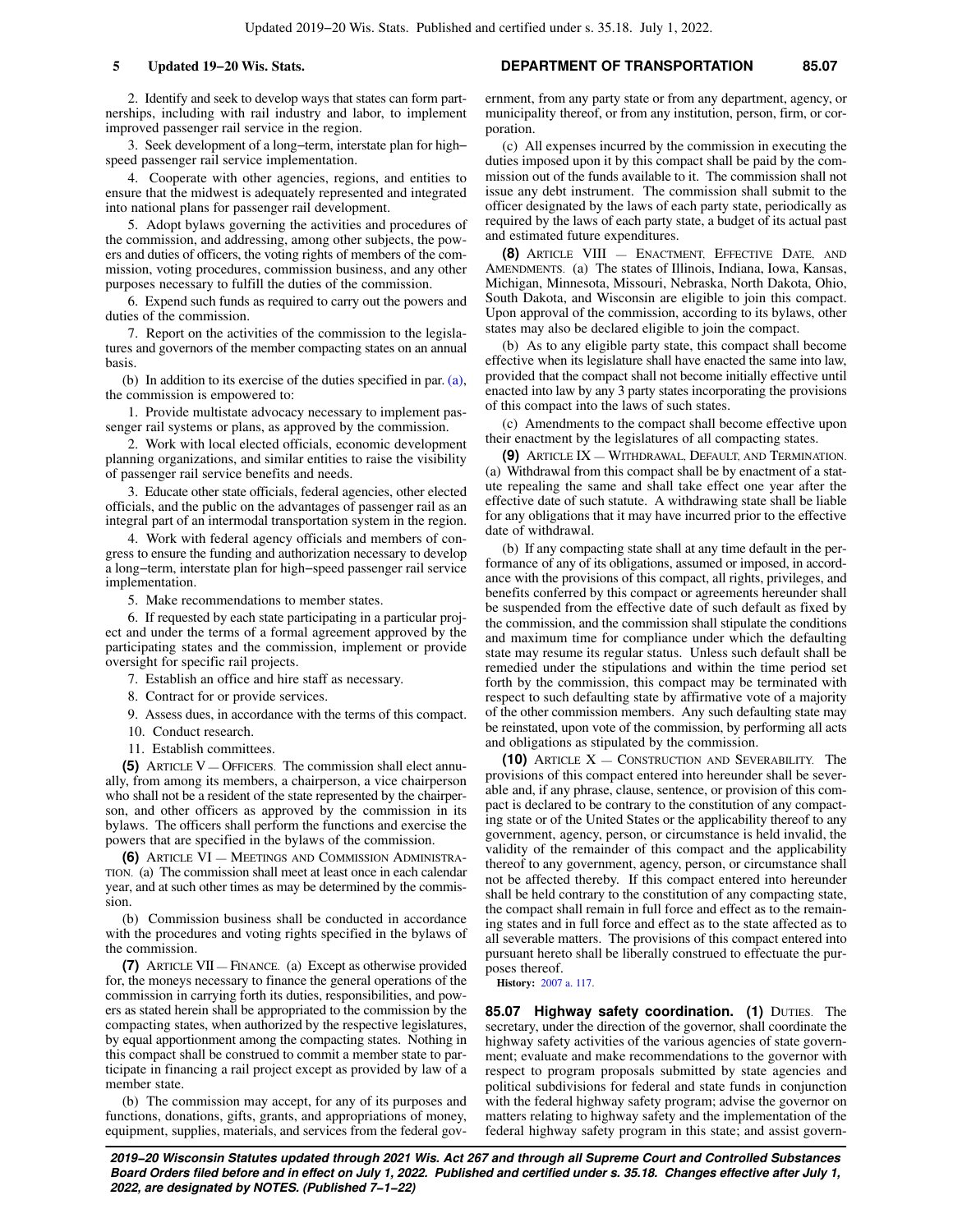2. Identify and seek to develop ways that states can form partnerships, including with rail industry and labor, to implement improved passenger rail service in the region.

3. Seek development of a long−term, interstate plan for high− speed passenger rail service implementation.

4. Cooperate with other agencies, regions, and entities to ensure that the midwest is adequately represented and integrated into national plans for passenger rail development.

5. Adopt bylaws governing the activities and procedures of the commission, and addressing, among other subjects, the powers and duties of officers, the voting rights of members of the commission, voting procedures, commission business, and any other purposes necessary to fulfill the duties of the commission.

6. Expend such funds as required to carry out the powers and duties of the commission.

7. Report on the activities of the commission to the legislatures and governors of the member compacting states on an annual basis.

(b) In addition to its exercise of the duties specified in par. [\(a\),](https://docs.legis.wisconsin.gov/document/statutes/85.067(4)(a)) the commission is empowered to:

1. Provide multistate advocacy necessary to implement passenger rail systems or plans, as approved by the commission.

2. Work with local elected officials, economic development planning organizations, and similar entities to raise the visibility of passenger rail service benefits and needs.

3. Educate other state officials, federal agencies, other elected officials, and the public on the advantages of passenger rail as an integral part of an intermodal transportation system in the region.

4. Work with federal agency officials and members of congress to ensure the funding and authorization necessary to develop a long−term, interstate plan for high−speed passenger rail service implementation.

5. Make recommendations to member states.

6. If requested by each state participating in a particular project and under the terms of a formal agreement approved by the participating states and the commission, implement or provide oversight for specific rail projects.

7. Establish an office and hire staff as necessary.

8. Contract for or provide services.

9. Assess dues, in accordance with the terms of this compact.

10. Conduct research.

11. Establish committees.

**(5)** ARTICLE V — OFFICERS. The commission shall elect annually, from among its members, a chairperson, a vice chairperson who shall not be a resident of the state represented by the chairperson, and other officers as approved by the commission in its bylaws. The officers shall perform the functions and exercise the powers that are specified in the bylaws of the commission.

**(6)** ARTICLE VI — MEETINGS AND COMMISSION ADMINISTRA-TION. (a) The commission shall meet at least once in each calendar year, and at such other times as may be determined by the commission.

(b) Commission business shall be conducted in accordance with the procedures and voting rights specified in the bylaws of the commission.

**(7)** ARTICLE VII — FINANCE. (a) Except as otherwise provided for, the moneys necessary to finance the general operations of the commission in carrying forth its duties, responsibilities, and powers as stated herein shall be appropriated to the commission by the compacting states, when authorized by the respective legislatures, by equal apportionment among the compacting states. Nothing in this compact shall be construed to commit a member state to participate in financing a rail project except as provided by law of a member state.

(b) The commission may accept, for any of its purposes and functions, donations, gifts, grants, and appropriations of money, equipment, supplies, materials, and services from the federal gov-

**5 Updated 19−20 Wis. Stats. DEPARTMENT OF TRANSPORTATION 85.07**

ernment, from any party state or from any department, agency, or municipality thereof, or from any institution, person, firm, or corporation.

(c) All expenses incurred by the commission in executing the duties imposed upon it by this compact shall be paid by the commission out of the funds available to it. The commission shall not issue any debt instrument. The commission shall submit to the officer designated by the laws of each party state, periodically as required by the laws of each party state, a budget of its actual past and estimated future expenditures.

**(8)** ARTICLE VIII — ENACTMENT, EFFECTIVE DATE, AND AMENDMENTS. (a) The states of Illinois, Indiana, Iowa, Kansas, Michigan, Minnesota, Missouri, Nebraska, North Dakota, Ohio, South Dakota, and Wisconsin are eligible to join this compact. Upon approval of the commission, according to its bylaws, other states may also be declared eligible to join the compact.

(b) As to any eligible party state, this compact shall become effective when its legislature shall have enacted the same into law, provided that the compact shall not become initially effective until enacted into law by any 3 party states incorporating the provisions of this compact into the laws of such states.

(c) Amendments to the compact shall become effective upon their enactment by the legislatures of all compacting states.

**(9)** ARTICLE IX — WITHDRAWAL, DEFAULT, AND TERMINATION. (a) Withdrawal from this compact shall be by enactment of a statute repealing the same and shall take effect one year after the effective date of such statute. A withdrawing state shall be liable for any obligations that it may have incurred prior to the effective date of withdrawal.

(b) If any compacting state shall at any time default in the performance of any of its obligations, assumed or imposed, in accordance with the provisions of this compact, all rights, privileges, and benefits conferred by this compact or agreements hereunder shall be suspended from the effective date of such default as fixed by the commission, and the commission shall stipulate the conditions and maximum time for compliance under which the defaulting state may resume its regular status. Unless such default shall be remedied under the stipulations and within the time period set forth by the commission, this compact may be terminated with respect to such defaulting state by affirmative vote of a majority of the other commission members. Any such defaulting state may be reinstated, upon vote of the commission, by performing all acts and obligations as stipulated by the commission.

**(10)** ARTICLE X — CONSTRUCTION AND SEVERABILITY. The provisions of this compact entered into hereunder shall be severable and, if any phrase, clause, sentence, or provision of this compact is declared to be contrary to the constitution of any compacting state or of the United States or the applicability thereof to any government, agency, person, or circumstance is held invalid, the validity of the remainder of this compact and the applicability thereof to any government, agency, person, or circumstance shall not be affected thereby. If this compact entered into hereunder shall be held contrary to the constitution of any compacting state, the compact shall remain in full force and effect as to the remaining states and in full force and effect as to the state affected as to all severable matters. The provisions of this compact entered into pursuant hereto shall be liberally construed to effectuate the purposes thereof.

**History:** [2007 a. 117](https://docs.legis.wisconsin.gov/document/acts/2007/117).

**85.07 Highway safety coordination. (1)** DUTIES. The secretary, under the direction of the governor, shall coordinate the highway safety activities of the various agencies of state government; evaluate and make recommendations to the governor with respect to program proposals submitted by state agencies and political subdivisions for federal and state funds in conjunction with the federal highway safety program; advise the governor on matters relating to highway safety and the implementation of the federal highway safety program in this state; and assist govern-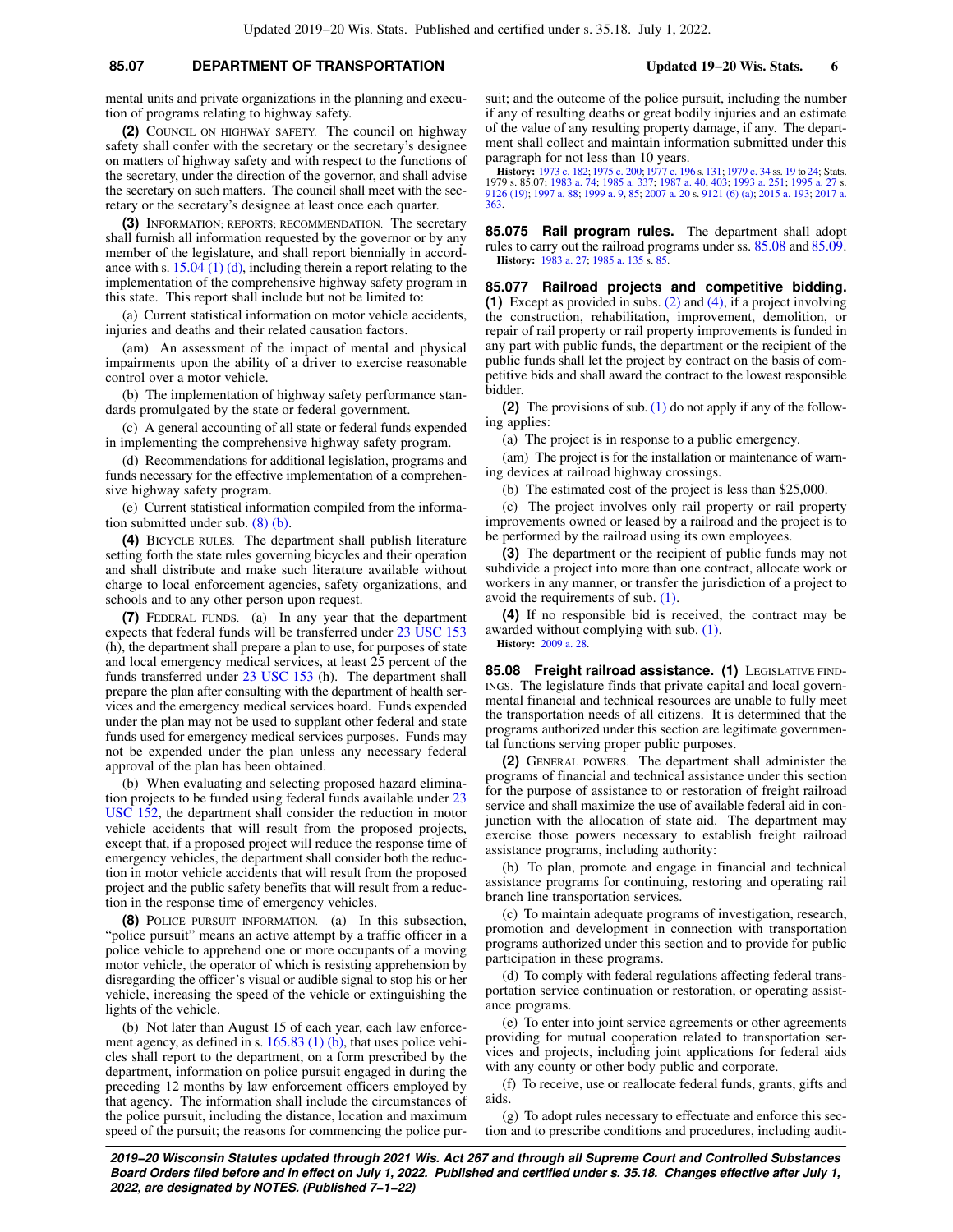### **85.07 DEPARTMENT OF TRANSPORTATION Updated 19−20 Wis. Stats. 6**

mental units and private organizations in the planning and execution of programs relating to highway safety.

**(2)** COUNCIL ON HIGHWAY SAFETY. The council on highway safety shall confer with the secretary or the secretary's designee on matters of highway safety and with respect to the functions of the secretary, under the direction of the governor, and shall advise the secretary on such matters. The council shall meet with the secretary or the secretary's designee at least once each quarter.

**(3)** INFORMATION; REPORTS; RECOMMENDATION. The secretary shall furnish all information requested by the governor or by any member of the legislature, and shall report biennially in accordance with s.  $15.04$  (1) (d), including therein a report relating to the implementation of the comprehensive highway safety program in this state. This report shall include but not be limited to:

(a) Current statistical information on motor vehicle accidents, injuries and deaths and their related causation factors.

(am) An assessment of the impact of mental and physical impairments upon the ability of a driver to exercise reasonable control over a motor vehicle.

(b) The implementation of highway safety performance standards promulgated by the state or federal government.

(c) A general accounting of all state or federal funds expended in implementing the comprehensive highway safety program.

(d) Recommendations for additional legislation, programs and funds necessary for the effective implementation of a comprehensive highway safety program.

(e) Current statistical information compiled from the information submitted under sub. [\(8\) \(b\)](https://docs.legis.wisconsin.gov/document/statutes/85.07(8)(b)).

**(4)** BICYCLE RULES. The department shall publish literature setting forth the state rules governing bicycles and their operation and shall distribute and make such literature available without charge to local enforcement agencies, safety organizations, and schools and to any other person upon request.

**(7)** FEDERAL FUNDS. (a) In any year that the department expects that federal funds will be transferred under [23 USC 153](https://docs.legis.wisconsin.gov/document/usc/23%20USC%20153) (h), the department shall prepare a plan to use, for purposes of state and local emergency medical services, at least 25 percent of the funds transferred under [23 USC 153](https://docs.legis.wisconsin.gov/document/usc/23%20USC%20153) (h). The department shall prepare the plan after consulting with the department of health services and the emergency medical services board. Funds expended under the plan may not be used to supplant other federal and state funds used for emergency medical services purposes. Funds may not be expended under the plan unless any necessary federal approval of the plan has been obtained.

(b) When evaluating and selecting proposed hazard elimination projects to be funded using federal funds available under [23](https://docs.legis.wisconsin.gov/document/usc/23%20USC%20152) [USC 152,](https://docs.legis.wisconsin.gov/document/usc/23%20USC%20152) the department shall consider the reduction in motor vehicle accidents that will result from the proposed projects, except that, if a proposed project will reduce the response time of emergency vehicles, the department shall consider both the reduction in motor vehicle accidents that will result from the proposed project and the public safety benefits that will result from a reduction in the response time of emergency vehicles.

**(8)** POLICE PURSUIT INFORMATION. (a) In this subsection, "police pursuit" means an active attempt by a traffic officer in a police vehicle to apprehend one or more occupants of a moving motor vehicle, the operator of which is resisting apprehension by disregarding the officer's visual or audible signal to stop his or her vehicle, increasing the speed of the vehicle or extinguishing the lights of the vehicle.

(b) Not later than August 15 of each year, each law enforce-ment agency, as defined in s. [165.83 \(1\) \(b\),](https://docs.legis.wisconsin.gov/document/statutes/165.83(1)(b)) that uses police vehicles shall report to the department, on a form prescribed by the department, information on police pursuit engaged in during the preceding 12 months by law enforcement officers employed by that agency. The information shall include the circumstances of the police pursuit, including the distance, location and maximum speed of the pursuit; the reasons for commencing the police pursuit; and the outcome of the police pursuit, including the number if any of resulting deaths or great bodily injuries and an estimate of the value of any resulting property damage, if any. The department shall collect and maintain information submitted under this paragraph for not less than 10 years.

**History:** [1973 c. 182;](https://docs.legis.wisconsin.gov/document/acts/1973/182) [1975 c. 200](https://docs.legis.wisconsin.gov/document/acts/1975/200); [1977 c. 196](https://docs.legis.wisconsin.gov/document/acts/1977/196) s. [131](https://docs.legis.wisconsin.gov/document/acts/1977/196,%20s.%20131); [1979 c. 34](https://docs.legis.wisconsin.gov/document/acts/1979/34) ss. [19](https://docs.legis.wisconsin.gov/document/acts/1979/34,%20s.%2019) to [24;](https://docs.legis.wisconsin.gov/document/acts/1979/34,%20s.%2024) Stats.<br>1979 s. 85.07; [1983 a. 74](https://docs.legis.wisconsin.gov/document/acts/1983/74); [1985 a. 337](https://docs.legis.wisconsin.gov/document/acts/1985/337); [1987 a. 40](https://docs.legis.wisconsin.gov/document/acts/1987/40), [403;](https://docs.legis.wisconsin.gov/document/acts/1987/403) [1993 a. 251;](https://docs.legis.wisconsin.gov/document/acts/1993/251) [1995 a. 27](https://docs.legis.wisconsin.gov/document/acts/1995/27) s.<br>[9126 \(19\)](https://docs.legis.wisconsin.gov/document/acts/1995/27,%20s.%209126); [1997 a. 88;](https://docs.legis.wisconsin.gov/document/acts/1997/88) [1999 a. 9,](https://docs.legis.wisconsin.gov/document/acts/1999/9) [85](https://docs.legis.wisconsin.gov/document/acts/1999/85); [2007 a. 20](https://docs.legis.wisconsin.gov/document/acts/2007/20)  [363.](https://docs.legis.wisconsin.gov/document/acts/2017/363)

**85.075 Rail program rules.** The department shall adopt rules to carry out the railroad programs under ss. [85.08](https://docs.legis.wisconsin.gov/document/statutes/85.08) and [85.09.](https://docs.legis.wisconsin.gov/document/statutes/85.09) **History:** [1983 a. 27](https://docs.legis.wisconsin.gov/document/acts/1983/27); [1985 a. 135](https://docs.legis.wisconsin.gov/document/acts/1985/135) s. [85.](https://docs.legis.wisconsin.gov/document/acts/1985/135,%20s.%2085)

**85.077 Railroad projects and competitive bidding. (1)** Except as provided in subs. [\(2\)](https://docs.legis.wisconsin.gov/document/statutes/85.077(2)) and [\(4\)](https://docs.legis.wisconsin.gov/document/statutes/85.077(4)), if a project involving the construction, rehabilitation, improvement, demolition, or repair of rail property or rail property improvements is funded in any part with public funds, the department or the recipient of the public funds shall let the project by contract on the basis of competitive bids and shall award the contract to the lowest responsible bidder.

**(2)** The provisions of sub. [\(1\)](https://docs.legis.wisconsin.gov/document/statutes/85.077(1)) do not apply if any of the following applies:

(a) The project is in response to a public emergency.

(am) The project is for the installation or maintenance of warning devices at railroad highway crossings.

(b) The estimated cost of the project is less than \$25,000.

(c) The project involves only rail property or rail property improvements owned or leased by a railroad and the project is to be performed by the railroad using its own employees.

**(3)** The department or the recipient of public funds may not subdivide a project into more than one contract, allocate work or workers in any manner, or transfer the jurisdiction of a project to avoid the requirements of sub. [\(1\).](https://docs.legis.wisconsin.gov/document/statutes/85.077(1))

**(4)** If no responsible bid is received, the contract may be awarded without complying with sub. [\(1\).](https://docs.legis.wisconsin.gov/document/statutes/85.077(1)) **History:** [2009 a. 28](https://docs.legis.wisconsin.gov/document/acts/2009/28).

85.08 Freight railroad assistance. (1) LEGISLATIVE FIND-INGS. The legislature finds that private capital and local governmental financial and technical resources are unable to fully meet the transportation needs of all citizens. It is determined that the programs authorized under this section are legitimate governmental functions serving proper public purposes.

**(2)** GENERAL POWERS. The department shall administer the programs of financial and technical assistance under this section for the purpose of assistance to or restoration of freight railroad service and shall maximize the use of available federal aid in conjunction with the allocation of state aid. The department may exercise those powers necessary to establish freight railroad assistance programs, including authority:

(b) To plan, promote and engage in financial and technical assistance programs for continuing, restoring and operating rail branch line transportation services.

(c) To maintain adequate programs of investigation, research, promotion and development in connection with transportation programs authorized under this section and to provide for public participation in these programs.

(d) To comply with federal regulations affecting federal transportation service continuation or restoration, or operating assistance programs.

(e) To enter into joint service agreements or other agreements providing for mutual cooperation related to transportation services and projects, including joint applications for federal aids with any county or other body public and corporate.

(f) To receive, use or reallocate federal funds, grants, gifts and aids.

(g) To adopt rules necessary to effectuate and enforce this section and to prescribe conditions and procedures, including audit-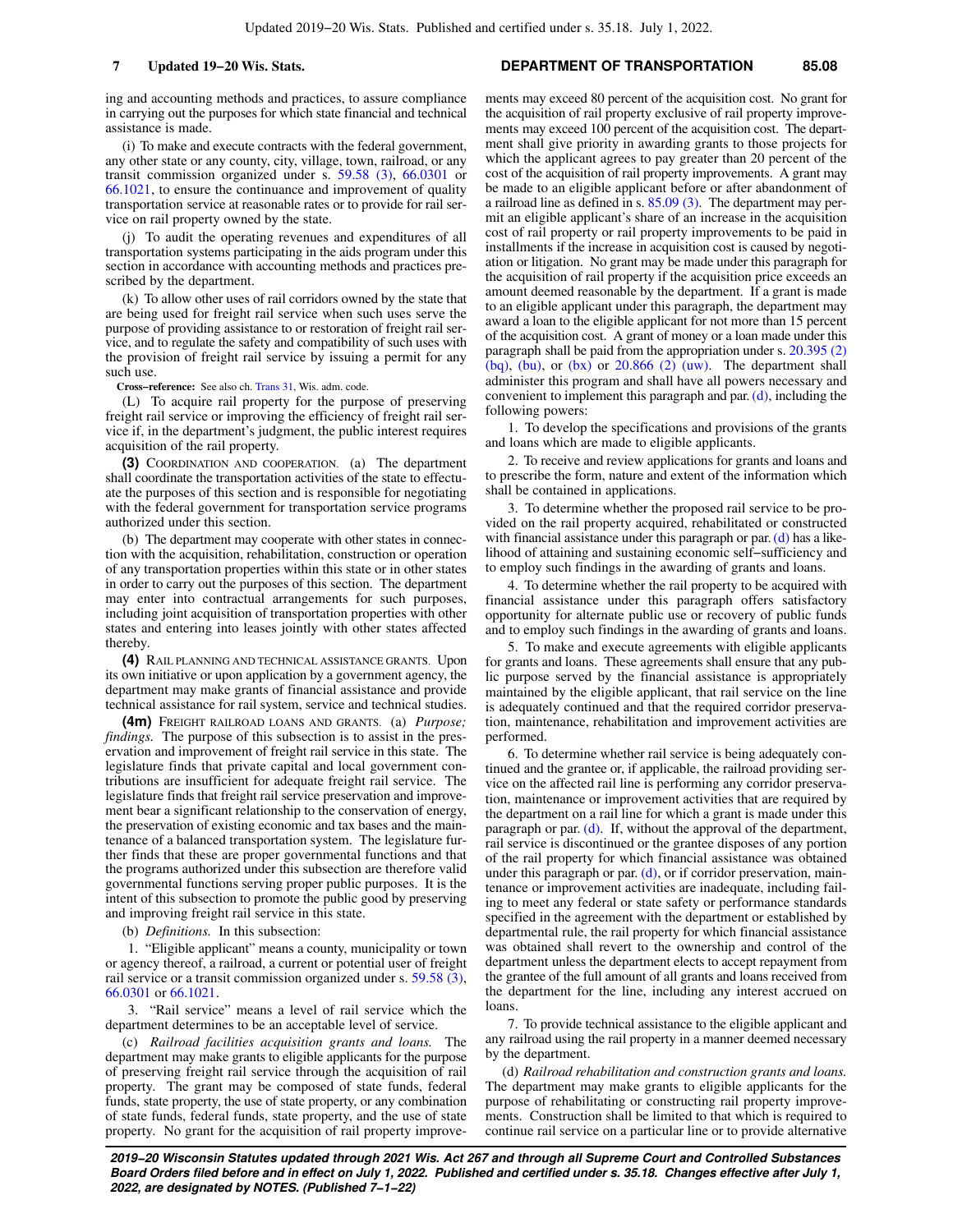ing and accounting methods and practices, to assure compliance in carrying out the purposes for which state financial and technical assistance is made.

(i) To make and execute contracts with the federal government, any other state or any county, city, village, town, railroad, or any transit commission organized under s. [59.58 \(3\)](https://docs.legis.wisconsin.gov/document/statutes/59.58(3)), [66.0301](https://docs.legis.wisconsin.gov/document/statutes/66.0301) or [66.1021](https://docs.legis.wisconsin.gov/document/statutes/66.1021), to ensure the continuance and improvement of quality transportation service at reasonable rates or to provide for rail service on rail property owned by the state.

(j) To audit the operating revenues and expenditures of all transportation systems participating in the aids program under this section in accordance with accounting methods and practices prescribed by the department.

(k) To allow other uses of rail corridors owned by the state that are being used for freight rail service when such uses serve the purpose of providing assistance to or restoration of freight rail service, and to regulate the safety and compatibility of such uses with the provision of freight rail service by issuing a permit for any such use.

**Cross−reference:** See also ch. [Trans 31,](https://docs.legis.wisconsin.gov/document/administrativecode/ch.%20Trans%2031) Wis. adm. code.

(L) To acquire rail property for the purpose of preserving freight rail service or improving the efficiency of freight rail service if, in the department's judgment, the public interest requires acquisition of the rail property.

**(3)** COORDINATION AND COOPERATION. (a) The department shall coordinate the transportation activities of the state to effectuate the purposes of this section and is responsible for negotiating with the federal government for transportation service programs authorized under this section.

(b) The department may cooperate with other states in connection with the acquisition, rehabilitation, construction or operation of any transportation properties within this state or in other states in order to carry out the purposes of this section. The department may enter into contractual arrangements for such purposes, including joint acquisition of transportation properties with other states and entering into leases jointly with other states affected thereby.

**(4)** RAIL PLANNING AND TECHNICAL ASSISTANCE GRANTS. Upon its own initiative or upon application by a government agency, the department may make grants of financial assistance and provide technical assistance for rail system, service and technical studies.

**(4m)** FREIGHT RAILROAD LOANS AND GRANTS. (a) *Purpose; findings.* The purpose of this subsection is to assist in the preservation and improvement of freight rail service in this state. The legislature finds that private capital and local government contributions are insufficient for adequate freight rail service. The legislature finds that freight rail service preservation and improvement bear a significant relationship to the conservation of energy, the preservation of existing economic and tax bases and the maintenance of a balanced transportation system. The legislature further finds that these are proper governmental functions and that the programs authorized under this subsection are therefore valid governmental functions serving proper public purposes. It is the intent of this subsection to promote the public good by preserving and improving freight rail service in this state.

(b) *Definitions.* In this subsection:

1. "Eligible applicant" means a county, municipality or town or agency thereof, a railroad, a current or potential user of freight rail service or a transit commission organized under s. [59.58 \(3\),](https://docs.legis.wisconsin.gov/document/statutes/59.58(3)) [66.0301](https://docs.legis.wisconsin.gov/document/statutes/66.0301) or [66.1021.](https://docs.legis.wisconsin.gov/document/statutes/66.1021)

3. "Rail service" means a level of rail service which the department determines to be an acceptable level of service.

(c) *Railroad facilities acquisition grants and loans.* The department may make grants to eligible applicants for the purpose of preserving freight rail service through the acquisition of rail property. The grant may be composed of state funds, federal funds, state property, the use of state property, or any combination of state funds, federal funds, state property, and the use of state property. No grant for the acquisition of rail property improve-

#### **7 Updated 19−20 Wis. Stats. DEPARTMENT OF TRANSPORTATION 85.08**

ments may exceed 80 percent of the acquisition cost. No grant for the acquisition of rail property exclusive of rail property improvements may exceed 100 percent of the acquisition cost. The department shall give priority in awarding grants to those projects for which the applicant agrees to pay greater than 20 percent of the cost of the acquisition of rail property improvements. A grant may be made to an eligible applicant before or after abandonment of a railroad line as defined in s. [85.09 \(3\)](https://docs.legis.wisconsin.gov/document/statutes/85.09(3)). The department may permit an eligible applicant's share of an increase in the acquisition cost of rail property or rail property improvements to be paid in installments if the increase in acquisition cost is caused by negotiation or litigation. No grant may be made under this paragraph for the acquisition of rail property if the acquisition price exceeds an amount deemed reasonable by the department. If a grant is made to an eligible applicant under this paragraph, the department may award a loan to the eligible applicant for not more than 15 percent of the acquisition cost. A grant of money or a loan made under this paragraph shall be paid from the appropriation under s. [20.395 \(2\)](https://docs.legis.wisconsin.gov/document/statutes/20.395(2)(bq))  $(bq)$ ,  $(bu)$ , or  $(bx)$  or  $20.866$   $(2)$   $(uw)$ . The department shall administer this program and shall have all powers necessary and convenient to implement this paragraph and par.  $(d)$ , including the following powers:

1. To develop the specifications and provisions of the grants and loans which are made to eligible applicants.

2. To receive and review applications for grants and loans and to prescribe the form, nature and extent of the information which shall be contained in applications.

3. To determine whether the proposed rail service to be provided on the rail property acquired, rehabilitated or constructed with financial assistance under this paragraph or par.  $(d)$  has a likelihood of attaining and sustaining economic self−sufficiency and to employ such findings in the awarding of grants and loans.

4. To determine whether the rail property to be acquired with financial assistance under this paragraph offers satisfactory opportunity for alternate public use or recovery of public funds and to employ such findings in the awarding of grants and loans.

5. To make and execute agreements with eligible applicants for grants and loans. These agreements shall ensure that any public purpose served by the financial assistance is appropriately maintained by the eligible applicant, that rail service on the line is adequately continued and that the required corridor preservation, maintenance, rehabilitation and improvement activities are performed.

6. To determine whether rail service is being adequately continued and the grantee or, if applicable, the railroad providing service on the affected rail line is performing any corridor preservation, maintenance or improvement activities that are required by the department on a rail line for which a grant is made under this paragraph or par.  $(d)$ . If, without the approval of the department, rail service is discontinued or the grantee disposes of any portion of the rail property for which financial assistance was obtained under this paragraph or par. [\(d\),](https://docs.legis.wisconsin.gov/document/statutes/85.08(4m)(d)) or if corridor preservation, maintenance or improvement activities are inadequate, including failing to meet any federal or state safety or performance standards specified in the agreement with the department or established by departmental rule, the rail property for which financial assistance was obtained shall revert to the ownership and control of the department unless the department elects to accept repayment from the grantee of the full amount of all grants and loans received from the department for the line, including any interest accrued on loans.

7. To provide technical assistance to the eligible applicant and any railroad using the rail property in a manner deemed necessary by the department.

(d) *Railroad rehabilitation and construction grants and loans.* The department may make grants to eligible applicants for the purpose of rehabilitating or constructing rail property improvements. Construction shall be limited to that which is required to continue rail service on a particular line or to provide alternative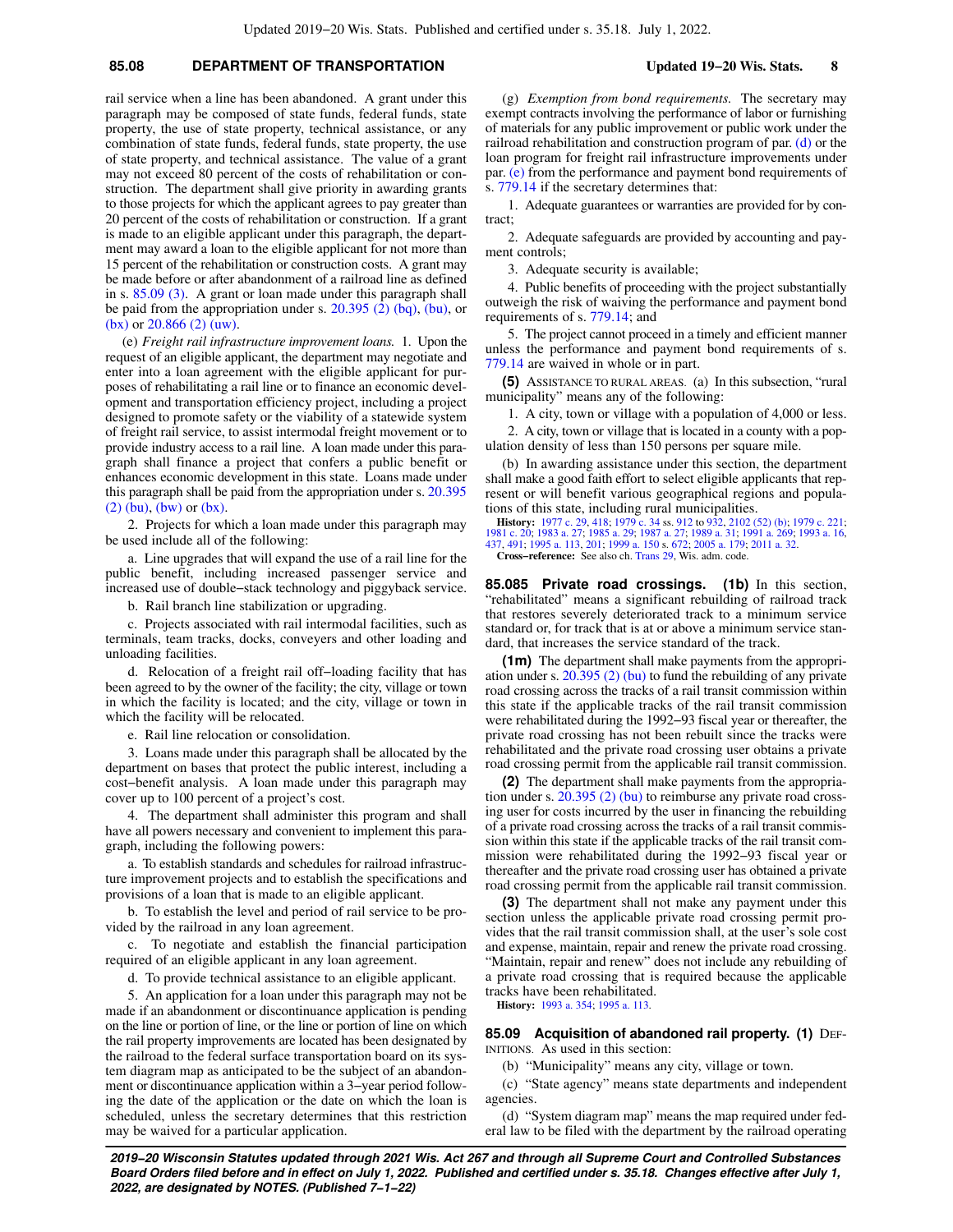# **85.08 DEPARTMENT OF TRANSPORTATION Updated 19−20 Wis. Stats. 8**

rail service when a line has been abandoned. A grant under this paragraph may be composed of state funds, federal funds, state property, the use of state property, technical assistance, or any combination of state funds, federal funds, state property, the use of state property, and technical assistance. The value of a grant may not exceed 80 percent of the costs of rehabilitation or construction. The department shall give priority in awarding grants to those projects for which the applicant agrees to pay greater than 20 percent of the costs of rehabilitation or construction. If a grant is made to an eligible applicant under this paragraph, the department may award a loan to the eligible applicant for not more than 15 percent of the rehabilitation or construction costs. A grant may be made before or after abandonment of a railroad line as defined in s. [85.09 \(3\).](https://docs.legis.wisconsin.gov/document/statutes/85.09(3)) A grant or loan made under this paragraph shall be paid from the appropriation under s. [20.395 \(2\) \(bq\)](https://docs.legis.wisconsin.gov/document/statutes/20.395(2)(bq)), [\(bu\),](https://docs.legis.wisconsin.gov/document/statutes/20.395(2)(bu)) or [\(bx\)](https://docs.legis.wisconsin.gov/document/statutes/20.395(2)(bx)) or  $20.866$  (2) (uw).

(e) *Freight rail infrastructure improvement loans.* 1. Upon the request of an eligible applicant, the department may negotiate and enter into a loan agreement with the eligible applicant for purposes of rehabilitating a rail line or to finance an economic development and transportation efficiency project, including a project designed to promote safety or the viability of a statewide system of freight rail service, to assist intermodal freight movement or to provide industry access to a rail line. A loan made under this paragraph shall finance a project that confers a public benefit or enhances economic development in this state. Loans made under this paragraph shall be paid from the appropriation under s. [20.395](https://docs.legis.wisconsin.gov/document/statutes/20.395(2)(bu)) [\(2\) \(bu\),](https://docs.legis.wisconsin.gov/document/statutes/20.395(2)(bu)) [\(bw\)](https://docs.legis.wisconsin.gov/document/statutes/20.395(2)(bw)) or [\(bx\)](https://docs.legis.wisconsin.gov/document/statutes/20.395(2)(bx)).

2. Projects for which a loan made under this paragraph may be used include all of the following:

a. Line upgrades that will expand the use of a rail line for the public benefit, including increased passenger service and increased use of double−stack technology and piggyback service.

b. Rail branch line stabilization or upgrading.

c. Projects associated with rail intermodal facilities, such as terminals, team tracks, docks, conveyers and other loading and unloading facilities.

d. Relocation of a freight rail off−loading facility that has been agreed to by the owner of the facility; the city, village or town in which the facility is located; and the city, village or town in which the facility will be relocated.

e. Rail line relocation or consolidation.

3. Loans made under this paragraph shall be allocated by the department on bases that protect the public interest, including a cost−benefit analysis. A loan made under this paragraph may cover up to 100 percent of a project's cost.

4. The department shall administer this program and shall have all powers necessary and convenient to implement this paragraph, including the following powers:

a. To establish standards and schedules for railroad infrastructure improvement projects and to establish the specifications and provisions of a loan that is made to an eligible applicant.

b. To establish the level and period of rail service to be provided by the railroad in any loan agreement.

c. To negotiate and establish the financial participation required of an eligible applicant in any loan agreement.

d. To provide technical assistance to an eligible applicant.

5. An application for a loan under this paragraph may not be made if an abandonment or discontinuance application is pending on the line or portion of line, or the line or portion of line on which the rail property improvements are located has been designated by the railroad to the federal surface transportation board on its system diagram map as anticipated to be the subject of an abandonment or discontinuance application within a 3−year period following the date of the application or the date on which the loan is scheduled, unless the secretary determines that this restriction may be waived for a particular application.

(g) *Exemption from bond requirements.* The secretary may exempt contracts involving the performance of labor or furnishing of materials for any public improvement or public work under the railroad rehabilitation and construction program of par. [\(d\)](https://docs.legis.wisconsin.gov/document/statutes/85.08(4m)(d)) or the loan program for freight rail infrastructure improvements under par. [\(e\)](https://docs.legis.wisconsin.gov/document/statutes/85.08(4m)(e)) from the performance and payment bond requirements of s. [779.14](https://docs.legis.wisconsin.gov/document/statutes/779.14) if the secretary determines that:

1. Adequate guarantees or warranties are provided for by contract;

2. Adequate safeguards are provided by accounting and payment controls;

3. Adequate security is available;

4. Public benefits of proceeding with the project substantially outweigh the risk of waiving the performance and payment bond requirements of s. [779.14](https://docs.legis.wisconsin.gov/document/statutes/779.14); and

5. The project cannot proceed in a timely and efficient manner unless the performance and payment bond requirements of s. [779.14](https://docs.legis.wisconsin.gov/document/statutes/779.14) are waived in whole or in part.

**(5)** ASSISTANCE TO RURAL AREAS. (a) In this subsection, "rural municipality" means any of the following:

1. A city, town or village with a population of 4,000 or less.

2. A city, town or village that is located in a county with a population density of less than 150 persons per square mile.

(b) In awarding assistance under this section, the department shall make a good faith effort to select eligible applicants that represent or will benefit various geographical regions and populations of this state, including rural municipalities.

**History:** [1977 c. 29](https://docs.legis.wisconsin.gov/document/acts/1977/29), [418](https://docs.legis.wisconsin.gov/document/acts/1977/418); [1979 c. 34](https://docs.legis.wisconsin.gov/document/acts/1979/34) ss. [912](https://docs.legis.wisconsin.gov/document/acts/1979/34,%20s.%20912) to [932,](https://docs.legis.wisconsin.gov/document/acts/1979/34,%20s.%20932) [2102 \(52\) \(b\);](https://docs.legis.wisconsin.gov/document/acts/1979/34,%20s.%202102) [1979 c. 221](https://docs.legis.wisconsin.gov/document/acts/1979/221); [1981 c. 20](https://docs.legis.wisconsin.gov/document/acts/1981/20); [1983 a. 27](https://docs.legis.wisconsin.gov/document/acts/1983/27); [1985 a. 29](https://docs.legis.wisconsin.gov/document/acts/1985/29); [1987 a. 27](https://docs.legis.wisconsin.gov/document/acts/1987/27); [1989 a. 31](https://docs.legis.wisconsin.gov/document/acts/1989/31); [1991 a. 269;](https://docs.legis.wisconsin.gov/document/acts/1991/269) [1993 a. 16](https://docs.legis.wisconsin.gov/document/acts/1993/16), [437,](https://docs.legis.wisconsin.gov/document/acts/1993/437) [491;](https://docs.legis.wisconsin.gov/document/acts/1993/491) [1995 a. 113,](https://docs.legis.wisconsin.gov/document/acts/1995/113) [201](https://docs.legis.wisconsin.gov/document/acts/1995/201); [1999 a. 150](https://docs.legis.wisconsin.gov/document/acts/1999/150) s. [672](https://docs.legis.wisconsin.gov/document/acts/1999/150,%20s.%20672); [2005 a. 179;](https://docs.legis.wisconsin.gov/document/acts/2005/179) [2011 a. 32.](https://docs.legis.wisconsin.gov/document/acts/2011/32) **Cross−reference:** See also ch. [Trans 29,](https://docs.legis.wisconsin.gov/document/administrativecode/ch.%20Trans%2029) Wis. adm. code.

**85.085 Private road crossings. (1b)** In this section, "rehabilitated" means a significant rebuilding of railroad track that restores severely deteriorated track to a minimum service standard or, for track that is at or above a minimum service standard, that increases the service standard of the track.

**(1m)** The department shall make payments from the appropriation under s. [20.395 \(2\) \(bu\)](https://docs.legis.wisconsin.gov/document/statutes/20.395(2)(bu)) to fund the rebuilding of any private road crossing across the tracks of a rail transit commission within this state if the applicable tracks of the rail transit commission were rehabilitated during the 1992−93 fiscal year or thereafter, the private road crossing has not been rebuilt since the tracks were rehabilitated and the private road crossing user obtains a private road crossing permit from the applicable rail transit commission.

**(2)** The department shall make payments from the appropriation under s. [20.395 \(2\) \(bu\)](https://docs.legis.wisconsin.gov/document/statutes/20.395(2)(bu)) to reimburse any private road crossing user for costs incurred by the user in financing the rebuilding of a private road crossing across the tracks of a rail transit commission within this state if the applicable tracks of the rail transit commission were rehabilitated during the 1992−93 fiscal year or thereafter and the private road crossing user has obtained a private road crossing permit from the applicable rail transit commission.

**(3)** The department shall not make any payment under this section unless the applicable private road crossing permit provides that the rail transit commission shall, at the user's sole cost and expense, maintain, repair and renew the private road crossing. "Maintain, repair and renew" does not include any rebuilding of a private road crossing that is required because the applicable tracks have been rehabilitated.

**History:** [1993 a. 354;](https://docs.legis.wisconsin.gov/document/acts/1993/354) [1995 a. 113.](https://docs.legis.wisconsin.gov/document/acts/1995/113)

**85.09 Acquisition of abandoned rail property. (1)** DEF-INITIONS. As used in this section:

(b) "Municipality" means any city, village or town.

(c) "State agency" means state departments and independent agencies.

(d) "System diagram map" means the map required under federal law to be filed with the department by the railroad operating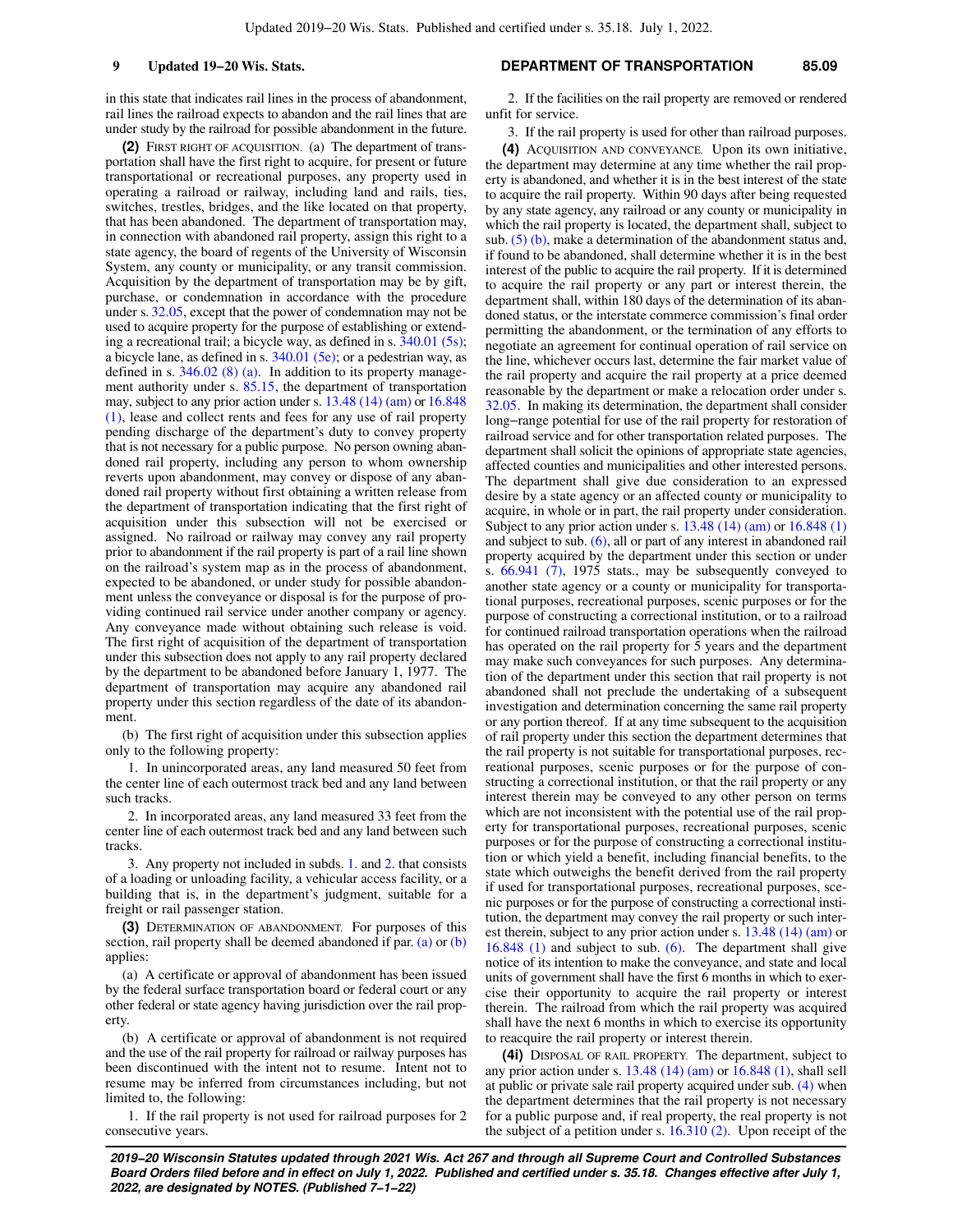in this state that indicates rail lines in the process of abandonment, rail lines the railroad expects to abandon and the rail lines that are under study by the railroad for possible abandonment in the future.

**(2)** FIRST RIGHT OF ACQUISITION. (a) The department of transportation shall have the first right to acquire, for present or future transportational or recreational purposes, any property used in operating a railroad or railway, including land and rails, ties, switches, trestles, bridges, and the like located on that property, that has been abandoned. The department of transportation may, in connection with abandoned rail property, assign this right to a state agency, the board of regents of the University of Wisconsin System, any county or municipality, or any transit commission. Acquisition by the department of transportation may be by gift, purchase, or condemnation in accordance with the procedure under s. [32.05,](https://docs.legis.wisconsin.gov/document/statutes/32.05) except that the power of condemnation may not be used to acquire property for the purpose of establishing or extending a recreational trail; a bicycle way, as defined in s. [340.01 \(5s\);](https://docs.legis.wisconsin.gov/document/statutes/340.01(5s)) a bicycle lane, as defined in s. [340.01 \(5e\);](https://docs.legis.wisconsin.gov/document/statutes/340.01(5e)) or a pedestrian way, as defined in s. [346.02 \(8\) \(a\).](https://docs.legis.wisconsin.gov/document/statutes/346.02(8)(a)) In addition to its property management authority under s. [85.15,](https://docs.legis.wisconsin.gov/document/statutes/85.15) the department of transportation may, subject to any prior action under s. [13.48 \(14\) \(am\)](https://docs.legis.wisconsin.gov/document/statutes/13.48(14)(am)) or [16.848](https://docs.legis.wisconsin.gov/document/statutes/16.848(1)) [\(1\)](https://docs.legis.wisconsin.gov/document/statutes/16.848(1)), lease and collect rents and fees for any use of rail property pending discharge of the department's duty to convey property that is not necessary for a public purpose. No person owning abandoned rail property, including any person to whom ownership reverts upon abandonment, may convey or dispose of any abandoned rail property without first obtaining a written release from the department of transportation indicating that the first right of acquisition under this subsection will not be exercised or assigned. No railroad or railway may convey any rail property prior to abandonment if the rail property is part of a rail line shown on the railroad's system map as in the process of abandonment, expected to be abandoned, or under study for possible abandonment unless the conveyance or disposal is for the purpose of providing continued rail service under another company or agency. Any conveyance made without obtaining such release is void. The first right of acquisition of the department of transportation under this subsection does not apply to any rail property declared by the department to be abandoned before January 1, 1977. The department of transportation may acquire any abandoned rail property under this section regardless of the date of its abandonment.

(b) The first right of acquisition under this subsection applies only to the following property:

1. In unincorporated areas, any land measured 50 feet from the center line of each outermost track bed and any land between such tracks.

2. In incorporated areas, any land measured 33 feet from the center line of each outermost track bed and any land between such tracks.

3. Any property not included in subds. [1.](https://docs.legis.wisconsin.gov/document/statutes/85.09(2)(b)1.) and [2.](https://docs.legis.wisconsin.gov/document/statutes/85.09(2)(b)2.) that consists of a loading or unloading facility, a vehicular access facility, or a building that is, in the department's judgment, suitable for a freight or rail passenger station.

**(3)** DETERMINATION OF ABANDONMENT. For purposes of this section, rail property shall be deemed abandoned if par. [\(a\)](https://docs.legis.wisconsin.gov/document/statutes/85.09(3)(a)) or [\(b\)](https://docs.legis.wisconsin.gov/document/statutes/85.09(3)(b)) applies:

(a) A certificate or approval of abandonment has been issued by the federal surface transportation board or federal court or any other federal or state agency having jurisdiction over the rail property.

(b) A certificate or approval of abandonment is not required and the use of the rail property for railroad or railway purposes has been discontinued with the intent not to resume. Intent not to resume may be inferred from circumstances including, but not limited to, the following:

1. If the rail property is not used for railroad purposes for 2 consecutive years.

#### **9 Updated 19−20 Wis. Stats. DEPARTMENT OF TRANSPORTATION 85.09**

2. If the facilities on the rail property are removed or rendered unfit for service.

3. If the rail property is used for other than railroad purposes. **(4)** ACQUISITION AND CONVEYANCE. Upon its own initiative, the department may determine at any time whether the rail property is abandoned, and whether it is in the best interest of the state to acquire the rail property. Within 90 days after being requested by any state agency, any railroad or any county or municipality in which the rail property is located, the department shall, subject to sub.  $(5)$  (b), make a determination of the abandonment status and, if found to be abandoned, shall determine whether it is in the best interest of the public to acquire the rail property. If it is determined to acquire the rail property or any part or interest therein, the department shall, within 180 days of the determination of its abandoned status, or the interstate commerce commission's final order permitting the abandonment, or the termination of any efforts to negotiate an agreement for continual operation of rail service on the line, whichever occurs last, determine the fair market value of the rail property and acquire the rail property at a price deemed reasonable by the department or make a relocation order under s. [32.05](https://docs.legis.wisconsin.gov/document/statutes/32.05). In making its determination, the department shall consider long−range potential for use of the rail property for restoration of railroad service and for other transportation related purposes. The department shall solicit the opinions of appropriate state agencies, affected counties and municipalities and other interested persons. The department shall give due consideration to an expressed desire by a state agency or an affected county or municipality to acquire, in whole or in part, the rail property under consideration. Subject to any prior action under s. [13.48 \(14\) \(am\)](https://docs.legis.wisconsin.gov/document/statutes/13.48(14)(am)) or [16.848 \(1\)](https://docs.legis.wisconsin.gov/document/statutes/16.848(1)) and subject to sub.  $(6)$ , all or part of any interest in abandoned rail property acquired by the department under this section or under s. [66.941 \(7\)](https://docs.legis.wisconsin.gov/document/statutes/1975/66.941(7)), 1975 stats., may be subsequently conveyed to another state agency or a county or municipality for transportational purposes, recreational purposes, scenic purposes or for the purpose of constructing a correctional institution, or to a railroad for continued railroad transportation operations when the railroad has operated on the rail property for 5 years and the department may make such conveyances for such purposes. Any determination of the department under this section that rail property is not abandoned shall not preclude the undertaking of a subsequent investigation and determination concerning the same rail property or any portion thereof. If at any time subsequent to the acquisition of rail property under this section the department determines that the rail property is not suitable for transportational purposes, recreational purposes, scenic purposes or for the purpose of constructing a correctional institution, or that the rail property or any interest therein may be conveyed to any other person on terms which are not inconsistent with the potential use of the rail property for transportational purposes, recreational purposes, scenic purposes or for the purpose of constructing a correctional institution or which yield a benefit, including financial benefits, to the state which outweighs the benefit derived from the rail property if used for transportational purposes, recreational purposes, scenic purposes or for the purpose of constructing a correctional institution, the department may convey the rail property or such interest therein, subject to any prior action under s. [13.48 \(14\) \(am\)](https://docs.legis.wisconsin.gov/document/statutes/13.48(14)(am)) or [16.848 \(1\)](https://docs.legis.wisconsin.gov/document/statutes/16.848(1)) and subject to sub. [\(6\)](https://docs.legis.wisconsin.gov/document/statutes/85.09(6)). The department shall give notice of its intention to make the conveyance, and state and local units of government shall have the first 6 months in which to exercise their opportunity to acquire the rail property or interest therein. The railroad from which the rail property was acquired shall have the next 6 months in which to exercise its opportunity to reacquire the rail property or interest therein.

**(4i)** DISPOSAL OF RAIL PROPERTY. The department, subject to any prior action under s. [13.48 \(14\) \(am\)](https://docs.legis.wisconsin.gov/document/statutes/13.48(14)(am)) or [16.848 \(1\)](https://docs.legis.wisconsin.gov/document/statutes/16.848(1)), shall sell at public or private sale rail property acquired under sub. [\(4\)](https://docs.legis.wisconsin.gov/document/statutes/85.09(4)) when the department determines that the rail property is not necessary for a public purpose and, if real property, the real property is not the subject of a petition under s. [16.310 \(2\)](https://docs.legis.wisconsin.gov/document/statutes/16.310(2)). Upon receipt of the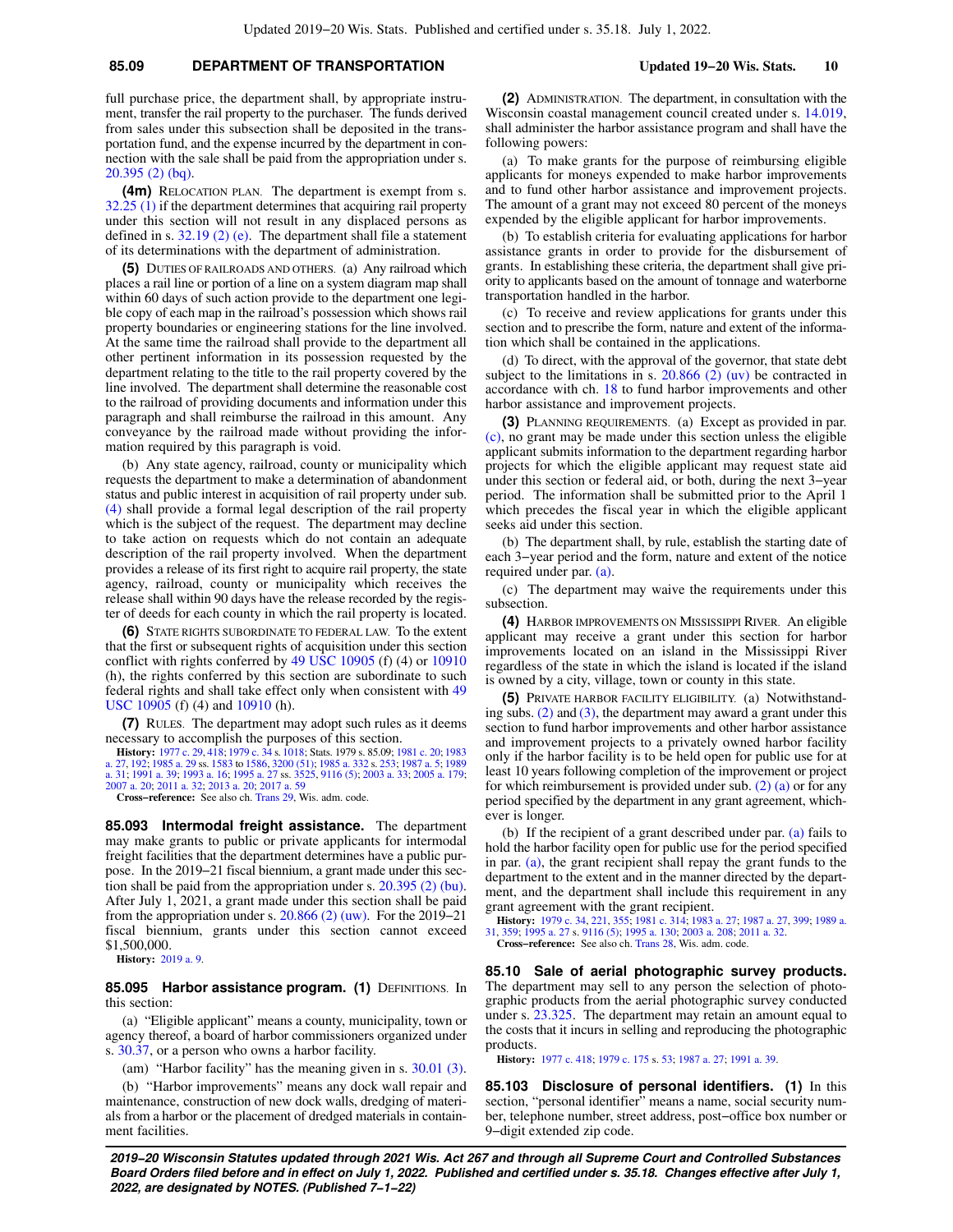# **85.09 DEPARTMENT OF TRANSPORTATION Updated 19−20 Wis. Stats. 10**

full purchase price, the department shall, by appropriate instrument, transfer the rail property to the purchaser. The funds derived from sales under this subsection shall be deposited in the transportation fund, and the expense incurred by the department in connection with the sale shall be paid from the appropriation under s. [20.395 \(2\) \(bq\).](https://docs.legis.wisconsin.gov/document/statutes/20.395(2)(bq))

**(4m)** RELOCATION PLAN. The department is exempt from s. [32.25 \(1\)](https://docs.legis.wisconsin.gov/document/statutes/32.25(1)) if the department determines that acquiring rail property under this section will not result in any displaced persons as defined in s.  $32.19$  (2) (e). The department shall file a statement of its determinations with the department of administration.

**(5)** DUTIES OF RAILROADS AND OTHERS. (a) Any railroad which places a rail line or portion of a line on a system diagram map shall within 60 days of such action provide to the department one legible copy of each map in the railroad's possession which shows rail property boundaries or engineering stations for the line involved. At the same time the railroad shall provide to the department all other pertinent information in its possession requested by the department relating to the title to the rail property covered by the line involved. The department shall determine the reasonable cost to the railroad of providing documents and information under this paragraph and shall reimburse the railroad in this amount. Any conveyance by the railroad made without providing the information required by this paragraph is void.

(b) Any state agency, railroad, county or municipality which requests the department to make a determination of abandonment status and public interest in acquisition of rail property under sub. [\(4\)](https://docs.legis.wisconsin.gov/document/statutes/85.09(4)) shall provide a formal legal description of the rail property which is the subject of the request. The department may decline to take action on requests which do not contain an adequate description of the rail property involved. When the department provides a release of its first right to acquire rail property, the state agency, railroad, county or municipality which receives the release shall within 90 days have the release recorded by the register of deeds for each county in which the rail property is located.

**(6)** STATE RIGHTS SUBORDINATE TO FEDERAL LAW. To the extent that the first or subsequent rights of acquisition under this section conflict with rights conferred by [49 USC 10905](https://docs.legis.wisconsin.gov/document/usc/49%20USC%2010905) (f) (4) or [10910](https://docs.legis.wisconsin.gov/document/usc/49%20USC%2010910) (h), the rights conferred by this section are subordinate to such federal rights and shall take effect only when consistent with [49](https://docs.legis.wisconsin.gov/document/usc/49%20USC%2010905) [USC 10905](https://docs.legis.wisconsin.gov/document/usc/49%20USC%2010905) (f) (4) and [10910](https://docs.legis.wisconsin.gov/document/usc/49%20USC%2010910) (h).

**(7)** RULES. The department may adopt such rules as it deems necessary to accomplish the purposes of this section.

**History:** [1977 c. 29](https://docs.legis.wisconsin.gov/document/acts/1977/29), [418;](https://docs.legis.wisconsin.gov/document/acts/1977/418) [1979 c. 34](https://docs.legis.wisconsin.gov/document/acts/1979/34) s. [1018;](https://docs.legis.wisconsin.gov/document/acts/1979/34,%20s.%201018) Stats. 1979 s. 85.09; [1981 c. 20;](https://docs.legis.wisconsin.gov/document/acts/1981/20) [1983](https://docs.legis.wisconsin.gov/document/acts/1983/27) [a. 27,](https://docs.legis.wisconsin.gov/document/acts/1983/27) [192](https://docs.legis.wisconsin.gov/document/acts/1983/192); [1985 a. 29](https://docs.legis.wisconsin.gov/document/acts/1985/29) ss. [1583](https://docs.legis.wisconsin.gov/document/acts/1985/29,%20s.%201583) to [1586,](https://docs.legis.wisconsin.gov/document/acts/1985/29,%20s.%201586) [3200 \(51\);](https://docs.legis.wisconsin.gov/document/acts/1985/29,%20s.%203200) [1985 a. 332](https://docs.legis.wisconsin.gov/document/acts/1985/332) s. [253;](https://docs.legis.wisconsin.gov/document/acts/1985/332,%20s.%20253) [1987 a. 5;](https://docs.legis.wisconsin.gov/document/acts/1987/5) [1989](https://docs.legis.wisconsin.gov/document/acts/1989/31) [a. 31](https://docs.legis.wisconsin.gov/document/acts/1989/31); [1991 a. 39;](https://docs.legis.wisconsin.gov/document/acts/1991/39) [1993 a. 16](https://docs.legis.wisconsin.gov/document/acts/1993/16); [1995 a. 27](https://docs.legis.wisconsin.gov/document/acts/1995/27) ss. [3525,](https://docs.legis.wisconsin.gov/document/acts/1995/27,%20s.%203525) [9116 \(5\);](https://docs.legis.wisconsin.gov/document/acts/1995/27,%20s.%209116) [2003 a. 33](https://docs.legis.wisconsin.gov/document/acts/2003/33); [2005 a. 179](https://docs.legis.wisconsin.gov/document/acts/2005/179); [2007 a. 20](https://docs.legis.wisconsin.gov/document/acts/2007/20); [2011 a. 32](https://docs.legis.wisconsin.gov/document/acts/2011/32); [2013 a. 20](https://docs.legis.wisconsin.gov/document/acts/2013/20); [2017 a. 59](https://docs.legis.wisconsin.gov/document/acts/2017/59)

**Cross−reference:** See also ch. [Trans 29,](https://docs.legis.wisconsin.gov/document/administrativecode/ch.%20Trans%2029) Wis. adm. code.

**85.093 Intermodal freight assistance.** The department may make grants to public or private applicants for intermodal freight facilities that the department determines have a public purpose. In the 2019−21 fiscal biennium, a grant made under this section shall be paid from the appropriation under s. [20.395 \(2\) \(bu\).](https://docs.legis.wisconsin.gov/document/statutes/20.395(2)(bu)) After July 1, 2021, a grant made under this section shall be paid from the appropriation under s. [20.866 \(2\) \(uw\).](https://docs.legis.wisconsin.gov/document/statutes/20.866(2)(uw)) For the 2019−21 fiscal biennium, grants under this section cannot exceed \$1,500,000.

**History:** [2019 a. 9](https://docs.legis.wisconsin.gov/document/acts/2019/9).

**85.095 Harbor assistance program. (1)** DEFINITIONS. In this section:

(a) "Eligible applicant" means a county, municipality, town or agency thereof, a board of harbor commissioners organized under s. [30.37](https://docs.legis.wisconsin.gov/document/statutes/30.37), or a person who owns a harbor facility.

(am) "Harbor facility" has the meaning given in s. [30.01 \(3\).](https://docs.legis.wisconsin.gov/document/statutes/30.01(3))

(b) "Harbor improvements" means any dock wall repair and maintenance, construction of new dock walls, dredging of materials from a harbor or the placement of dredged materials in containment facilities.

**(2)** ADMINISTRATION. The department, in consultation with the Wisconsin coastal management council created under s. [14.019,](https://docs.legis.wisconsin.gov/document/statutes/14.019) shall administer the harbor assistance program and shall have the following powers:

(a) To make grants for the purpose of reimbursing eligible applicants for moneys expended to make harbor improvements and to fund other harbor assistance and improvement projects. The amount of a grant may not exceed 80 percent of the moneys expended by the eligible applicant for harbor improvements.

(b) To establish criteria for evaluating applications for harbor assistance grants in order to provide for the disbursement of grants. In establishing these criteria, the department shall give priority to applicants based on the amount of tonnage and waterborne transportation handled in the harbor.

(c) To receive and review applications for grants under this section and to prescribe the form, nature and extent of the information which shall be contained in the applications.

(d) To direct, with the approval of the governor, that state debt subject to the limitations in s.  $20.866$  (2) (uv) be contracted in accordance with ch. [18](https://docs.legis.wisconsin.gov/document/statutes/ch.%2018) to fund harbor improvements and other harbor assistance and improvement projects.

**(3)** PLANNING REQUIREMENTS. (a) Except as provided in par. [\(c\)](https://docs.legis.wisconsin.gov/document/statutes/85.095(3)(c)), no grant may be made under this section unless the eligible applicant submits information to the department regarding harbor projects for which the eligible applicant may request state aid under this section or federal aid, or both, during the next 3−year period. The information shall be submitted prior to the April 1 which precedes the fiscal year in which the eligible applicant seeks aid under this section.

(b) The department shall, by rule, establish the starting date of each 3−year period and the form, nature and extent of the notice required under par. [\(a\).](https://docs.legis.wisconsin.gov/document/statutes/85.095(3)(a))

(c) The department may waive the requirements under this subsection.

**(4)** HARBOR IMPROVEMENTS ON MISSISSIPPI RIVER. An eligible applicant may receive a grant under this section for harbor improvements located on an island in the Mississippi River regardless of the state in which the island is located if the island is owned by a city, village, town or county in this state.

**(5)** PRIVATE HARBOR FACILITY ELIGIBILITY. (a) Notwithstanding subs.  $(2)$  and  $(3)$ , the department may award a grant under this section to fund harbor improvements and other harbor assistance and improvement projects to a privately owned harbor facility only if the harbor facility is to be held open for public use for at least 10 years following completion of the improvement or project for which reimbursement is provided under sub.  $(2)$  (a) or for any period specified by the department in any grant agreement, whichever is longer.

(b) If the recipient of a grant described under par. [\(a\)](https://docs.legis.wisconsin.gov/document/statutes/85.095(5)(a)) fails to hold the harbor facility open for public use for the period specified in par. [\(a\),](https://docs.legis.wisconsin.gov/document/statutes/85.095(5)(a)) the grant recipient shall repay the grant funds to the department to the extent and in the manner directed by the department, and the department shall include this requirement in any grant agreement with the grant recipient.

**History:** [1979 c. 34,](https://docs.legis.wisconsin.gov/document/acts/1979/34) [221,](https://docs.legis.wisconsin.gov/document/acts/1979/221) [355;](https://docs.legis.wisconsin.gov/document/acts/1979/355) [1981 c. 314;](https://docs.legis.wisconsin.gov/document/acts/1981/314) [1983 a. 27](https://docs.legis.wisconsin.gov/document/acts/1983/27); [1987 a. 27](https://docs.legis.wisconsin.gov/document/acts/1987/27), [399](https://docs.legis.wisconsin.gov/document/acts/1987/399); [1989 a.](https://docs.legis.wisconsin.gov/document/acts/1989/31) [31](https://docs.legis.wisconsin.gov/document/acts/1989/31), [359](https://docs.legis.wisconsin.gov/document/acts/1989/359); [1995 a. 27](https://docs.legis.wisconsin.gov/document/acts/1995/27) s. [9116 \(5\);](https://docs.legis.wisconsin.gov/document/acts/1995/27,%20s.%209116) [1995 a. 130;](https://docs.legis.wisconsin.gov/document/acts/1995/130) [2003 a. 208](https://docs.legis.wisconsin.gov/document/acts/2003/208); [2011 a. 32](https://docs.legis.wisconsin.gov/document/acts/2011/32). **Cross−reference:** See also ch. [Trans 28,](https://docs.legis.wisconsin.gov/document/administrativecode/ch.%20Trans%2028) Wis. adm. code.

**85.10 Sale of aerial photographic survey products.** The department may sell to any person the selection of photographic products from the aerial photographic survey conducted under s. [23.325.](https://docs.legis.wisconsin.gov/document/statutes/23.325) The department may retain an amount equal to the costs that it incurs in selling and reproducing the photographic products.

**History:** [1977 c. 418;](https://docs.legis.wisconsin.gov/document/acts/1977/418) [1979 c. 175](https://docs.legis.wisconsin.gov/document/acts/1979/175) s. [53](https://docs.legis.wisconsin.gov/document/acts/1979/175,%20s.%2053); [1987 a. 27](https://docs.legis.wisconsin.gov/document/acts/1987/27); [1991 a. 39.](https://docs.legis.wisconsin.gov/document/acts/1991/39)

**85.103 Disclosure of personal identifiers. (1)** In this section, "personal identifier" means a name, social security number, telephone number, street address, post−office box number or 9−digit extended zip code.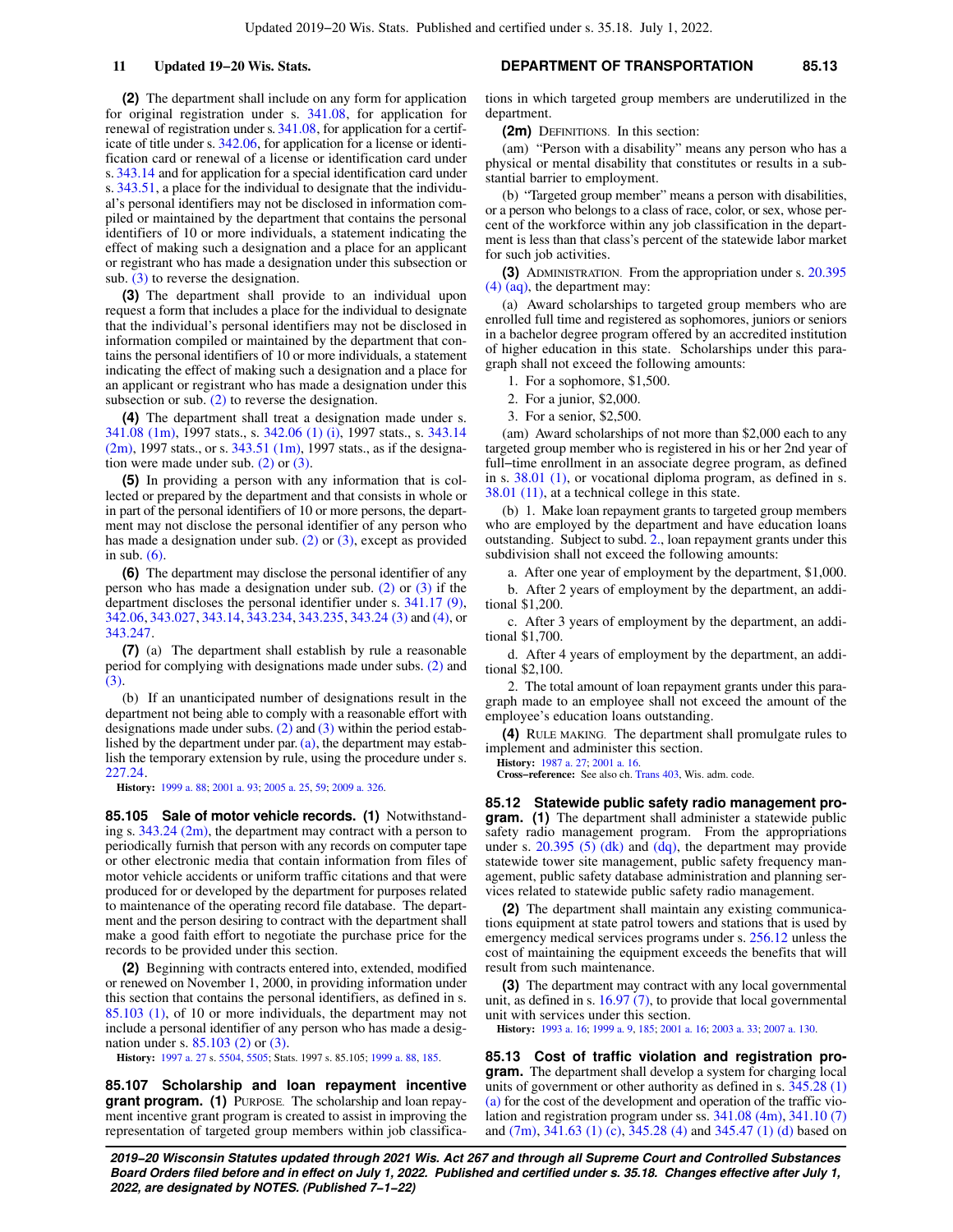**(2)** The department shall include on any form for application for original registration under s. [341.08](https://docs.legis.wisconsin.gov/document/statutes/341.08), for application for renewal of registration under s. [341.08](https://docs.legis.wisconsin.gov/document/statutes/341.08), for application for a certificate of title under s. [342.06](https://docs.legis.wisconsin.gov/document/statutes/342.06), for application for a license or identification card or renewal of a license or identification card under s. [343.14](https://docs.legis.wisconsin.gov/document/statutes/343.14) and for application for a special identification card under s. [343.51](https://docs.legis.wisconsin.gov/document/statutes/343.51), a place for the individual to designate that the individual's personal identifiers may not be disclosed in information compiled or maintained by the department that contains the personal identifiers of 10 or more individuals, a statement indicating the effect of making such a designation and a place for an applicant or registrant who has made a designation under this subsection or sub.  $(3)$  to reverse the designation.

**(3)** The department shall provide to an individual upon request a form that includes a place for the individual to designate that the individual's personal identifiers may not be disclosed in information compiled or maintained by the department that contains the personal identifiers of 10 or more individuals, a statement indicating the effect of making such a designation and a place for an applicant or registrant who has made a designation under this subsection or sub.  $(2)$  to reverse the designation.

**(4)** The department shall treat a designation made under s. [341.08 \(1m\),](https://docs.legis.wisconsin.gov/document/statutes/1997/341.08(1m)) 1997 stats., s. [342.06 \(1\) \(i\)](https://docs.legis.wisconsin.gov/document/statutes/1997/342.06(1)(i)), 1997 stats., s. [343.14](https://docs.legis.wisconsin.gov/document/statutes/1997/343.14(2m))  $(2m)$ , 1997 stats., or s. [343.51 \(1m\)](https://docs.legis.wisconsin.gov/document/statutes/1997/343.51(1m)), 1997 stats., as if the designation were made under sub. [\(2\)](https://docs.legis.wisconsin.gov/document/statutes/85.103(2)) or [\(3\).](https://docs.legis.wisconsin.gov/document/statutes/85.103(3))

**(5)** In providing a person with any information that is collected or prepared by the department and that consists in whole or in part of the personal identifiers of 10 or more persons, the department may not disclose the personal identifier of any person who has made a designation under sub.  $(2)$  or  $(3)$ , except as provided in sub.  $(6)$ .

**(6)** The department may disclose the personal identifier of any person who has made a designation under sub. [\(2\)](https://docs.legis.wisconsin.gov/document/statutes/85.103(2)) or [\(3\)](https://docs.legis.wisconsin.gov/document/statutes/85.103(3)) if the department discloses the personal identifier under s. [341.17 \(9\),](https://docs.legis.wisconsin.gov/document/statutes/341.17(9)) [342.06,](https://docs.legis.wisconsin.gov/document/statutes/342.06) [343.027,](https://docs.legis.wisconsin.gov/document/statutes/343.027) [343.14,](https://docs.legis.wisconsin.gov/document/statutes/343.14) [343.234,](https://docs.legis.wisconsin.gov/document/statutes/343.234) [343.235](https://docs.legis.wisconsin.gov/document/statutes/343.235), [343.24 \(3\)](https://docs.legis.wisconsin.gov/document/statutes/343.24(3)) and [\(4\),](https://docs.legis.wisconsin.gov/document/statutes/343.24(4)) or [343.247](https://docs.legis.wisconsin.gov/document/statutes/343.247).

**(7)** (a) The department shall establish by rule a reasonable period for complying with designations made under subs. [\(2\)](https://docs.legis.wisconsin.gov/document/statutes/85.103(2)) and [\(3\)](https://docs.legis.wisconsin.gov/document/statutes/85.103(3)).

(b) If an unanticipated number of designations result in the department not being able to comply with a reasonable effort with designations made under subs.  $(2)$  and  $(3)$  within the period established by the department under par. [\(a\)](https://docs.legis.wisconsin.gov/document/statutes/85.103(7)(a)), the department may establish the temporary extension by rule, using the procedure under s. [227.24.](https://docs.legis.wisconsin.gov/document/statutes/227.24)

**History:** [1999 a. 88;](https://docs.legis.wisconsin.gov/document/acts/1999/88) [2001 a. 93;](https://docs.legis.wisconsin.gov/document/acts/2001/93) [2005 a. 25](https://docs.legis.wisconsin.gov/document/acts/2005/25), [59;](https://docs.legis.wisconsin.gov/document/acts/2005/59) [2009 a. 326](https://docs.legis.wisconsin.gov/document/acts/2009/326).

**85.105 Sale of motor vehicle records. (1)** Notwithstanding s. [343.24 \(2m\),](https://docs.legis.wisconsin.gov/document/statutes/343.24(2m)) the department may contract with a person to periodically furnish that person with any records on computer tape or other electronic media that contain information from files of motor vehicle accidents or uniform traffic citations and that were produced for or developed by the department for purposes related to maintenance of the operating record file database. The department and the person desiring to contract with the department shall make a good faith effort to negotiate the purchase price for the records to be provided under this section.

**(2)** Beginning with contracts entered into, extended, modified or renewed on November 1, 2000, in providing information under this section that contains the personal identifiers, as defined in s. [85.103 \(1\)](https://docs.legis.wisconsin.gov/document/statutes/85.103(1)), of 10 or more individuals, the department may not include a personal identifier of any person who has made a designation under s. [85.103 \(2\)](https://docs.legis.wisconsin.gov/document/statutes/85.103(2)) or [\(3\).](https://docs.legis.wisconsin.gov/document/statutes/85.103(3))

**History:** [1997 a. 27](https://docs.legis.wisconsin.gov/document/acts/1997/27) s. [5504,](https://docs.legis.wisconsin.gov/document/acts/1997/27,%20s.%205504) [5505](https://docs.legis.wisconsin.gov/document/acts/1997/27,%20s.%205505); Stats. 1997 s. 85.105; [1999 a. 88,](https://docs.legis.wisconsin.gov/document/acts/1999/88) [185.](https://docs.legis.wisconsin.gov/document/acts/1999/185)

**85.107 Scholarship and loan repayment incentive grant program. (1)** PURPOSE. The scholarship and loan repayment incentive grant program is created to assist in improving the representation of targeted group members within job classifica-

### **11 Updated 19−20 Wis. Stats. DEPARTMENT OF TRANSPORTATION 85.13**

tions in which targeted group members are underutilized in the department.

**(2m)** DEFINITIONS. In this section:

(am) "Person with a disability" means any person who has a physical or mental disability that constitutes or results in a substantial barrier to employment.

(b) "Targeted group member" means a person with disabilities, or a person who belongs to a class of race, color, or sex, whose percent of the workforce within any job classification in the department is less than that class's percent of the statewide labor market for such job activities.

**(3)** ADMINISTRATION. From the appropriation under s. [20.395](https://docs.legis.wisconsin.gov/document/statutes/20.395(4)(aq)) [\(4\) \(aq\)](https://docs.legis.wisconsin.gov/document/statutes/20.395(4)(aq)), the department may:

(a) Award scholarships to targeted group members who are enrolled full time and registered as sophomores, juniors or seniors in a bachelor degree program offered by an accredited institution of higher education in this state. Scholarships under this paragraph shall not exceed the following amounts:

- 1. For a sophomore, \$1,500.
- 2. For a junior, \$2,000.

3. For a senior, \$2,500.

(am) Award scholarships of not more than \$2,000 each to any targeted group member who is registered in his or her 2nd year of full−time enrollment in an associate degree program, as defined in s. [38.01 \(1\)](https://docs.legis.wisconsin.gov/document/statutes/38.01(1)), or vocational diploma program, as defined in s. [38.01 \(11\)](https://docs.legis.wisconsin.gov/document/statutes/38.01(11)), at a technical college in this state.

(b) 1. Make loan repayment grants to targeted group members who are employed by the department and have education loans outstanding. Subject to subd. [2.,](https://docs.legis.wisconsin.gov/document/statutes/85.107(3)(b)2.) loan repayment grants under this subdivision shall not exceed the following amounts:

a. After one year of employment by the department, \$1,000.

b. After 2 years of employment by the department, an additional \$1,200.

c. After 3 years of employment by the department, an additional \$1,700.

d. After 4 years of employment by the department, an additional \$2,100.

2. The total amount of loan repayment grants under this paragraph made to an employee shall not exceed the amount of the employee's education loans outstanding.

**(4)** RULE MAKING. The department shall promulgate rules to implement and administer this section.

**History:** [1987 a. 27](https://docs.legis.wisconsin.gov/document/acts/1987/27); [2001 a. 16](https://docs.legis.wisconsin.gov/document/acts/2001/16). **Cross−reference:** See also ch. [Trans 403](https://docs.legis.wisconsin.gov/document/administrativecode/ch.%20Trans%20403), Wis. adm. code.

**85.12 Statewide public safety radio management program. (1)** The department shall administer a statewide public safety radio management program. From the appropriations under s. [20.395 \(5\) \(dk\)](https://docs.legis.wisconsin.gov/document/statutes/20.395(5)(dk)) and [\(dq\)](https://docs.legis.wisconsin.gov/document/statutes/20.395(5)(dq)), the department may provide statewide tower site management, public safety frequency management, public safety database administration and planning services related to statewide public safety radio management.

**(2)** The department shall maintain any existing communications equipment at state patrol towers and stations that is used by emergency medical services programs under s. [256.12](https://docs.legis.wisconsin.gov/document/statutes/256.12) unless the cost of maintaining the equipment exceeds the benefits that will result from such maintenance.

**(3)** The department may contract with any local governmental unit, as defined in s. [16.97 \(7\)](https://docs.legis.wisconsin.gov/document/statutes/16.97(7)), to provide that local governmental unit with services under this section.

**History:** [1993 a. 16](https://docs.legis.wisconsin.gov/document/acts/1993/16); [1999 a. 9,](https://docs.legis.wisconsin.gov/document/acts/1999/9) [185;](https://docs.legis.wisconsin.gov/document/acts/1999/185) [2001 a. 16;](https://docs.legis.wisconsin.gov/document/acts/2001/16) [2003 a. 33](https://docs.legis.wisconsin.gov/document/acts/2003/33); [2007 a. 130.](https://docs.legis.wisconsin.gov/document/acts/2007/130)

**85.13 Cost of traffic violation and registration program.** The department shall develop a system for charging local units of government or other authority as defined in s. [345.28 \(1\)](https://docs.legis.wisconsin.gov/document/statutes/345.28(1)(a)) [\(a\)](https://docs.legis.wisconsin.gov/document/statutes/345.28(1)(a)) for the cost of the development and operation of the traffic violation and registration program under ss. [341.08 \(4m\),](https://docs.legis.wisconsin.gov/document/statutes/341.08(4m)) [341.10 \(7\)](https://docs.legis.wisconsin.gov/document/statutes/341.10(7)) and [\(7m\),](https://docs.legis.wisconsin.gov/document/statutes/341.10(7m)) [341.63 \(1\) \(c\),](https://docs.legis.wisconsin.gov/document/statutes/341.63(1)(c)) [345.28 \(4\)](https://docs.legis.wisconsin.gov/document/statutes/345.28(4)) and [345.47 \(1\) \(d\)](https://docs.legis.wisconsin.gov/document/statutes/345.47(1)(d)) based on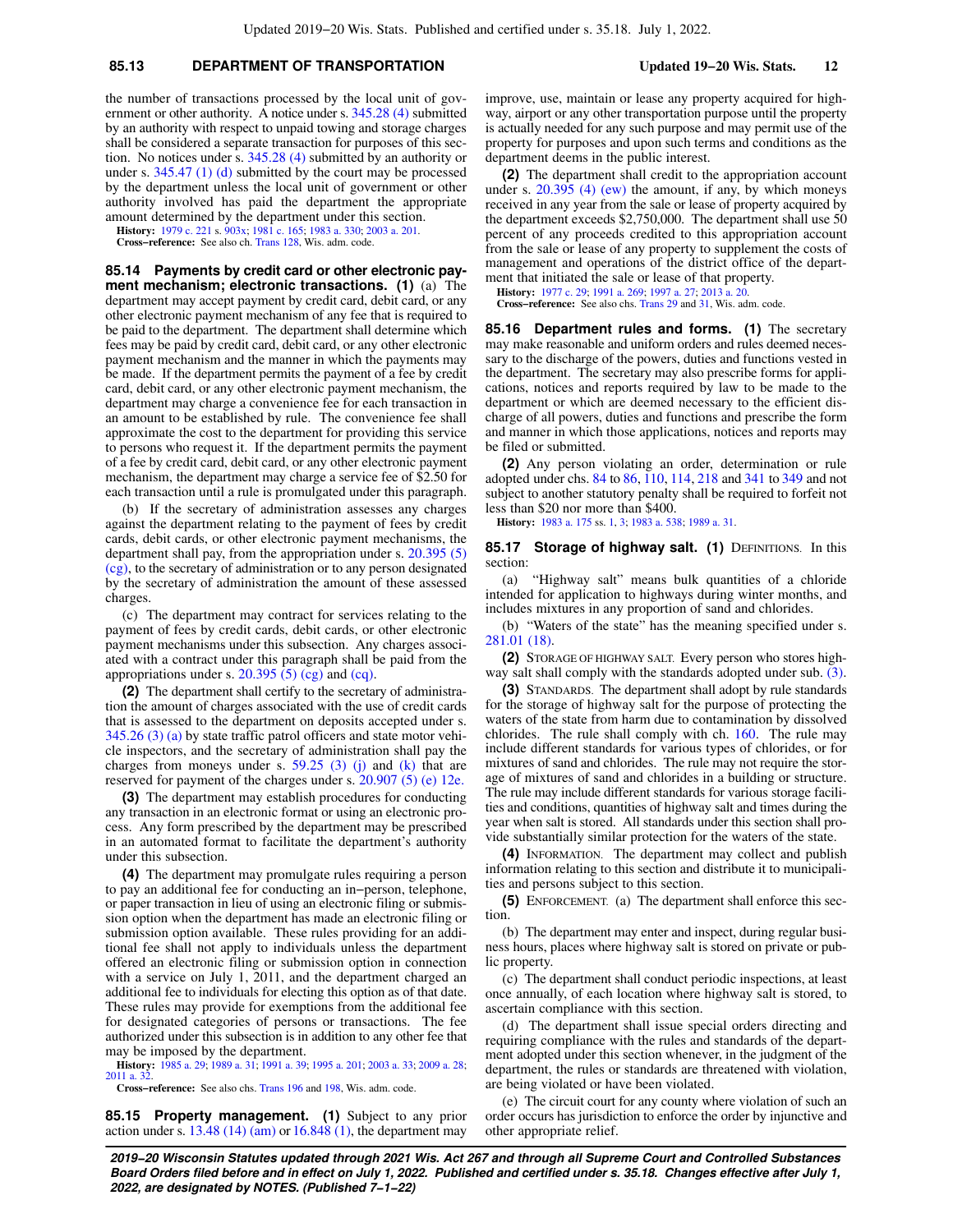### **85.13 DEPARTMENT OF TRANSPORTATION Updated 19−20 Wis. Stats. 12**

the number of transactions processed by the local unit of government or other authority. A notice under s. [345.28 \(4\)](https://docs.legis.wisconsin.gov/document/statutes/345.28(4)) submitted by an authority with respect to unpaid towing and storage charges shall be considered a separate transaction for purposes of this section. No notices under s. [345.28 \(4\)](https://docs.legis.wisconsin.gov/document/statutes/345.28(4)) submitted by an authority or under s. [345.47 \(1\) \(d\)](https://docs.legis.wisconsin.gov/document/statutes/345.47(1)(d)) submitted by the court may be processed by the department unless the local unit of government or other authority involved has paid the department the appropriate amount determined by the department under this section.

**History:** [1979 c. 221](https://docs.legis.wisconsin.gov/document/acts/1979/221) s. [903x](https://docs.legis.wisconsin.gov/document/acts/1979/221,%20s.%20903x); [1981 c. 165](https://docs.legis.wisconsin.gov/document/acts/1981/165); [1983 a. 330;](https://docs.legis.wisconsin.gov/document/acts/1983/330) [2003 a. 201](https://docs.legis.wisconsin.gov/document/acts/2003/201). **Cross−reference:** See also ch. [Trans 128](https://docs.legis.wisconsin.gov/document/administrativecode/ch.%20Trans%20128), Wis. adm. code.

**85.14 Payments by credit card or other electronic payment mechanism; electronic transactions. (1)** (a) The department may accept payment by credit card, debit card, or any other electronic payment mechanism of any fee that is required to be paid to the department. The department shall determine which fees may be paid by credit card, debit card, or any other electronic payment mechanism and the manner in which the payments may be made. If the department permits the payment of a fee by credit card, debit card, or any other electronic payment mechanism, the department may charge a convenience fee for each transaction in an amount to be established by rule. The convenience fee shall approximate the cost to the department for providing this service to persons who request it. If the department permits the payment of a fee by credit card, debit card, or any other electronic payment mechanism, the department may charge a service fee of \$2.50 for each transaction until a rule is promulgated under this paragraph.

(b) If the secretary of administration assesses any charges against the department relating to the payment of fees by credit cards, debit cards, or other electronic payment mechanisms, the department shall pay, from the appropriation under s. [20.395 \(5\)](https://docs.legis.wisconsin.gov/document/statutes/20.395(5)(cg)) [\(cg\)](https://docs.legis.wisconsin.gov/document/statutes/20.395(5)(cg)), to the secretary of administration or to any person designated by the secretary of administration the amount of these assessed charges.

(c) The department may contract for services relating to the payment of fees by credit cards, debit cards, or other electronic payment mechanisms under this subsection. Any charges associated with a contract under this paragraph shall be paid from the appropriations under s.  $20.395(5)(cg)$  and [\(cq\)](https://docs.legis.wisconsin.gov/document/statutes/20.395(5)(cq)).

**(2)** The department shall certify to the secretary of administration the amount of charges associated with the use of credit cards that is assessed to the department on deposits accepted under s. [345.26 \(3\) \(a\)](https://docs.legis.wisconsin.gov/document/statutes/345.26(3)(a)) by state traffic patrol officers and state motor vehicle inspectors, and the secretary of administration shall pay the charges from moneys under s.  $59.25$  (3) (j) and [\(k\)](https://docs.legis.wisconsin.gov/document/statutes/59.25(3)(k)) that are reserved for payment of the charges under s. [20.907 \(5\) \(e\) 12e.](https://docs.legis.wisconsin.gov/document/statutes/20.907(5)(e)12e.)

**(3)** The department may establish procedures for conducting any transaction in an electronic format or using an electronic process. Any form prescribed by the department may be prescribed in an automated format to facilitate the department's authority under this subsection.

**(4)** The department may promulgate rules requiring a person to pay an additional fee for conducting an in−person, telephone, or paper transaction in lieu of using an electronic filing or submission option when the department has made an electronic filing or submission option available. These rules providing for an additional fee shall not apply to individuals unless the department offered an electronic filing or submission option in connection with a service on July 1, 2011, and the department charged an additional fee to individuals for electing this option as of that date. These rules may provide for exemptions from the additional fee for designated categories of persons or transactions. The fee authorized under this subsection is in addition to any other fee that may be imposed by the department.

**History:** [1985 a. 29;](https://docs.legis.wisconsin.gov/document/acts/1985/29) [1989 a. 31](https://docs.legis.wisconsin.gov/document/acts/1989/31); [1991 a. 39;](https://docs.legis.wisconsin.gov/document/acts/1991/39) [1995 a. 201;](https://docs.legis.wisconsin.gov/document/acts/1995/201) [2003 a. 33;](https://docs.legis.wisconsin.gov/document/acts/2003/33) [2009 a. 28](https://docs.legis.wisconsin.gov/document/acts/2009/28); [2011 a. 32.](https://docs.legis.wisconsin.gov/document/acts/2011/32)

**Cross−reference:** See also chs. [Trans 196](https://docs.legis.wisconsin.gov/document/administrativecode/ch.%20Trans%20196) and [198](https://docs.legis.wisconsin.gov/document/administrativecode/ch.%20Trans%20198), Wis. adm. code.

**85.15 Property management. (1)** Subject to any prior action under s. [13.48 \(14\) \(am\)](https://docs.legis.wisconsin.gov/document/statutes/13.48(14)(am)) or [16.848 \(1\)](https://docs.legis.wisconsin.gov/document/statutes/16.848(1)), the department may

improve, use, maintain or lease any property acquired for highway, airport or any other transportation purpose until the property is actually needed for any such purpose and may permit use of the property for purposes and upon such terms and conditions as the department deems in the public interest.

**(2)** The department shall credit to the appropriation account under s. [20.395 \(4\) \(ew\)](https://docs.legis.wisconsin.gov/document/statutes/20.395(4)(ew)) the amount, if any, by which moneys received in any year from the sale or lease of property acquired by the department exceeds \$2,750,000. The department shall use 50 percent of any proceeds credited to this appropriation account from the sale or lease of any property to supplement the costs of management and operations of the district office of the department that initiated the sale or lease of that property.

**History:** [1977 c. 29](https://docs.legis.wisconsin.gov/document/acts/1977/29); [1991 a. 269;](https://docs.legis.wisconsin.gov/document/acts/1991/269) [1997 a. 27;](https://docs.legis.wisconsin.gov/document/acts/1997/27) [2013 a. 20](https://docs.legis.wisconsin.gov/document/acts/2013/20).

**Cross−reference:** See also chs. [Trans 29](https://docs.legis.wisconsin.gov/document/administrativecode/ch.%20Trans%2029) and [31](https://docs.legis.wisconsin.gov/document/administrativecode/ch.%20Trans%2031), Wis. adm. code.

**85.16 Department rules and forms. (1)** The secretary may make reasonable and uniform orders and rules deemed necessary to the discharge of the powers, duties and functions vested in the department. The secretary may also prescribe forms for applications, notices and reports required by law to be made to the department or which are deemed necessary to the efficient discharge of all powers, duties and functions and prescribe the form and manner in which those applications, notices and reports may be filed or submitted.

**(2)** Any person violating an order, determination or rule adopted under chs. [84](https://docs.legis.wisconsin.gov/document/statutes/ch.%2084) to [86,](https://docs.legis.wisconsin.gov/document/statutes/ch.%2086) [110,](https://docs.legis.wisconsin.gov/document/statutes/ch.%20110) [114](https://docs.legis.wisconsin.gov/document/statutes/ch.%20114), [218](https://docs.legis.wisconsin.gov/document/statutes/ch.%20218) and [341](https://docs.legis.wisconsin.gov/document/statutes/ch.%20341) to [349](https://docs.legis.wisconsin.gov/document/statutes/ch.%20349) and not subject to another statutory penalty shall be required to forfeit not less than \$20 nor more than \$400.

**History:** [1983 a. 175](https://docs.legis.wisconsin.gov/document/acts/1983/175) ss. [1,](https://docs.legis.wisconsin.gov/document/acts/1983/175,%20s.%201) [3;](https://docs.legis.wisconsin.gov/document/acts/1983/175,%20s.%203) [1983 a. 538;](https://docs.legis.wisconsin.gov/document/acts/1983/538) [1989 a. 31.](https://docs.legis.wisconsin.gov/document/acts/1989/31)

85.17 Storage of highway salt. (1) DEFINITIONS. In this section:

(a) "Highway salt" means bulk quantities of a chloride intended for application to highways during winter months, and includes mixtures in any proportion of sand and chlorides.

(b) "Waters of the state" has the meaning specified under s. [281.01 \(18\)](https://docs.legis.wisconsin.gov/document/statutes/281.01(18)).

**(2)** STORAGE OF HIGHWAY SALT. Every person who stores highway salt shall comply with the standards adopted under sub. [\(3\).](https://docs.legis.wisconsin.gov/document/statutes/85.17(3))

**(3)** STANDARDS. The department shall adopt by rule standards for the storage of highway salt for the purpose of protecting the waters of the state from harm due to contamination by dissolved chlorides. The rule shall comply with ch. [160.](https://docs.legis.wisconsin.gov/document/statutes/ch.%20160) The rule may include different standards for various types of chlorides, or for mixtures of sand and chlorides. The rule may not require the storage of mixtures of sand and chlorides in a building or structure. The rule may include different standards for various storage facilities and conditions, quantities of highway salt and times during the year when salt is stored. All standards under this section shall provide substantially similar protection for the waters of the state.

**(4)** INFORMATION. The department may collect and publish information relating to this section and distribute it to municipalities and persons subject to this section.

**(5)** ENFORCEMENT. (a) The department shall enforce this section.

(b) The department may enter and inspect, during regular business hours, places where highway salt is stored on private or public property.

(c) The department shall conduct periodic inspections, at least once annually, of each location where highway salt is stored, to ascertain compliance with this section.

(d) The department shall issue special orders directing and requiring compliance with the rules and standards of the department adopted under this section whenever, in the judgment of the department, the rules or standards are threatened with violation, are being violated or have been violated.

(e) The circuit court for any county where violation of such an order occurs has jurisdiction to enforce the order by injunctive and other appropriate relief.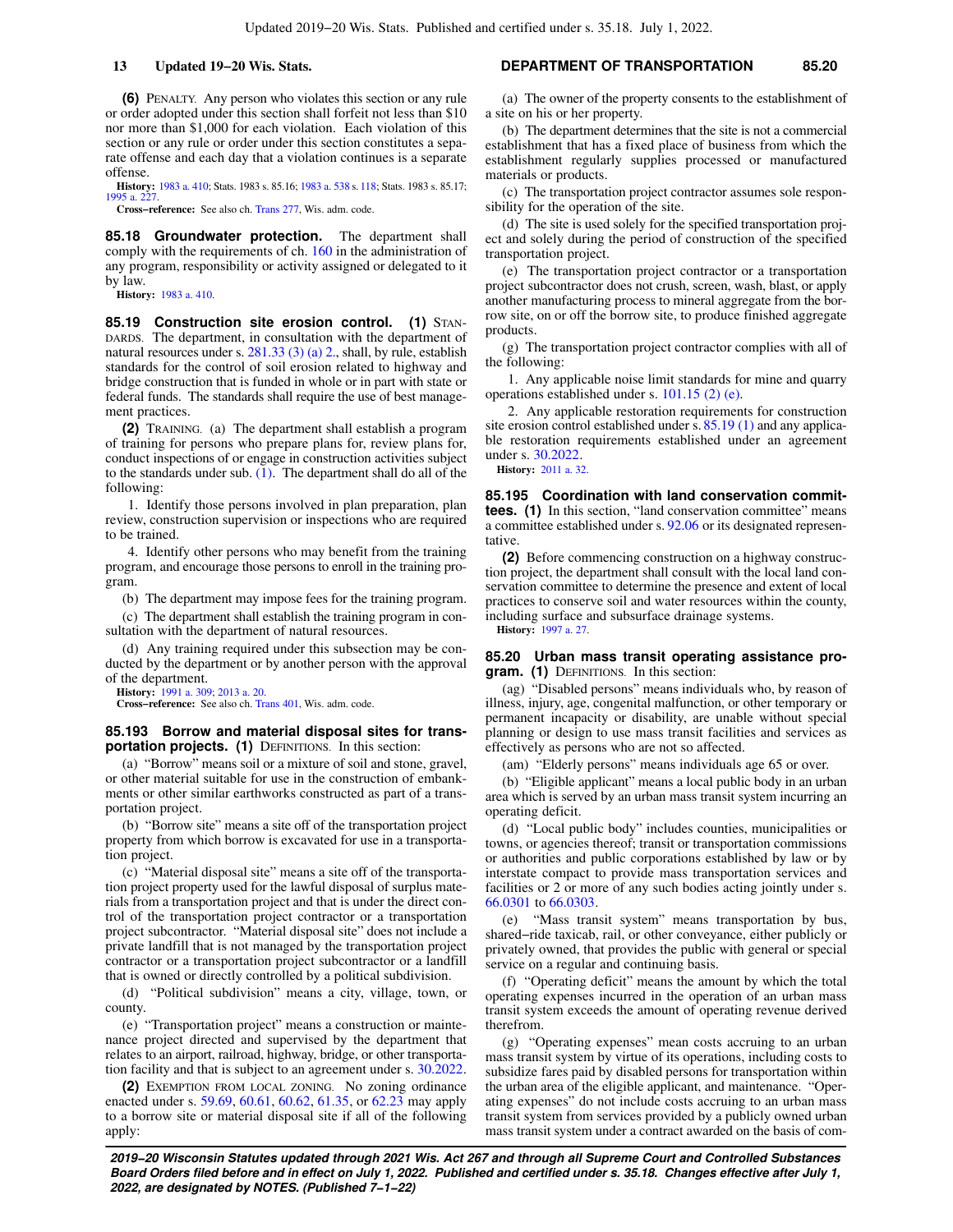**(6)** PENALTY. Any person who violates this section or any rule or order adopted under this section shall forfeit not less than \$10 nor more than \$1,000 for each violation. Each violation of this section or any rule or order under this section constitutes a separate offense and each day that a violation continues is a separate offense.

**History:** [1983 a. 410;](https://docs.legis.wisconsin.gov/document/acts/1983/410) Stats. 1983 s. 85.16; [1983 a. 538](https://docs.legis.wisconsin.gov/document/acts/1983/538) s. [118;](https://docs.legis.wisconsin.gov/document/acts/1983/538,%20s.%20118) Stats. 1983 s. 85.17;  $1995$  a. 2

**Cross−reference:** See also ch. [Trans 277](https://docs.legis.wisconsin.gov/document/administrativecode/ch.%20Trans%20277), Wis. adm. code.

**85.18 Groundwater protection.** The department shall comply with the requirements of ch. [160](https://docs.legis.wisconsin.gov/document/statutes/ch.%20160) in the administration of any program, responsibility or activity assigned or delegated to it by law.

**History:** [1983 a. 410](https://docs.legis.wisconsin.gov/document/acts/1983/410).

**85.19 Construction site erosion control. (1)** STAN-DARDS. The department, in consultation with the department of natural resources under s. [281.33 \(3\) \(a\) 2.,](https://docs.legis.wisconsin.gov/document/statutes/281.33(3)(a)2.) shall, by rule, establish standards for the control of soil erosion related to highway and bridge construction that is funded in whole or in part with state or federal funds. The standards shall require the use of best management practices.

**(2)** TRAINING. (a) The department shall establish a program of training for persons who prepare plans for, review plans for, conduct inspections of or engage in construction activities subject to the standards under sub.  $(1)$ . The department shall do all of the following:

1. Identify those persons involved in plan preparation, plan review, construction supervision or inspections who are required to be trained.

4. Identify other persons who may benefit from the training program, and encourage those persons to enroll in the training program.

(b) The department may impose fees for the training program.

(c) The department shall establish the training program in consultation with the department of natural resources.

(d) Any training required under this subsection may be conducted by the department or by another person with the approval of the department.

**History:** [1991 a. 309](https://docs.legis.wisconsin.gov/document/acts/1991/309); [2013 a. 20.](https://docs.legis.wisconsin.gov/document/acts/2013/20)

**Cross−reference:** See also ch. [Trans 401](https://docs.legis.wisconsin.gov/document/administrativecode/ch.%20Trans%20401), Wis. adm. code.

#### **85.193 Borrow and material disposal sites for transportation projects. (1)** DEFINITIONS. In this section:

(a) "Borrow" means soil or a mixture of soil and stone, gravel, or other material suitable for use in the construction of embankments or other similar earthworks constructed as part of a transportation project.

(b) "Borrow site" means a site off of the transportation project property from which borrow is excavated for use in a transportation project.

(c) "Material disposal site" means a site off of the transportation project property used for the lawful disposal of surplus materials from a transportation project and that is under the direct control of the transportation project contractor or a transportation project subcontractor. "Material disposal site" does not include a private landfill that is not managed by the transportation project contractor or a transportation project subcontractor or a landfill that is owned or directly controlled by a political subdivision.

(d) "Political subdivision" means a city, village, town, or county.

(e) "Transportation project" means a construction or maintenance project directed and supervised by the department that relates to an airport, railroad, highway, bridge, or other transportation facility and that is subject to an agreement under s. [30.2022.](https://docs.legis.wisconsin.gov/document/statutes/30.2022)

**(2)** EXEMPTION FROM LOCAL ZONING. No zoning ordinance enacted under s. [59.69](https://docs.legis.wisconsin.gov/document/statutes/59.69), [60.61](https://docs.legis.wisconsin.gov/document/statutes/60.61), [60.62,](https://docs.legis.wisconsin.gov/document/statutes/60.62) [61.35,](https://docs.legis.wisconsin.gov/document/statutes/61.35) or [62.23](https://docs.legis.wisconsin.gov/document/statutes/62.23) may apply to a borrow site or material disposal site if all of the following apply:

### **13 Updated 19−20 Wis. Stats. DEPARTMENT OF TRANSPORTATION 85.20**

(a) The owner of the property consents to the establishment of a site on his or her property.

(b) The department determines that the site is not a commercial establishment that has a fixed place of business from which the establishment regularly supplies processed or manufactured materials or products.

(c) The transportation project contractor assumes sole responsibility for the operation of the site.

(d) The site is used solely for the specified transportation project and solely during the period of construction of the specified transportation project.

(e) The transportation project contractor or a transportation project subcontractor does not crush, screen, wash, blast, or apply another manufacturing process to mineral aggregate from the borrow site, on or off the borrow site, to produce finished aggregate products.

(g) The transportation project contractor complies with all of the following:

1. Any applicable noise limit standards for mine and quarry operations established under s. [101.15 \(2\) \(e\)](https://docs.legis.wisconsin.gov/document/statutes/101.15(2)(e)).

2. Any applicable restoration requirements for construction site erosion control established under s. [85.19 \(1\)](https://docs.legis.wisconsin.gov/document/statutes/85.19(1)) and any applicable restoration requirements established under an agreement under s. [30.2022](https://docs.legis.wisconsin.gov/document/statutes/30.2022).

**History:** [2011 a. 32.](https://docs.legis.wisconsin.gov/document/acts/2011/32)

**85.195 Coordination with land conservation committees.** (1) In this section, "land conservation committee" means a committee established under s. [92.06](https://docs.legis.wisconsin.gov/document/statutes/92.06) or its designated representative.

**(2)** Before commencing construction on a highway construction project, the department shall consult with the local land conservation committee to determine the presence and extent of local practices to conserve soil and water resources within the county, including surface and subsurface drainage systems.

**History:** [1997 a. 27](https://docs.legis.wisconsin.gov/document/acts/1997/27).

#### **85.20 Urban mass transit operating assistance program. (1)** DEFINITIONS. In this section:

(ag) "Disabled persons" means individuals who, by reason of illness, injury, age, congenital malfunction, or other temporary or permanent incapacity or disability, are unable without special planning or design to use mass transit facilities and services as effectively as persons who are not so affected.

(am) "Elderly persons" means individuals age 65 or over.

(b) "Eligible applicant" means a local public body in an urban area which is served by an urban mass transit system incurring an operating deficit.

(d) "Local public body" includes counties, municipalities or towns, or agencies thereof; transit or transportation commissions or authorities and public corporations established by law or by interstate compact to provide mass transportation services and facilities or 2 or more of any such bodies acting jointly under s. [66.0301](https://docs.legis.wisconsin.gov/document/statutes/66.0301) to [66.0303.](https://docs.legis.wisconsin.gov/document/statutes/66.0303)

(e) "Mass transit system" means transportation by bus, shared−ride taxicab, rail, or other conveyance, either publicly or privately owned, that provides the public with general or special service on a regular and continuing basis.

(f) "Operating deficit" means the amount by which the total operating expenses incurred in the operation of an urban mass transit system exceeds the amount of operating revenue derived therefrom.

(g) "Operating expenses" mean costs accruing to an urban mass transit system by virtue of its operations, including costs to subsidize fares paid by disabled persons for transportation within the urban area of the eligible applicant, and maintenance. "Operating expenses" do not include costs accruing to an urban mass transit system from services provided by a publicly owned urban mass transit system under a contract awarded on the basis of com-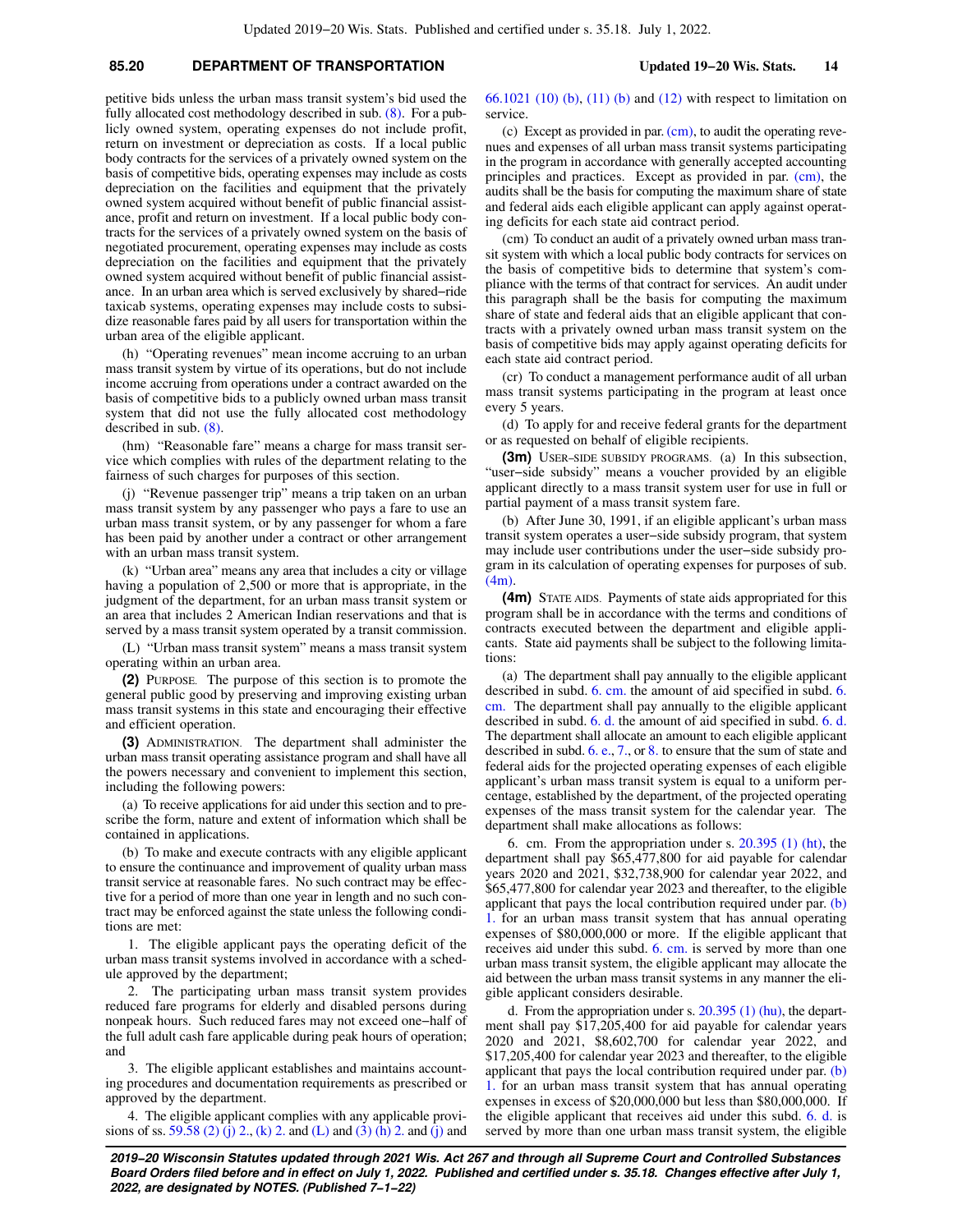# **85.20 DEPARTMENT OF TRANSPORTATION Updated 19−20 Wis. Stats. 14**

petitive bids unless the urban mass transit system's bid used the fully allocated cost methodology described in sub. [\(8\)](https://docs.legis.wisconsin.gov/document/statutes/85.20(8)). For a publicly owned system, operating expenses do not include profit, return on investment or depreciation as costs. If a local public body contracts for the services of a privately owned system on the basis of competitive bids, operating expenses may include as costs depreciation on the facilities and equipment that the privately owned system acquired without benefit of public financial assistance, profit and return on investment. If a local public body contracts for the services of a privately owned system on the basis of negotiated procurement, operating expenses may include as costs depreciation on the facilities and equipment that the privately owned system acquired without benefit of public financial assistance. In an urban area which is served exclusively by shared−ride taxicab systems, operating expenses may include costs to subsidize reasonable fares paid by all users for transportation within the urban area of the eligible applicant.

(h) "Operating revenues" mean income accruing to an urban mass transit system by virtue of its operations, but do not include income accruing from operations under a contract awarded on the basis of competitive bids to a publicly owned urban mass transit system that did not use the fully allocated cost methodology described in sub. [\(8\).](https://docs.legis.wisconsin.gov/document/statutes/85.20(8))

(hm) "Reasonable fare" means a charge for mass transit service which complies with rules of the department relating to the fairness of such charges for purposes of this section.

(j) "Revenue passenger trip" means a trip taken on an urban mass transit system by any passenger who pays a fare to use an urban mass transit system, or by any passenger for whom a fare has been paid by another under a contract or other arrangement with an urban mass transit system.

(k) "Urban area" means any area that includes a city or village having a population of 2,500 or more that is appropriate, in the judgment of the department, for an urban mass transit system or an area that includes 2 American Indian reservations and that is served by a mass transit system operated by a transit commission.

(L) "Urban mass transit system" means a mass transit system operating within an urban area.

**(2)** PURPOSE. The purpose of this section is to promote the general public good by preserving and improving existing urban mass transit systems in this state and encouraging their effective and efficient operation.

**(3)** ADMINISTRATION. The department shall administer the urban mass transit operating assistance program and shall have all the powers necessary and convenient to implement this section, including the following powers:

(a) To receive applications for aid under this section and to prescribe the form, nature and extent of information which shall be contained in applications.

(b) To make and execute contracts with any eligible applicant to ensure the continuance and improvement of quality urban mass transit service at reasonable fares. No such contract may be effective for a period of more than one year in length and no such contract may be enforced against the state unless the following conditions are met:

1. The eligible applicant pays the operating deficit of the urban mass transit systems involved in accordance with a schedule approved by the department;

2. The participating urban mass transit system provides reduced fare programs for elderly and disabled persons during nonpeak hours. Such reduced fares may not exceed one−half of the full adult cash fare applicable during peak hours of operation; and

3. The eligible applicant establishes and maintains accounting procedures and documentation requirements as prescribed or approved by the department.

4. The eligible applicant complies with any applicable provi-sions of ss. [59.58 \(2\) \(j\) 2.](https://docs.legis.wisconsin.gov/document/statutes/59.58(2)(j)2.), [\(k\) 2.](https://docs.legis.wisconsin.gov/document/statutes/59.58(2)(k)2.) and [\(L\)](https://docs.legis.wisconsin.gov/document/statutes/59.58(2)(L)) and [\(3\) \(h\) 2.](https://docs.legis.wisconsin.gov/document/statutes/59.58(3)(h)2.) and [\(j\)](https://docs.legis.wisconsin.gov/document/statutes/59.58(3)(j)) and [66.1021 \(10\) \(b\)](https://docs.legis.wisconsin.gov/document/statutes/66.1021(10)(b)), [\(11\) \(b\)](https://docs.legis.wisconsin.gov/document/statutes/66.1021(11)(b)) and [\(12\)](https://docs.legis.wisconsin.gov/document/statutes/66.1021(12)) with respect to limitation on service.

(c) Except as provided in par.  $(cm)$ , to audit the operating revenues and expenses of all urban mass transit systems participating in the program in accordance with generally accepted accounting principles and practices. Except as provided in par. [\(cm\),](https://docs.legis.wisconsin.gov/document/statutes/85.20(3)(cm)) the audits shall be the basis for computing the maximum share of state and federal aids each eligible applicant can apply against operating deficits for each state aid contract period.

(cm) To conduct an audit of a privately owned urban mass transit system with which a local public body contracts for services on the basis of competitive bids to determine that system's compliance with the terms of that contract for services. An audit under this paragraph shall be the basis for computing the maximum share of state and federal aids that an eligible applicant that contracts with a privately owned urban mass transit system on the basis of competitive bids may apply against operating deficits for each state aid contract period.

(cr) To conduct a management performance audit of all urban mass transit systems participating in the program at least once every 5 years.

(d) To apply for and receive federal grants for the department or as requested on behalf of eligible recipients.

**(3m)** USER−SIDE SUBSIDY PROGRAMS. (a) In this subsection, "user−side subsidy" means a voucher provided by an eligible applicant directly to a mass transit system user for use in full or partial payment of a mass transit system fare.

(b) After June 30, 1991, if an eligible applicant's urban mass transit system operates a user−side subsidy program, that system may include user contributions under the user−side subsidy program in its calculation of operating expenses for purposes of sub. [\(4m\).](https://docs.legis.wisconsin.gov/document/statutes/85.20(4m))

**(4m)** STATE AIDS. Payments of state aids appropriated for this program shall be in accordance with the terms and conditions of contracts executed between the department and eligible applicants. State aid payments shall be subject to the following limitations:

(a) The department shall pay annually to the eligible applicant described in subd. [6. cm.](https://docs.legis.wisconsin.gov/document/statutes/85.20(4m)(a)6.cm.) the amount of aid specified in subd. [6.](https://docs.legis.wisconsin.gov/document/statutes/85.20(4m)(a)6.cm.) [cm.](https://docs.legis.wisconsin.gov/document/statutes/85.20(4m)(a)6.cm.) The department shall pay annually to the eligible applicant described in subd. [6. d.](https://docs.legis.wisconsin.gov/document/statutes/85.20(4m)(a)6.d.) the amount of aid specified in subd. [6. d.](https://docs.legis.wisconsin.gov/document/statutes/85.20(4m)(a)6.d.) The department shall allocate an amount to each eligible applicant described in subd. [6. e.,](https://docs.legis.wisconsin.gov/document/statutes/85.20(4m)(a)6.e.) [7.](https://docs.legis.wisconsin.gov/document/statutes/85.20(4m)(a)7.), or [8.](https://docs.legis.wisconsin.gov/document/statutes/85.20(4m)(a)8.) to ensure that the sum of state and federal aids for the projected operating expenses of each eligible applicant's urban mass transit system is equal to a uniform percentage, established by the department, of the projected operating expenses of the mass transit system for the calendar year. The department shall make allocations as follows:

6. cm. From the appropriation under s. [20.395 \(1\) \(ht\)](https://docs.legis.wisconsin.gov/document/statutes/20.395(1)(ht)), the department shall pay \$65,477,800 for aid payable for calendar years 2020 and 2021, \$32,738,900 for calendar year 2022, and \$65,477,800 for calendar year 2023 and thereafter, to the eligible applicant that pays the local contribution required under par. [\(b\)](https://docs.legis.wisconsin.gov/document/statutes/85.20(4m)(b)1.) [1.](https://docs.legis.wisconsin.gov/document/statutes/85.20(4m)(b)1.) for an urban mass transit system that has annual operating expenses of \$80,000,000 or more. If the eligible applicant that receives aid under this subd. [6. cm.](https://docs.legis.wisconsin.gov/document/statutes/85.20(4m)(a)6.cm.) is served by more than one urban mass transit system, the eligible applicant may allocate the aid between the urban mass transit systems in any manner the eligible applicant considers desirable.

d. From the appropriation under s. [20.395 \(1\) \(hu\)](https://docs.legis.wisconsin.gov/document/statutes/20.395(1)(hu)), the department shall pay \$17,205,400 for aid payable for calendar years 2020 and 2021, \$8,602,700 for calendar year 2022, and \$17,205,400 for calendar year 2023 and thereafter, to the eligible applicant that pays the local contribution required under par. [\(b\)](https://docs.legis.wisconsin.gov/document/statutes/85.20(4m)(b)1.) [1.](https://docs.legis.wisconsin.gov/document/statutes/85.20(4m)(b)1.) for an urban mass transit system that has annual operating expenses in excess of  $$20,000,000$  but less than  $$80,000,000$ . If the eligible applicant that receives aid under this subd. [6. d.](https://docs.legis.wisconsin.gov/document/statutes/85.20(4m)(a)6.d.) is served by more than one urban mass transit system, the eligible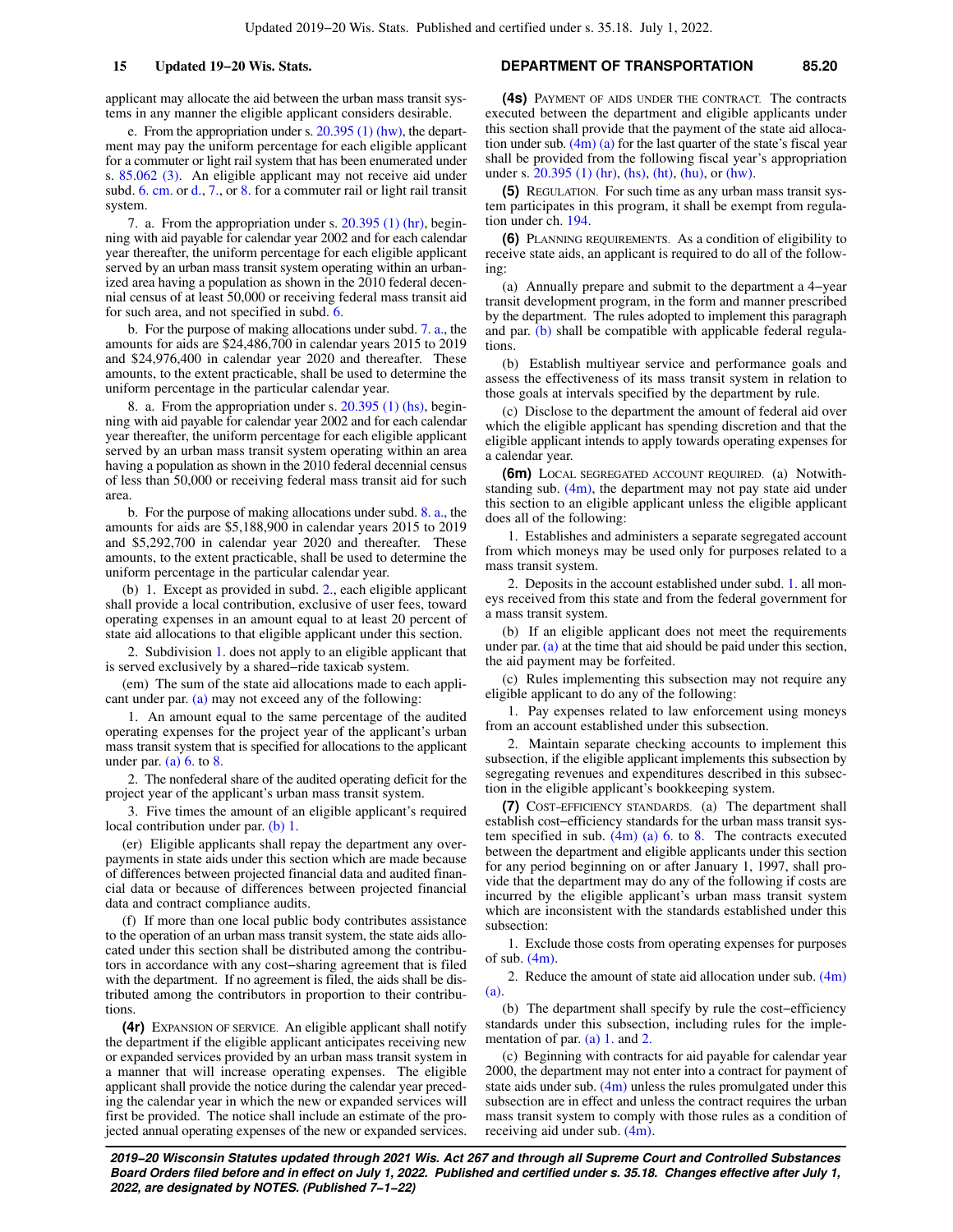applicant may allocate the aid between the urban mass transit systems in any manner the eligible applicant considers desirable.

e. From the appropriation under s. [20.395 \(1\) \(hw\),](https://docs.legis.wisconsin.gov/document/statutes/20.395(1)(hw)) the department may pay the uniform percentage for each eligible applicant for a commuter or light rail system that has been enumerated under s. [85.062 \(3\).](https://docs.legis.wisconsin.gov/document/statutes/85.062(3)) An eligible applicant may not receive aid under subd. [6. cm.](https://docs.legis.wisconsin.gov/document/statutes/85.20(4m)(a)6.cm.) or [d.,](https://docs.legis.wisconsin.gov/document/statutes/85.20(4m)(a)6.d.) [7.,](https://docs.legis.wisconsin.gov/document/statutes/85.20(4m)(a)7.) or [8.](https://docs.legis.wisconsin.gov/document/statutes/85.20(4m)(a)8.) for a commuter rail or light rail transit system.

7. a. From the appropriation under s. [20.395 \(1\) \(hr\),](https://docs.legis.wisconsin.gov/document/statutes/20.395(1)(hr)) beginning with aid payable for calendar year 2002 and for each calendar year thereafter, the uniform percentage for each eligible applicant served by an urban mass transit system operating within an urbanized area having a population as shown in the 2010 federal decennial census of at least 50,000 or receiving federal mass transit aid for such area, and not specified in subd. [6.](https://docs.legis.wisconsin.gov/document/statutes/85.20(4m)(a)6.)

b. For the purpose of making allocations under subd. [7. a.](https://docs.legis.wisconsin.gov/document/statutes/85.20(4m)(a)7.a.), the amounts for aids are \$24,486,700 in calendar years 2015 to 2019 and \$24,976,400 in calendar year 2020 and thereafter. These amounts, to the extent practicable, shall be used to determine the uniform percentage in the particular calendar year.

8. a. From the appropriation under s. [20.395 \(1\) \(hs\),](https://docs.legis.wisconsin.gov/document/statutes/20.395(1)(hs)) beginning with aid payable for calendar year 2002 and for each calendar year thereafter, the uniform percentage for each eligible applicant served by an urban mass transit system operating within an area having a population as shown in the 2010 federal decennial census of less than 50,000 or receiving federal mass transit aid for such area.

b. For the purpose of making allocations under subd. [8. a.](https://docs.legis.wisconsin.gov/document/statutes/85.20(4m)(a)8.a.), the amounts for aids are \$5,188,900 in calendar years 2015 to 2019 and \$5,292,700 in calendar year 2020 and thereafter. These amounts, to the extent practicable, shall be used to determine the uniform percentage in the particular calendar year.

(b) 1. Except as provided in subd. [2.](https://docs.legis.wisconsin.gov/document/statutes/85.20(4m)(b)2.), each eligible applicant shall provide a local contribution, exclusive of user fees, toward operating expenses in an amount equal to at least 20 percent of state aid allocations to that eligible applicant under this section.

2. Subdivision [1.](https://docs.legis.wisconsin.gov/document/statutes/85.20(4m)(b)1.) does not apply to an eligible applicant that is served exclusively by a shared−ride taxicab system.

(em) The sum of the state aid allocations made to each applicant under par. [\(a\)](https://docs.legis.wisconsin.gov/document/statutes/85.20(4m)(a)) may not exceed any of the following:

1. An amount equal to the same percentage of the audited operating expenses for the project year of the applicant's urban mass transit system that is specified for allocations to the applicant under par. (a)  $6.$  to  $8.$ 

2. The nonfederal share of the audited operating deficit for the project year of the applicant's urban mass transit system.

3. Five times the amount of an eligible applicant's required local contribution under par. [\(b\) 1.](https://docs.legis.wisconsin.gov/document/statutes/85.20(4m)(b)1.)

(er) Eligible applicants shall repay the department any overpayments in state aids under this section which are made because of differences between projected financial data and audited financial data or because of differences between projected financial data and contract compliance audits.

(f) If more than one local public body contributes assistance to the operation of an urban mass transit system, the state aids allocated under this section shall be distributed among the contributors in accordance with any cost−sharing agreement that is filed with the department. If no agreement is filed, the aids shall be distributed among the contributors in proportion to their contributions.

**(4r)** EXPANSION OF SERVICE. An eligible applicant shall notify the department if the eligible applicant anticipates receiving new or expanded services provided by an urban mass transit system in a manner that will increase operating expenses. The eligible applicant shall provide the notice during the calendar year preceding the calendar year in which the new or expanded services will first be provided. The notice shall include an estimate of the projected annual operating expenses of the new or expanded services.

### **15 Updated 19−20 Wis. Stats. DEPARTMENT OF TRANSPORTATION 85.20**

**(4s)** PAYMENT OF AIDS UNDER THE CONTRACT. The contracts executed between the department and eligible applicants under this section shall provide that the payment of the state aid allocation under sub. [\(4m\) \(a\)](https://docs.legis.wisconsin.gov/document/statutes/85.20(4m)(a)) for the last quarter of the state's fiscal year shall be provided from the following fiscal year's appropriation under s. [20.395 \(1\) \(hr\),](https://docs.legis.wisconsin.gov/document/statutes/20.395(1)(hr)) [\(hs\)](https://docs.legis.wisconsin.gov/document/statutes/20.395(1)(hs)), [\(ht\),](https://docs.legis.wisconsin.gov/document/statutes/20.395(1)(ht)) [\(hu\)](https://docs.legis.wisconsin.gov/document/statutes/20.395(1)(hu)), or [\(hw\).](https://docs.legis.wisconsin.gov/document/statutes/20.395(1)(hw))

**(5)** REGULATION. For such time as any urban mass transit system participates in this program, it shall be exempt from regulation under ch. [194.](https://docs.legis.wisconsin.gov/document/statutes/ch.%20194)

**(6)** PLANNING REQUIREMENTS. As a condition of eligibility to receive state aids, an applicant is required to do all of the following:

(a) Annually prepare and submit to the department a 4−year transit development program, in the form and manner prescribed by the department. The rules adopted to implement this paragraph and par. [\(b\)](https://docs.legis.wisconsin.gov/document/statutes/85.20(6)(b)) shall be compatible with applicable federal regulations.

(b) Establish multiyear service and performance goals and assess the effectiveness of its mass transit system in relation to those goals at intervals specified by the department by rule.

(c) Disclose to the department the amount of federal aid over which the eligible applicant has spending discretion and that the eligible applicant intends to apply towards operating expenses for a calendar year.

**(6m)** LOCAL SEGREGATED ACCOUNT REQUIRED. (a) Notwithstanding sub.  $(4m)$ , the department may not pay state aid under this section to an eligible applicant unless the eligible applicant does all of the following:

1. Establishes and administers a separate segregated account from which moneys may be used only for purposes related to a mass transit system.

2. Deposits in the account established under subd. [1.](https://docs.legis.wisconsin.gov/document/statutes/85.20(6m)(a)1.) all moneys received from this state and from the federal government for a mass transit system.

(b) If an eligible applicant does not meet the requirements under par. [\(a\)](https://docs.legis.wisconsin.gov/document/statutes/85.20(6m)(a)) at the time that aid should be paid under this section, the aid payment may be forfeited.

(c) Rules implementing this subsection may not require any eligible applicant to do any of the following:

1. Pay expenses related to law enforcement using moneys from an account established under this subsection.

2. Maintain separate checking accounts to implement this subsection, if the eligible applicant implements this subsection by segregating revenues and expenditures described in this subsection in the eligible applicant's bookkeeping system.

**(7)** COST−EFFICIENCY STANDARDS. (a) The department shall establish cost−efficiency standards for the urban mass transit system specified in sub.  $(4m)$  (a) 6. to [8.](https://docs.legis.wisconsin.gov/document/statutes/85.20(4m)(a)8.) The contracts executed between the department and eligible applicants under this section for any period beginning on or after January 1, 1997, shall provide that the department may do any of the following if costs are incurred by the eligible applicant's urban mass transit system which are inconsistent with the standards established under this subsection:

1. Exclude those costs from operating expenses for purposes of sub.  $(4m)$ .

2. Reduce the amount of state aid allocation under sub.  $(4m)$ [\(a\)](https://docs.legis.wisconsin.gov/document/statutes/85.20(4m)(a)).

(b) The department shall specify by rule the cost−efficiency standards under this subsection, including rules for the implementation of par.  $(a)$  1. and [2.](https://docs.legis.wisconsin.gov/document/statutes/85.20(7)(a)2.)

(c) Beginning with contracts for aid payable for calendar year 2000, the department may not enter into a contract for payment of state aids under sub.  $(4m)$  unless the rules promulgated under this subsection are in effect and unless the contract requires the urban mass transit system to comply with those rules as a condition of receiving aid under sub. [\(4m\).](https://docs.legis.wisconsin.gov/document/statutes/85.20(4m))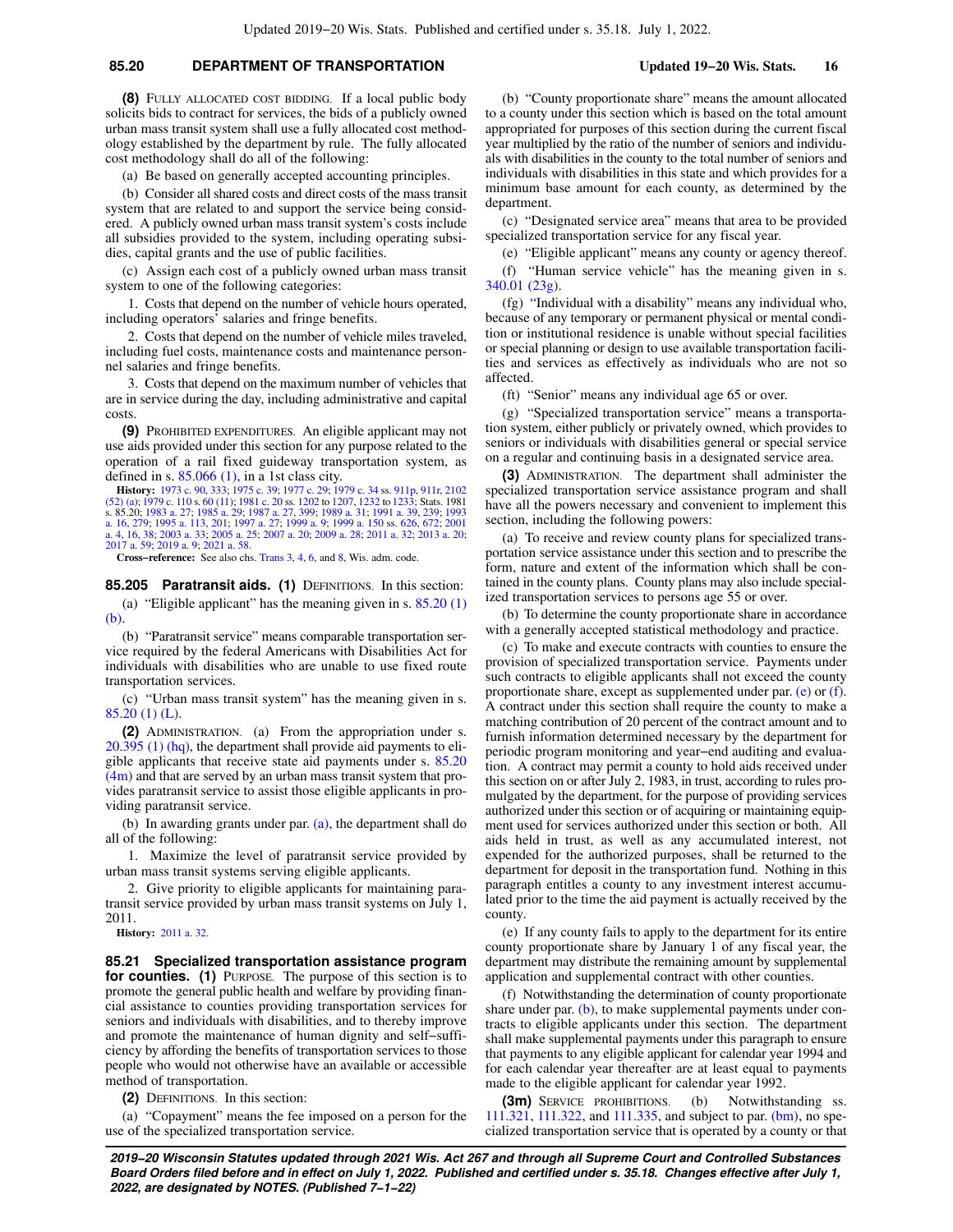## **85.20 DEPARTMENT OF TRANSPORTATION Updated 19−20 Wis. Stats. 16**

**(8)** FULLY ALLOCATED COST BIDDING. If a local public body solicits bids to contract for services, the bids of a publicly owned urban mass transit system shall use a fully allocated cost methodology established by the department by rule. The fully allocated cost methodology shall do all of the following:

(a) Be based on generally accepted accounting principles.

(b) Consider all shared costs and direct costs of the mass transit system that are related to and support the service being considered. A publicly owned urban mass transit system's costs include all subsidies provided to the system, including operating subsidies, capital grants and the use of public facilities.

(c) Assign each cost of a publicly owned urban mass transit system to one of the following categories:

1. Costs that depend on the number of vehicle hours operated, including operators' salaries and fringe benefits.

2. Costs that depend on the number of vehicle miles traveled, including fuel costs, maintenance costs and maintenance personnel salaries and fringe benefits.

3. Costs that depend on the maximum number of vehicles that are in service during the day, including administrative and capital costs.

**(9)** PROHIBITED EXPENDITURES. An eligible applicant may not use aids provided under this section for any purpose related to the operation of a rail fixed guideway transportation system, as defined in s.  $85.066$  (1), in a 1st class city.

**History:** [1973 c. 90,](https://docs.legis.wisconsin.gov/document/acts/1973/90) [333;](https://docs.legis.wisconsin.gov/document/acts/1973/333) [1975 c. 39](https://docs.legis.wisconsin.gov/document/acts/1975/39); [1977 c. 29;](https://docs.legis.wisconsin.gov/document/acts/1977/29) [1979 c. 34](https://docs.legis.wisconsin.gov/document/acts/1979/34) ss. [911p](https://docs.legis.wisconsin.gov/document/acts/1979/34,%20s.%20911p), [911r,](https://docs.legis.wisconsin.gov/document/acts/1979/34,%20s.%20911r) [2102](https://docs.legis.wisconsin.gov/document/acts/1979/34,%20s.%202102)<br>[\(52\) \(a\)](https://docs.legis.wisconsin.gov/document/acts/1979/34,%20s.%202102); [1979 c. 110](https://docs.legis.wisconsin.gov/document/acts/1979/110) s. [60 \(11\);](https://docs.legis.wisconsin.gov/document/acts/1979/110,%20s.%2060) [1981 c. 20](https://docs.legis.wisconsin.gov/document/acts/1981/20) ss. [1202](https://docs.legis.wisconsin.gov/document/acts/1981/20,%20s.%201202) to [1207](https://docs.legis.wisconsin.gov/document/acts/1981/20,%20s.%201207), [1232](https://docs.legis.wisconsin.gov/document/acts/1981/20,%20s.%201232) to [1233](https://docs.legis.wisconsin.gov/document/acts/1981/20,%20s.%201233); Stats. 1981<br>s. 85.20; [1983 a. 27;](https://docs.legis.wisconsin.gov/document/acts/1983/27) [1985 a. 29;](https://docs.legis.wisconsin.gov/document/acts/1985/29) [1987 a. 27,](https://docs.legis.wisconsin.gov/document/acts/1987/27) 399 [a. 16](https://docs.legis.wisconsin.gov/document/acts/1993/16), [279;](https://docs.legis.wisconsin.gov/document/acts/1993/279) [1995 a. 113](https://docs.legis.wisconsin.gov/document/acts/1995/113), [201](https://docs.legis.wisconsin.gov/document/acts/1995/201); [1997 a. 27;](https://docs.legis.wisconsin.gov/document/acts/1997/27) [1999 a. 9;](https://docs.legis.wisconsin.gov/document/acts/1999/9) [1999 a. 150](https://docs.legis.wisconsin.gov/document/acts/1999/150) ss. [626](https://docs.legis.wisconsin.gov/document/acts/1999/150,%20s.%20626), [672](https://docs.legis.wisconsin.gov/document/acts/1999/150,%20s.%20672); [2001](https://docs.legis.wisconsin.gov/document/acts/2001/4) [a. 4,](https://docs.legis.wisconsin.gov/document/acts/2001/4) [16](https://docs.legis.wisconsin.gov/document/acts/2001/16), [38;](https://docs.legis.wisconsin.gov/document/acts/2001/38) [2003 a. 33](https://docs.legis.wisconsin.gov/document/acts/2003/33); [2005 a. 25](https://docs.legis.wisconsin.gov/document/acts/2005/25); [2007 a. 20;](https://docs.legis.wisconsin.gov/document/acts/2007/20) [2009 a. 28;](https://docs.legis.wisconsin.gov/document/acts/2009/28) [2011 a. 32;](https://docs.legis.wisconsin.gov/document/acts/2011/32) [2013 a. 20](https://docs.legis.wisconsin.gov/document/acts/2013/20); [2017 a. 59](https://docs.legis.wisconsin.gov/document/acts/2017/59); [2019 a. 9;](https://docs.legis.wisconsin.gov/document/acts/2019/9) [2021 a. 58](https://docs.legis.wisconsin.gov/document/acts/2021/58).

**Cross−reference:** See also chs. [Trans 3,](https://docs.legis.wisconsin.gov/document/administrativecode/ch.%20Trans%203) [4,](https://docs.legis.wisconsin.gov/document/administrativecode/ch.%20Trans%204) [6,](https://docs.legis.wisconsin.gov/document/administrativecode/ch.%20Trans%206) and [8,](https://docs.legis.wisconsin.gov/document/administrativecode/ch.%20Trans%208) Wis. adm. code.

**85.205 Paratransit aids. (1)** DEFINITIONS. In this section: (a) "Eligible applicant" has the meaning given in s.  $85.20(1)$ [\(b\)](https://docs.legis.wisconsin.gov/document/statutes/85.20(1)(b)).

(b) "Paratransit service" means comparable transportation service required by the federal Americans with Disabilities Act for individuals with disabilities who are unable to use fixed route transportation services.

(c) "Urban mass transit system" has the meaning given in s. [85.20 \(1\) \(L\).](https://docs.legis.wisconsin.gov/document/statutes/85.20(1)(L))

**(2)** ADMINISTRATION. (a) From the appropriation under s. [20.395 \(1\) \(hq\),](https://docs.legis.wisconsin.gov/document/statutes/20.395(1)(hq)) the department shall provide aid payments to eligible applicants that receive state aid payments under s. [85.20](https://docs.legis.wisconsin.gov/document/statutes/85.20(4m)) [\(4m\)](https://docs.legis.wisconsin.gov/document/statutes/85.20(4m)) and that are served by an urban mass transit system that provides paratransit service to assist those eligible applicants in providing paratransit service.

(b) In awarding grants under par. [\(a\)](https://docs.legis.wisconsin.gov/document/statutes/85.205(2)(a)), the department shall do all of the following:

1. Maximize the level of paratransit service provided by urban mass transit systems serving eligible applicants.

2. Give priority to eligible applicants for maintaining paratransit service provided by urban mass transit systems on July 1, 2011.

**History:** [2011 a. 32.](https://docs.legis.wisconsin.gov/document/acts/2011/32)

**85.21 Specialized transportation assistance program for counties.** (1) PURPOSE. The purpose of this section is to promote the general public health and welfare by providing financial assistance to counties providing transportation services for seniors and individuals with disabilities, and to thereby improve and promote the maintenance of human dignity and self−sufficiency by affording the benefits of transportation services to those people who would not otherwise have an available or accessible method of transportation.

**(2)** DEFINITIONS. In this section:

(a) "Copayment" means the fee imposed on a person for the use of the specialized transportation service.

(b) "County proportionate share" means the amount allocated to a county under this section which is based on the total amount appropriated for purposes of this section during the current fiscal year multiplied by the ratio of the number of seniors and individuals with disabilities in the county to the total number of seniors and individuals with disabilities in this state and which provides for a minimum base amount for each county, as determined by the department.

(c) "Designated service area" means that area to be provided specialized transportation service for any fiscal year.

(e) "Eligible applicant" means any county or agency thereof.

(f) "Human service vehicle" has the meaning given in s. [340.01 \(23g\).](https://docs.legis.wisconsin.gov/document/statutes/340.01(23g))

(fg) "Individual with a disability" means any individual who, because of any temporary or permanent physical or mental condition or institutional residence is unable without special facilities or special planning or design to use available transportation facilities and services as effectively as individuals who are not so affected.

(ft) "Senior" means any individual age 65 or over.

(g) "Specialized transportation service" means a transportation system, either publicly or privately owned, which provides to seniors or individuals with disabilities general or special service on a regular and continuing basis in a designated service area.

**(3)** ADMINISTRATION. The department shall administer the specialized transportation service assistance program and shall have all the powers necessary and convenient to implement this section, including the following powers:

(a) To receive and review county plans for specialized transportation service assistance under this section and to prescribe the form, nature and extent of the information which shall be contained in the county plans. County plans may also include specialized transportation services to persons age 55 or over.

(b) To determine the county proportionate share in accordance with a generally accepted statistical methodology and practice.

(c) To make and execute contracts with counties to ensure the provision of specialized transportation service. Payments under such contracts to eligible applicants shall not exceed the county proportionate share, except as supplemented under par. [\(e\)](https://docs.legis.wisconsin.gov/document/statutes/85.21(3)(e)) or [\(f\).](https://docs.legis.wisconsin.gov/document/statutes/85.21(3)(f)) A contract under this section shall require the county to make a matching contribution of 20 percent of the contract amount and to furnish information determined necessary by the department for periodic program monitoring and year−end auditing and evaluation. A contract may permit a county to hold aids received under this section on or after July 2, 1983, in trust, according to rules promulgated by the department, for the purpose of providing services authorized under this section or of acquiring or maintaining equipment used for services authorized under this section or both. All aids held in trust, as well as any accumulated interest, not expended for the authorized purposes, shall be returned to the department for deposit in the transportation fund. Nothing in this paragraph entitles a county to any investment interest accumulated prior to the time the aid payment is actually received by the county.

(e) If any county fails to apply to the department for its entire county proportionate share by January 1 of any fiscal year, the department may distribute the remaining amount by supplemental application and supplemental contract with other counties.

(f) Notwithstanding the determination of county proportionate share under par.  $(b)$ , to make supplemental payments under contracts to eligible applicants under this section. The department shall make supplemental payments under this paragraph to ensure that payments to any eligible applicant for calendar year 1994 and for each calendar year thereafter are at least equal to payments made to the eligible applicant for calendar year 1992.

**(3m)** SERVICE PROHIBITIONS. (b) Notwithstanding ss. [111.321,](https://docs.legis.wisconsin.gov/document/statutes/111.321) [111.322](https://docs.legis.wisconsin.gov/document/statutes/111.322), and [111.335,](https://docs.legis.wisconsin.gov/document/statutes/111.335) and subject to par. [\(bm\)](https://docs.legis.wisconsin.gov/document/statutes/85.21(3m)(bm)), no specialized transportation service that is operated by a county or that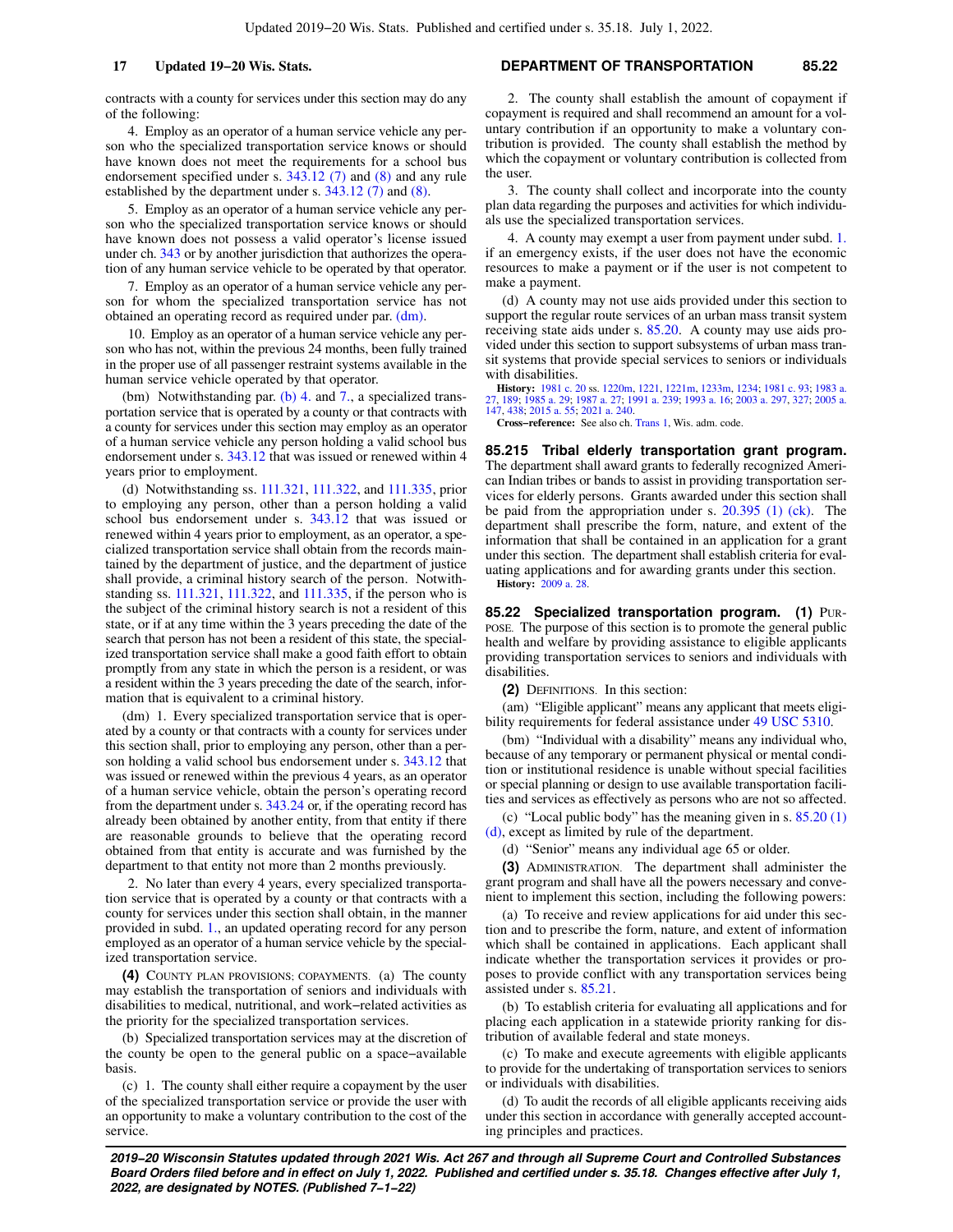contracts with a county for services under this section may do any of the following:

4. Employ as an operator of a human service vehicle any person who the specialized transportation service knows or should have known does not meet the requirements for a school bus endorsement specified under s. [343.12 \(7\)](https://docs.legis.wisconsin.gov/document/statutes/343.12(7)) and [\(8\)](https://docs.legis.wisconsin.gov/document/statutes/343.12(8)) and any rule established by the department under s. [343.12 \(7\)](https://docs.legis.wisconsin.gov/document/statutes/343.12(7)) and [\(8\).](https://docs.legis.wisconsin.gov/document/statutes/343.12(8))

5. Employ as an operator of a human service vehicle any person who the specialized transportation service knows or should have known does not possess a valid operator's license issued under ch. [343](https://docs.legis.wisconsin.gov/document/statutes/ch.%20343) or by another jurisdiction that authorizes the operation of any human service vehicle to be operated by that operator.

7. Employ as an operator of a human service vehicle any person for whom the specialized transportation service has not obtained an operating record as required under par. [\(dm\)](https://docs.legis.wisconsin.gov/document/statutes/85.21(3m)(dm)).

10. Employ as an operator of a human service vehicle any person who has not, within the previous 24 months, been fully trained in the proper use of all passenger restraint systems available in the human service vehicle operated by that operator.

(bm) Notwithstanding par. [\(b\) 4.](https://docs.legis.wisconsin.gov/document/statutes/85.21(3m)(b)4.) and [7.](https://docs.legis.wisconsin.gov/document/statutes/85.21(3m)(b)7.), a specialized transportation service that is operated by a county or that contracts with a county for services under this section may employ as an operator of a human service vehicle any person holding a valid school bus endorsement under s. [343.12](https://docs.legis.wisconsin.gov/document/statutes/343.12) that was issued or renewed within 4 years prior to employment.

(d) Notwithstanding ss. [111.321](https://docs.legis.wisconsin.gov/document/statutes/111.321), [111.322](https://docs.legis.wisconsin.gov/document/statutes/111.322), and [111.335](https://docs.legis.wisconsin.gov/document/statutes/111.335), prior to employing any person, other than a person holding a valid school bus endorsement under s. [343.12](https://docs.legis.wisconsin.gov/document/statutes/343.12) that was issued or renewed within 4 years prior to employment, as an operator, a specialized transportation service shall obtain from the records maintained by the department of justice, and the department of justice shall provide, a criminal history search of the person. Notwithstanding ss. [111.321](https://docs.legis.wisconsin.gov/document/statutes/111.321), [111.322,](https://docs.legis.wisconsin.gov/document/statutes/111.322) and [111.335,](https://docs.legis.wisconsin.gov/document/statutes/111.335) if the person who is the subject of the criminal history search is not a resident of this state, or if at any time within the 3 years preceding the date of the search that person has not been a resident of this state, the specialized transportation service shall make a good faith effort to obtain promptly from any state in which the person is a resident, or was a resident within the 3 years preceding the date of the search, information that is equivalent to a criminal history.

(dm) 1. Every specialized transportation service that is operated by a county or that contracts with a county for services under this section shall, prior to employing any person, other than a person holding a valid school bus endorsement under s. [343.12](https://docs.legis.wisconsin.gov/document/statutes/343.12) that was issued or renewed within the previous 4 years, as an operator of a human service vehicle, obtain the person's operating record from the department under s. [343.24](https://docs.legis.wisconsin.gov/document/statutes/343.24) or, if the operating record has already been obtained by another entity, from that entity if there are reasonable grounds to believe that the operating record obtained from that entity is accurate and was furnished by the department to that entity not more than 2 months previously.

2. No later than every 4 years, every specialized transportation service that is operated by a county or that contracts with a county for services under this section shall obtain, in the manner provided in subd. [1.,](https://docs.legis.wisconsin.gov/document/statutes/85.21(3m)(dm)1.) an updated operating record for any person employed as an operator of a human service vehicle by the specialized transportation service.

**(4)** COUNTY PLAN PROVISIONS; COPAYMENTS. (a) The county may establish the transportation of seniors and individuals with disabilities to medical, nutritional, and work−related activities as the priority for the specialized transportation services.

(b) Specialized transportation services may at the discretion of the county be open to the general public on a space−available basis.

(c) 1. The county shall either require a copayment by the user of the specialized transportation service or provide the user with an opportunity to make a voluntary contribution to the cost of the service.

### **17 Updated 19−20 Wis. Stats. DEPARTMENT OF TRANSPORTATION 85.22**

2. The county shall establish the amount of copayment if copayment is required and shall recommend an amount for a voluntary contribution if an opportunity to make a voluntary contribution is provided. The county shall establish the method by which the copayment or voluntary contribution is collected from the user.

3. The county shall collect and incorporate into the county plan data regarding the purposes and activities for which individuals use the specialized transportation services.

4. A county may exempt a user from payment under subd. [1.](https://docs.legis.wisconsin.gov/document/statutes/85.21(4)(c)1.) if an emergency exists, if the user does not have the economic resources to make a payment or if the user is not competent to make a payment.

(d) A county may not use aids provided under this section to support the regular route services of an urban mass transit system receiving state aids under s. [85.20](https://docs.legis.wisconsin.gov/document/statutes/85.20). A county may use aids provided under this section to support subsystems of urban mass transit systems that provide special services to seniors or individuals with disabilities.

**History:** [1981 c. 20](https://docs.legis.wisconsin.gov/document/acts/1981/20) ss. [1220m,](https://docs.legis.wisconsin.gov/document/acts/1981/20,%20s.%201220m) [1221](https://docs.legis.wisconsin.gov/document/acts/1981/20,%20s.%201221), [1221m,](https://docs.legis.wisconsin.gov/document/acts/1981/20,%20s.%201221m) [1233m,](https://docs.legis.wisconsin.gov/document/acts/1981/20,%20s.%201233m) [1234](https://docs.legis.wisconsin.gov/document/acts/1981/20,%20s.%201234); [1981 c. 93](https://docs.legis.wisconsin.gov/document/acts/1981/93); [1983 a.](https://docs.legis.wisconsin.gov/document/acts/1983/27) [27](https://docs.legis.wisconsin.gov/document/acts/1983/27), [189](https://docs.legis.wisconsin.gov/document/acts/1983/189); [1985 a. 29](https://docs.legis.wisconsin.gov/document/acts/1985/29); [1987 a. 27](https://docs.legis.wisconsin.gov/document/acts/1987/27); [1991 a. 239](https://docs.legis.wisconsin.gov/document/acts/1991/239); [1993 a. 16](https://docs.legis.wisconsin.gov/document/acts/1993/16); [2003 a. 297,](https://docs.legis.wisconsin.gov/document/acts/2003/297) [327;](https://docs.legis.wisconsin.gov/document/acts/2003/327) [2005 a.](https://docs.legis.wisconsin.gov/document/acts/2005/147) [147,](https://docs.legis.wisconsin.gov/document/acts/2005/147) [438;](https://docs.legis.wisconsin.gov/document/acts/2005/438) [2015 a. 55;](https://docs.legis.wisconsin.gov/document/acts/2015/55) [2021 a. 240](https://docs.legis.wisconsin.gov/document/acts/2021/240).

**Cross−reference:** See also ch. [Trans 1](https://docs.legis.wisconsin.gov/document/administrativecode/ch.%20Trans%201), Wis. adm. code.

**85.215 Tribal elderly transportation grant program.** The department shall award grants to federally recognized American Indian tribes or bands to assist in providing transportation services for elderly persons. Grants awarded under this section shall be paid from the appropriation under s. [20.395 \(1\) \(ck\)](https://docs.legis.wisconsin.gov/document/statutes/20.395(1)(ck)). The department shall prescribe the form, nature, and extent of the information that shall be contained in an application for a grant under this section. The department shall establish criteria for evaluating applications and for awarding grants under this section. **History:** [2009 a. 28](https://docs.legis.wisconsin.gov/document/acts/2009/28).

**85.22 Specialized transportation program. (1)** PUR-POSE. The purpose of this section is to promote the general public health and welfare by providing assistance to eligible applicants providing transportation services to seniors and individuals with disabilities.

**(2)** DEFINITIONS. In this section:

(am) "Eligible applicant" means any applicant that meets eligibility requirements for federal assistance under [49 USC 5310.](https://docs.legis.wisconsin.gov/document/usc/49%20USC%205310)

(bm) "Individual with a disability" means any individual who, because of any temporary or permanent physical or mental condition or institutional residence is unable without special facilities or special planning or design to use available transportation facilities and services as effectively as persons who are not so affected.

(c) "Local public body" has the meaning given in s. [85.20 \(1\)](https://docs.legis.wisconsin.gov/document/statutes/85.20(1)(d)) [\(d\),](https://docs.legis.wisconsin.gov/document/statutes/85.20(1)(d)) except as limited by rule of the department.

(d) "Senior" means any individual age 65 or older.

**(3)** ADMINISTRATION. The department shall administer the grant program and shall have all the powers necessary and convenient to implement this section, including the following powers:

(a) To receive and review applications for aid under this section and to prescribe the form, nature, and extent of information which shall be contained in applications. Each applicant shall indicate whether the transportation services it provides or proposes to provide conflict with any transportation services being assisted under s. [85.21.](https://docs.legis.wisconsin.gov/document/statutes/85.21)

(b) To establish criteria for evaluating all applications and for placing each application in a statewide priority ranking for distribution of available federal and state moneys.

(c) To make and execute agreements with eligible applicants to provide for the undertaking of transportation services to seniors or individuals with disabilities.

(d) To audit the records of all eligible applicants receiving aids under this section in accordance with generally accepted accounting principles and practices.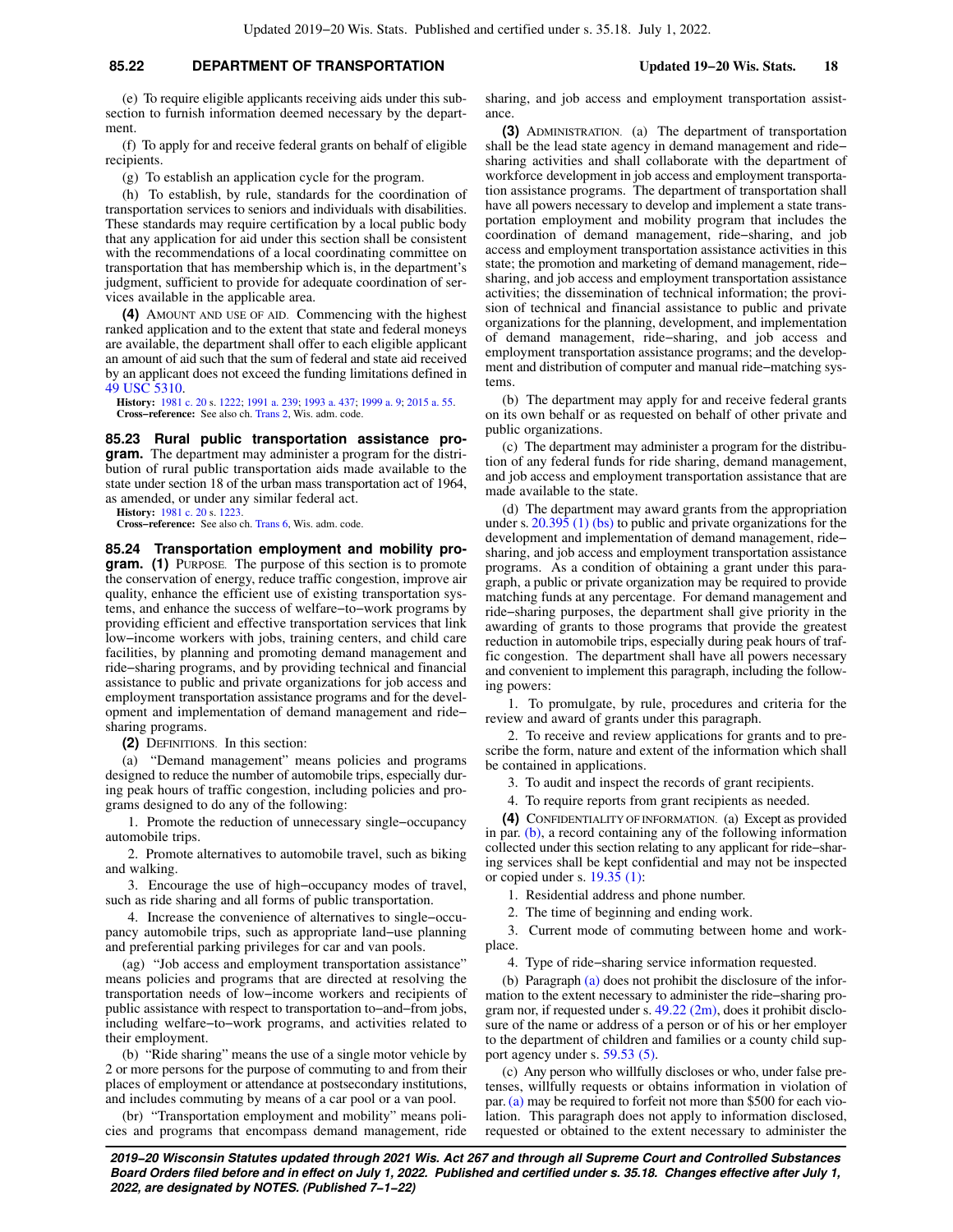### **85.22 DEPARTMENT OF TRANSPORTATION Updated 19−20 Wis. Stats. 18**

(e) To require eligible applicants receiving aids under this subsection to furnish information deemed necessary by the department.

(f) To apply for and receive federal grants on behalf of eligible recipients.

(g) To establish an application cycle for the program.

(h) To establish, by rule, standards for the coordination of transportation services to seniors and individuals with disabilities. These standards may require certification by a local public body that any application for aid under this section shall be consistent with the recommendations of a local coordinating committee on transportation that has membership which is, in the department's judgment, sufficient to provide for adequate coordination of services available in the applicable area.

**(4)** AMOUNT AND USE OF AID. Commencing with the highest ranked application and to the extent that state and federal moneys are available, the department shall offer to each eligible applicant an amount of aid such that the sum of federal and state aid received by an applicant does not exceed the funding limitations defined in [49 USC 5310](https://docs.legis.wisconsin.gov/document/usc/49%20USC%205310).

**History:** [1981 c. 20](https://docs.legis.wisconsin.gov/document/acts/1981/20) s. [1222;](https://docs.legis.wisconsin.gov/document/acts/1981/20,%20s.%201222) [1991 a. 239;](https://docs.legis.wisconsin.gov/document/acts/1991/239) [1993 a. 437](https://docs.legis.wisconsin.gov/document/acts/1993/437); [1999 a. 9;](https://docs.legis.wisconsin.gov/document/acts/1999/9) [2015 a. 55](https://docs.legis.wisconsin.gov/document/acts/2015/55). **Cross−reference:** See also ch. [Trans 2](https://docs.legis.wisconsin.gov/document/administrativecode/ch.%20Trans%202), Wis. adm. code.

**85.23 Rural public transportation assistance program.** The department may administer a program for the distribution of rural public transportation aids made available to the state under section 18 of the urban mass transportation act of 1964, as amended, or under any similar federal act.

**History:** [1981 c. 20](https://docs.legis.wisconsin.gov/document/acts/1981/20) s. [1223.](https://docs.legis.wisconsin.gov/document/acts/1981/20,%20s.%201223)

**Cross−reference:** See also ch. [Trans 6](https://docs.legis.wisconsin.gov/document/administrativecode/ch.%20Trans%206), Wis. adm. code.

**85.24 Transportation employment and mobility program.** (1) PURPOSE. The purpose of this section is to promote the conservation of energy, reduce traffic congestion, improve air quality, enhance the efficient use of existing transportation systems, and enhance the success of welfare−to−work programs by providing efficient and effective transportation services that link low−income workers with jobs, training centers, and child care facilities, by planning and promoting demand management and ride−sharing programs, and by providing technical and financial assistance to public and private organizations for job access and employment transportation assistance programs and for the development and implementation of demand management and ride− sharing programs.

**(2)** DEFINITIONS. In this section:

(a) "Demand management" means policies and programs designed to reduce the number of automobile trips, especially during peak hours of traffic congestion, including policies and programs designed to do any of the following:

1. Promote the reduction of unnecessary single−occupancy automobile trips.

2. Promote alternatives to automobile travel, such as biking and walking.

3. Encourage the use of high−occupancy modes of travel, such as ride sharing and all forms of public transportation.

4. Increase the convenience of alternatives to single−occupancy automobile trips, such as appropriate land−use planning and preferential parking privileges for car and van pools.

(ag) "Job access and employment transportation assistance" means policies and programs that are directed at resolving the transportation needs of low−income workers and recipients of public assistance with respect to transportation to−and−from jobs, including welfare−to−work programs, and activities related to their employment.

(b) "Ride sharing" means the use of a single motor vehicle by 2 or more persons for the purpose of commuting to and from their places of employment or attendance at postsecondary institutions, and includes commuting by means of a car pool or a van pool.

(br) "Transportation employment and mobility" means policies and programs that encompass demand management, ride

sharing, and job access and employment transportation assistance.

**(3)** ADMINISTRATION. (a) The department of transportation shall be the lead state agency in demand management and ride− sharing activities and shall collaborate with the department of workforce development in job access and employment transportation assistance programs. The department of transportation shall have all powers necessary to develop and implement a state transportation employment and mobility program that includes the coordination of demand management, ride−sharing, and job access and employment transportation assistance activities in this state; the promotion and marketing of demand management, ride− sharing, and job access and employment transportation assistance activities; the dissemination of technical information; the provision of technical and financial assistance to public and private organizations for the planning, development, and implementation of demand management, ride−sharing, and job access and employment transportation assistance programs; and the development and distribution of computer and manual ride−matching systems.

(b) The department may apply for and receive federal grants on its own behalf or as requested on behalf of other private and public organizations.

(c) The department may administer a program for the distribution of any federal funds for ride sharing, demand management, and job access and employment transportation assistance that are made available to the state.

(d) The department may award grants from the appropriation under s. [20.395 \(1\) \(bs\)](https://docs.legis.wisconsin.gov/document/statutes/20.395(1)(bs)) to public and private organizations for the development and implementation of demand management, ride− sharing, and job access and employment transportation assistance programs. As a condition of obtaining a grant under this paragraph, a public or private organization may be required to provide matching funds at any percentage. For demand management and ride−sharing purposes, the department shall give priority in the awarding of grants to those programs that provide the greatest reduction in automobile trips, especially during peak hours of traffic congestion. The department shall have all powers necessary and convenient to implement this paragraph, including the following powers:

1. To promulgate, by rule, procedures and criteria for the review and award of grants under this paragraph.

2. To receive and review applications for grants and to prescribe the form, nature and extent of the information which shall be contained in applications.

3. To audit and inspect the records of grant recipients.

4. To require reports from grant recipients as needed.

**(4)** CONFIDENTIALITY OF INFORMATION. (a) Except as provided in par. [\(b\),](https://docs.legis.wisconsin.gov/document/statutes/85.24(4)(b)) a record containing any of the following information collected under this section relating to any applicant for ride−sharing services shall be kept confidential and may not be inspected or copied under s. [19.35 \(1\)](https://docs.legis.wisconsin.gov/document/statutes/19.35(1)):

1. Residential address and phone number.

2. The time of beginning and ending work.

3. Current mode of commuting between home and workplace.

4. Type of ride−sharing service information requested.

(b) Paragraph [\(a\)](https://docs.legis.wisconsin.gov/document/statutes/85.24(4)(a)) does not prohibit the disclosure of the information to the extent necessary to administer the ride−sharing program nor, if requested under s. [49.22 \(2m\),](https://docs.legis.wisconsin.gov/document/statutes/49.22(2m)) does it prohibit disclosure of the name or address of a person or of his or her employer to the department of children and families or a county child support agency under s. [59.53 \(5\).](https://docs.legis.wisconsin.gov/document/statutes/59.53(5))

(c) Any person who willfully discloses or who, under false pretenses, willfully requests or obtains information in violation of par. [\(a\)](https://docs.legis.wisconsin.gov/document/statutes/85.24(4)(a)) may be required to forfeit not more than \$500 for each violation. This paragraph does not apply to information disclosed, requested or obtained to the extent necessary to administer the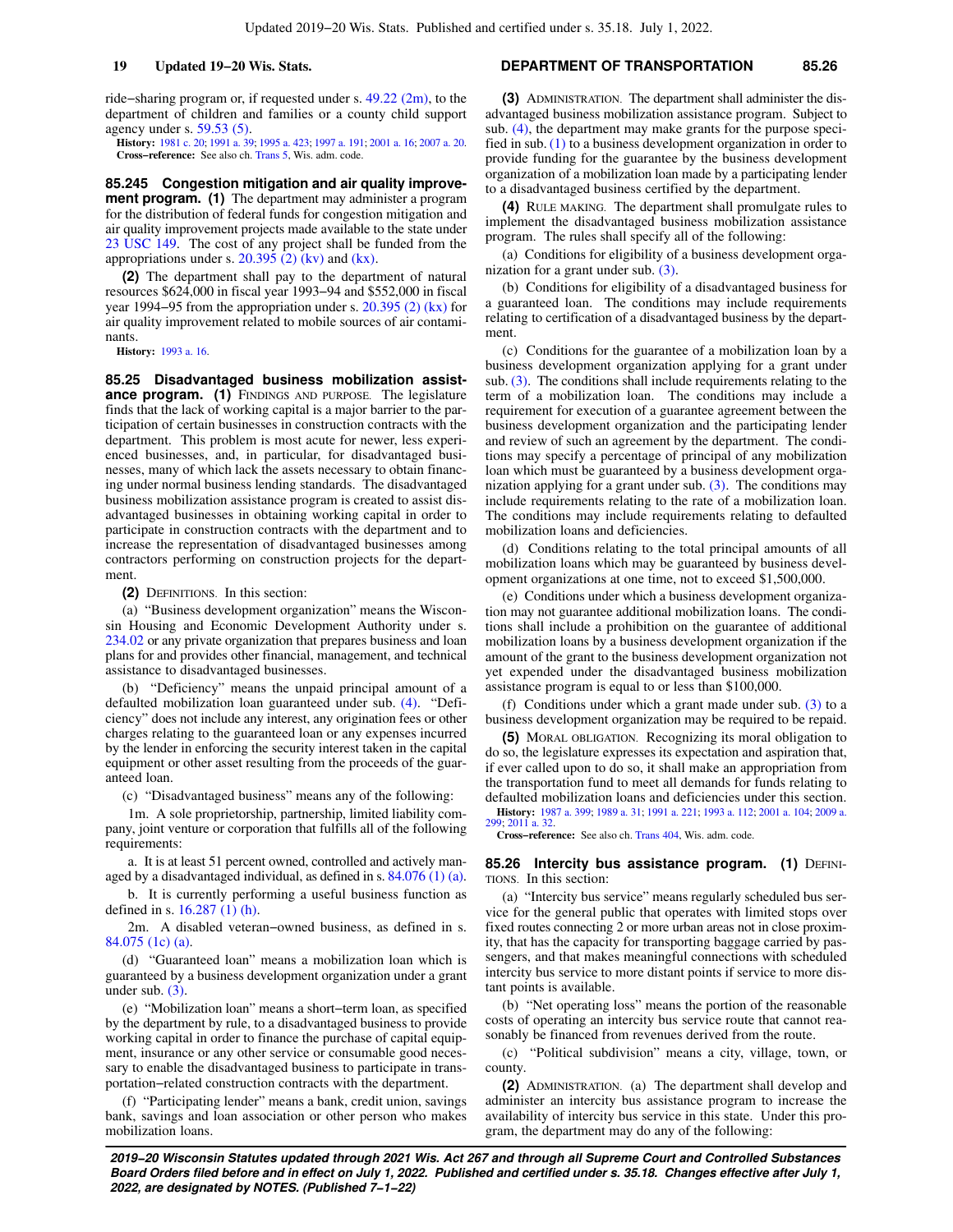ride−sharing program or, if requested under s. [49.22 \(2m\)](https://docs.legis.wisconsin.gov/document/statutes/49.22(2m)), to the department of children and families or a county child support agency under s. [59.53 \(5\).](https://docs.legis.wisconsin.gov/document/statutes/59.53(5))

**History:** [1981 c. 20](https://docs.legis.wisconsin.gov/document/acts/1981/20); [1991 a. 39](https://docs.legis.wisconsin.gov/document/acts/1991/39); [1995 a. 423;](https://docs.legis.wisconsin.gov/document/acts/1995/423) [1997 a. 191](https://docs.legis.wisconsin.gov/document/acts/1997/191); [2001 a. 16](https://docs.legis.wisconsin.gov/document/acts/2001/16); [2007 a. 20](https://docs.legis.wisconsin.gov/document/acts/2007/20). **Cross−reference:** See also ch. [Trans 5](https://docs.legis.wisconsin.gov/document/administrativecode/ch.%20Trans%205), Wis. adm. code.

**85.245 Congestion mitigation and air quality improvement program. (1)** The department may administer a program for the distribution of federal funds for congestion mitigation and air quality improvement projects made available to the state under [23 USC 149](https://docs.legis.wisconsin.gov/document/usc/23%20USC%20149). The cost of any project shall be funded from the appropriations under s.  $20.395$  (2) (kv) and [\(kx\)](https://docs.legis.wisconsin.gov/document/statutes/20.395(2)(kx)).

**(2)** The department shall pay to the department of natural resources \$624,000 in fiscal year 1993−94 and \$552,000 in fiscal year 1994−95 from the appropriation under s. [20.395 \(2\) \(kx\)](https://docs.legis.wisconsin.gov/document/statutes/20.395(2)(kx)) for air quality improvement related to mobile sources of air contaminants.

**History:** [1993 a. 16.](https://docs.legis.wisconsin.gov/document/acts/1993/16)

**85.25 Disadvantaged business mobilization assistance program.** (1) FINDINGS AND PURPOSE. The legislature finds that the lack of working capital is a major barrier to the participation of certain businesses in construction contracts with the department. This problem is most acute for newer, less experienced businesses, and, in particular, for disadvantaged businesses, many of which lack the assets necessary to obtain financing under normal business lending standards. The disadvantaged business mobilization assistance program is created to assist disadvantaged businesses in obtaining working capital in order to participate in construction contracts with the department and to increase the representation of disadvantaged businesses among contractors performing on construction projects for the department.

**(2)** DEFINITIONS. In this section:

(a) "Business development organization" means the Wisconsin Housing and Economic Development Authority under s. [234.02](https://docs.legis.wisconsin.gov/document/statutes/234.02) or any private organization that prepares business and loan plans for and provides other financial, management, and technical assistance to disadvantaged businesses.

(b) "Deficiency" means the unpaid principal amount of a defaulted mobilization loan guaranteed under sub. [\(4\)](https://docs.legis.wisconsin.gov/document/statutes/85.25(4)). "Deficiency" does not include any interest, any origination fees or other charges relating to the guaranteed loan or any expenses incurred by the lender in enforcing the security interest taken in the capital equipment or other asset resulting from the proceeds of the guaranteed loan.

(c) "Disadvantaged business" means any of the following:

1m. A sole proprietorship, partnership, limited liability company, joint venture or corporation that fulfills all of the following requirements:

a. It is at least 51 percent owned, controlled and actively managed by a disadvantaged individual, as defined in s. [84.076 \(1\) \(a\).](https://docs.legis.wisconsin.gov/document/statutes/84.076(1)(a))

b. It is currently performing a useful business function as defined in s. [16.287 \(1\) \(h\)](https://docs.legis.wisconsin.gov/document/statutes/16.287(1)(h)).

2m. A disabled veteran−owned business, as defined in s. [84.075 \(1c\) \(a\).](https://docs.legis.wisconsin.gov/document/statutes/84.075(1c)(a))

(d) "Guaranteed loan" means a mobilization loan which is guaranteed by a business development organization under a grant under sub. [\(3\)](https://docs.legis.wisconsin.gov/document/statutes/85.25(3)).

(e) "Mobilization loan" means a short−term loan, as specified by the department by rule, to a disadvantaged business to provide working capital in order to finance the purchase of capital equipment, insurance or any other service or consumable good necessary to enable the disadvantaged business to participate in transportation−related construction contracts with the department.

(f) "Participating lender" means a bank, credit union, savings bank, savings and loan association or other person who makes mobilization loans.

### **19 Updated 19−20 Wis. Stats. DEPARTMENT OF TRANSPORTATION 85.26**

**(3)** ADMINISTRATION. The department shall administer the disadvantaged business mobilization assistance program. Subject to sub. [\(4\),](https://docs.legis.wisconsin.gov/document/statutes/85.25(4)) the department may make grants for the purpose specified in sub. [\(1\)](https://docs.legis.wisconsin.gov/document/statutes/85.25(1)) to a business development organization in order to provide funding for the guarantee by the business development organization of a mobilization loan made by a participating lender to a disadvantaged business certified by the department.

**(4)** RULE MAKING. The department shall promulgate rules to implement the disadvantaged business mobilization assistance program. The rules shall specify all of the following:

(a) Conditions for eligibility of a business development organization for a grant under sub. [\(3\).](https://docs.legis.wisconsin.gov/document/statutes/85.25(3))

(b) Conditions for eligibility of a disadvantaged business for a guaranteed loan. The conditions may include requirements relating to certification of a disadvantaged business by the department.

(c) Conditions for the guarantee of a mobilization loan by a business development organization applying for a grant under sub. [\(3\)](https://docs.legis.wisconsin.gov/document/statutes/85.25(3)). The conditions shall include requirements relating to the term of a mobilization loan. The conditions may include a requirement for execution of a guarantee agreement between the business development organization and the participating lender and review of such an agreement by the department. The conditions may specify a percentage of principal of any mobilization loan which must be guaranteed by a business development organization applying for a grant under sub. [\(3\)](https://docs.legis.wisconsin.gov/document/statutes/85.25(3)). The conditions may include requirements relating to the rate of a mobilization loan. The conditions may include requirements relating to defaulted mobilization loans and deficiencies.

(d) Conditions relating to the total principal amounts of all mobilization loans which may be guaranteed by business development organizations at one time, not to exceed \$1,500,000.

(e) Conditions under which a business development organization may not guarantee additional mobilization loans. The conditions shall include a prohibition on the guarantee of additional mobilization loans by a business development organization if the amount of the grant to the business development organization not yet expended under the disadvantaged business mobilization assistance program is equal to or less than \$100,000.

(f) Conditions under which a grant made under sub. [\(3\)](https://docs.legis.wisconsin.gov/document/statutes/85.25(3)) to a business development organization may be required to be repaid.

**(5)** MORAL OBLIGATION. Recognizing its moral obligation to do so, the legislature expresses its expectation and aspiration that, if ever called upon to do so, it shall make an appropriation from the transportation fund to meet all demands for funds relating to defaulted mobilization loans and deficiencies under this section.

**History:** [1987 a. 399;](https://docs.legis.wisconsin.gov/document/acts/1987/399) [1989 a. 31](https://docs.legis.wisconsin.gov/document/acts/1989/31); [1991 a. 221](https://docs.legis.wisconsin.gov/document/acts/1991/221); [1993 a. 112](https://docs.legis.wisconsin.gov/document/acts/1993/112); [2001 a. 104](https://docs.legis.wisconsin.gov/document/acts/2001/104); [2009 a.](https://docs.legis.wisconsin.gov/document/acts/2009/299) [299;](https://docs.legis.wisconsin.gov/document/acts/2009/299) [2011 a. 32](https://docs.legis.wisconsin.gov/document/acts/2011/32).

**Cross−reference:** See also ch. [Trans 404](https://docs.legis.wisconsin.gov/document/administrativecode/ch.%20Trans%20404), Wis. adm. code.

**85.26 Intercity bus assistance program. (1) DEFINI-**TIONS. In this section:

(a) "Intercity bus service" means regularly scheduled bus service for the general public that operates with limited stops over fixed routes connecting 2 or more urban areas not in close proximity, that has the capacity for transporting baggage carried by passengers, and that makes meaningful connections with scheduled intercity bus service to more distant points if service to more distant points is available.

(b) "Net operating loss" means the portion of the reasonable costs of operating an intercity bus service route that cannot reasonably be financed from revenues derived from the route.

(c) "Political subdivision" means a city, village, town, or county.

**(2)** ADMINISTRATION. (a) The department shall develop and administer an intercity bus assistance program to increase the availability of intercity bus service in this state. Under this program, the department may do any of the following: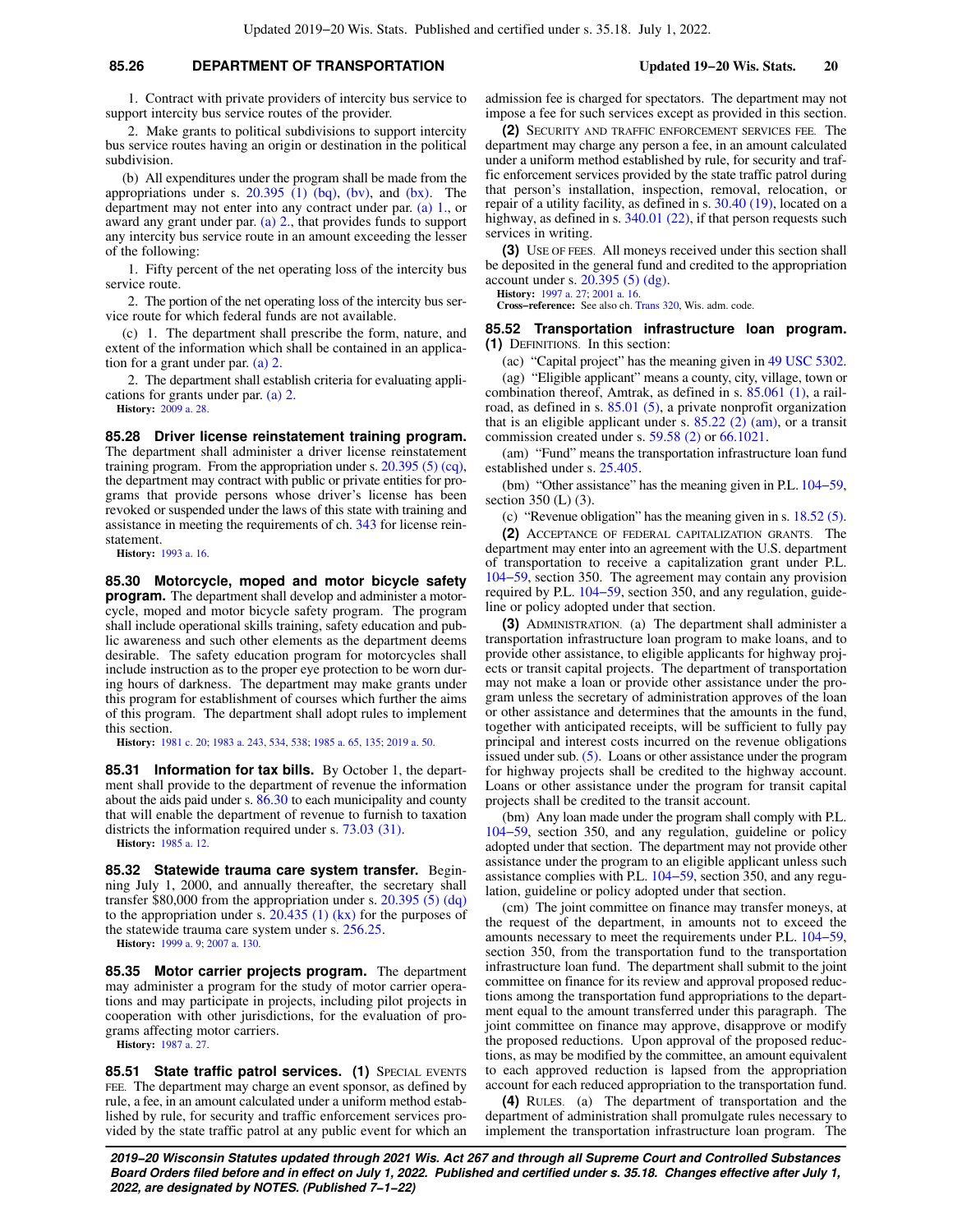# **85.26 DEPARTMENT OF TRANSPORTATION Updated 19−20 Wis. Stats. 20**

1. Contract with private providers of intercity bus service to support intercity bus service routes of the provider.

2. Make grants to political subdivisions to support intercity bus service routes having an origin or destination in the political subdivision.

(b) All expenditures under the program shall be made from the appropriations under s.  $20.395$  (1) (bq), [\(bv\),](https://docs.legis.wisconsin.gov/document/statutes/20.395(1)(bv)) and [\(bx\).](https://docs.legis.wisconsin.gov/document/statutes/20.395(1)(bx)) The department may not enter into any contract under par. [\(a\) 1.,](https://docs.legis.wisconsin.gov/document/statutes/85.26(2)(a)1.) or award any grant under par. [\(a\) 2.,](https://docs.legis.wisconsin.gov/document/statutes/85.26(2)(a)2.) that provides funds to support any intercity bus service route in an amount exceeding the lesser of the following:

1. Fifty percent of the net operating loss of the intercity bus service route.

2. The portion of the net operating loss of the intercity bus service route for which federal funds are not available.

(c) 1. The department shall prescribe the form, nature, and extent of the information which shall be contained in an application for a grant under par. [\(a\) 2.](https://docs.legis.wisconsin.gov/document/statutes/85.26(2)(a)2.)

2. The department shall establish criteria for evaluating applications for grants under par. [\(a\) 2.](https://docs.legis.wisconsin.gov/document/statutes/85.26(2)(a)2.)

**History:** [2009 a. 28.](https://docs.legis.wisconsin.gov/document/acts/2009/28)

**85.28 Driver license reinstatement training program.** The department shall administer a driver license reinstatement training program. From the appropriation under s.  $20.395(5)(cq)$ , the department may contract with public or private entities for programs that provide persons whose driver's license has been revoked or suspended under the laws of this state with training and assistance in meeting the requirements of ch. [343](https://docs.legis.wisconsin.gov/document/statutes/ch.%20343) for license reinstatement.

**History:** [1993 a. 16.](https://docs.legis.wisconsin.gov/document/acts/1993/16)

**85.30 Motorcycle, moped and motor bicycle safety program.** The department shall develop and administer a motorcycle, moped and motor bicycle safety program. The program shall include operational skills training, safety education and public awareness and such other elements as the department deems desirable. The safety education program for motorcycles shall include instruction as to the proper eye protection to be worn during hours of darkness. The department may make grants under this program for establishment of courses which further the aims of this program. The department shall adopt rules to implement this section.

**History:** [1981 c. 20;](https://docs.legis.wisconsin.gov/document/acts/1981/20) [1983 a. 243,](https://docs.legis.wisconsin.gov/document/acts/1983/243) [534,](https://docs.legis.wisconsin.gov/document/acts/1983/534) [538;](https://docs.legis.wisconsin.gov/document/acts/1983/538) [1985 a. 65,](https://docs.legis.wisconsin.gov/document/acts/1985/65) [135;](https://docs.legis.wisconsin.gov/document/acts/1985/135) [2019 a. 50](https://docs.legis.wisconsin.gov/document/acts/2019/50).

**85.31 Information for tax bills.** By October 1, the department shall provide to the department of revenue the information about the aids paid under s. [86.30](https://docs.legis.wisconsin.gov/document/statutes/86.30) to each municipality and county that will enable the department of revenue to furnish to taxation districts the information required under s. [73.03 \(31\)](https://docs.legis.wisconsin.gov/document/statutes/73.03(31)).

**History:** [1985 a. 12.](https://docs.legis.wisconsin.gov/document/acts/1985/12)

**85.32 Statewide trauma care system transfer.** Beginning July 1, 2000, and annually thereafter, the secretary shall transfer \$80,000 from the appropriation under s. [20.395 \(5\) \(dq\)](https://docs.legis.wisconsin.gov/document/statutes/20.395(5)(dq)) to the appropriation under s.  $20.435$  (1) (kx) for the purposes of the statewide trauma care system under s. [256.25](https://docs.legis.wisconsin.gov/document/statutes/256.25).

**History:** [1999 a. 9](https://docs.legis.wisconsin.gov/document/acts/1999/9); [2007 a. 130.](https://docs.legis.wisconsin.gov/document/acts/2007/130)

**85.35 Motor carrier projects program.** The department may administer a program for the study of motor carrier operations and may participate in projects, including pilot projects in cooperation with other jurisdictions, for the evaluation of programs affecting motor carriers. **History:** [1987 a. 27.](https://docs.legis.wisconsin.gov/document/acts/1987/27)

85.51 State traffic patrol services. (1) SPECIAL EVENTS FEE. The department may charge an event sponsor, as defined by rule, a fee, in an amount calculated under a uniform method established by rule, for security and traffic enforcement services provided by the state traffic patrol at any public event for which an admission fee is charged for spectators. The department may not impose a fee for such services except as provided in this section.

**(2)** SECURITY AND TRAFFIC ENFORCEMENT SERVICES FEE. The department may charge any person a fee, in an amount calculated under a uniform method established by rule, for security and traffic enforcement services provided by the state traffic patrol during that person's installation, inspection, removal, relocation, or repair of a utility facility, as defined in s. [30.40 \(19\),](https://docs.legis.wisconsin.gov/document/statutes/30.40(19)) located on a highway, as defined in s. [340.01 \(22\)](https://docs.legis.wisconsin.gov/document/statutes/340.01(22)), if that person requests such services in writing.

**(3)** USE OF FEES. All moneys received under this section shall be deposited in the general fund and credited to the appropriation account under s. [20.395 \(5\) \(dg\)](https://docs.legis.wisconsin.gov/document/statutes/20.395(5)(dg)).

**History:** [1997 a. 27](https://docs.legis.wisconsin.gov/document/acts/1997/27); [2001 a. 16](https://docs.legis.wisconsin.gov/document/acts/2001/16). **Cross−reference:** See also ch. [Trans 320](https://docs.legis.wisconsin.gov/document/administrativecode/ch.%20Trans%20320), Wis. adm. code.

**85.52 Transportation infrastructure loan program. (1)** DEFINITIONS. In this section:

(ac) "Capital project" has the meaning given in [49 USC 5302.](https://docs.legis.wisconsin.gov/document/usc/49%20USC%205302)

(ag) "Eligible applicant" means a county, city, village, town or combination thereof, Amtrak, as defined in s. [85.061 \(1\),](https://docs.legis.wisconsin.gov/document/statutes/85.061(1)) a railroad, as defined in s. [85.01 \(5\)](https://docs.legis.wisconsin.gov/document/statutes/85.01(5)), a private nonprofit organization that is an eligible applicant under s.  $85.22$  (2) (am), or a transit commission created under s. [59.58 \(2\)](https://docs.legis.wisconsin.gov/document/statutes/59.58(2)) or [66.1021](https://docs.legis.wisconsin.gov/document/statutes/66.1021).

(am) "Fund" means the transportation infrastructure loan fund established under s. [25.405](https://docs.legis.wisconsin.gov/document/statutes/25.405).

(bm) "Other assistance" has the meaning given in P.L. [104−59,](https://docs.legis.wisconsin.gov/document/publiclaw/104-59) section 350 (L) (3).

(c) "Revenue obligation" has the meaning given in s. [18.52 \(5\).](https://docs.legis.wisconsin.gov/document/statutes/18.52(5))

**(2)** ACCEPTANCE OF FEDERAL CAPITALIZATION GRANTS. The department may enter into an agreement with the U.S. department of transportation to receive a capitalization grant under P.L. [104−59](https://docs.legis.wisconsin.gov/document/publiclaw/104-59), section 350. The agreement may contain any provision required by P.L. [104−59](https://docs.legis.wisconsin.gov/document/publiclaw/104-59), section 350, and any regulation, guideline or policy adopted under that section.

**(3)** ADMINISTRATION. (a) The department shall administer a transportation infrastructure loan program to make loans, and to provide other assistance, to eligible applicants for highway projects or transit capital projects. The department of transportation may not make a loan or provide other assistance under the program unless the secretary of administration approves of the loan or other assistance and determines that the amounts in the fund, together with anticipated receipts, will be sufficient to fully pay principal and interest costs incurred on the revenue obligations issued under sub. [\(5\).](https://docs.legis.wisconsin.gov/document/statutes/85.52(5)) Loans or other assistance under the program for highway projects shall be credited to the highway account. Loans or other assistance under the program for transit capital projects shall be credited to the transit account.

(bm) Any loan made under the program shall comply with P.L. [104−59](https://docs.legis.wisconsin.gov/document/publiclaw/104-59), section 350, and any regulation, guideline or policy adopted under that section. The department may not provide other assistance under the program to an eligible applicant unless such assistance complies with P.L. [104−59,](https://docs.legis.wisconsin.gov/document/publiclaw/104-59) section 350, and any regulation, guideline or policy adopted under that section.

(cm) The joint committee on finance may transfer moneys, at the request of the department, in amounts not to exceed the amounts necessary to meet the requirements under P.L. [104−59,](https://docs.legis.wisconsin.gov/document/publiclaw/104-59) section 350, from the transportation fund to the transportation infrastructure loan fund. The department shall submit to the joint committee on finance for its review and approval proposed reductions among the transportation fund appropriations to the department equal to the amount transferred under this paragraph. The joint committee on finance may approve, disapprove or modify the proposed reductions. Upon approval of the proposed reductions, as may be modified by the committee, an amount equivalent to each approved reduction is lapsed from the appropriation account for each reduced appropriation to the transportation fund.

**(4)** RULES. (a) The department of transportation and the department of administration shall promulgate rules necessary to implement the transportation infrastructure loan program. The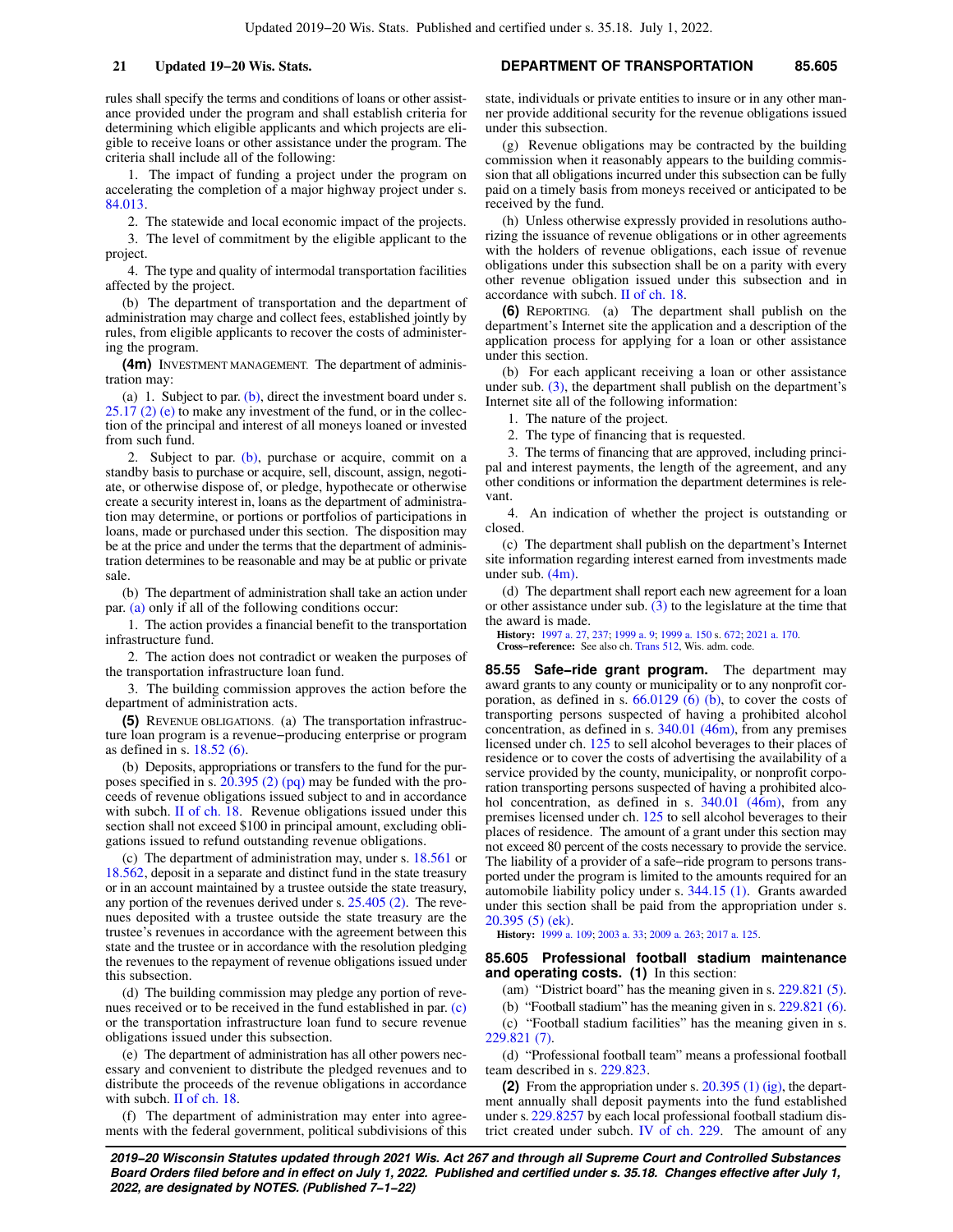rules shall specify the terms and conditions of loans or other assistance provided under the program and shall establish criteria for determining which eligible applicants and which projects are eligible to receive loans or other assistance under the program. The criteria shall include all of the following:

1. The impact of funding a project under the program on accelerating the completion of a major highway project under s. [84.013.](https://docs.legis.wisconsin.gov/document/statutes/84.013)

2. The statewide and local economic impact of the projects.

3. The level of commitment by the eligible applicant to the project.

4. The type and quality of intermodal transportation facilities affected by the project.

(b) The department of transportation and the department of administration may charge and collect fees, established jointly by rules, from eligible applicants to recover the costs of administering the program.

**(4m)** INVESTMENT MANAGEMENT. The department of administration may:

(a) 1. Subject to par.  $(b)$ , direct the investment board under s. [25.17 \(2\) \(e\)](https://docs.legis.wisconsin.gov/document/statutes/25.17(2)(e)) to make any investment of the fund, or in the collection of the principal and interest of all moneys loaned or invested from such fund.

2. Subject to par.  $(b)$ , purchase or acquire, commit on a standby basis to purchase or acquire, sell, discount, assign, negotiate, or otherwise dispose of, or pledge, hypothecate or otherwise create a security interest in, loans as the department of administration may determine, or portions or portfolios of participations in loans, made or purchased under this section. The disposition may be at the price and under the terms that the department of administration determines to be reasonable and may be at public or private sale.

(b) The department of administration shall take an action under par. [\(a\)](https://docs.legis.wisconsin.gov/document/statutes/85.52(4m)(a)) only if all of the following conditions occur:

1. The action provides a financial benefit to the transportation infrastructure fund.

2. The action does not contradict or weaken the purposes of the transportation infrastructure loan fund.

3. The building commission approves the action before the department of administration acts.

**(5)** REVENUE OBLIGATIONS. (a) The transportation infrastructure loan program is a revenue−producing enterprise or program as defined in s. [18.52 \(6\).](https://docs.legis.wisconsin.gov/document/statutes/18.52(6))

(b) Deposits, appropriations or transfers to the fund for the purposes specified in s.  $20.395(2)$  (pq) may be funded with the proceeds of revenue obligations issued subject to and in accordance with subch. [II of ch. 18.](https://docs.legis.wisconsin.gov/document/statutes/subch.%20II%20of%20ch.%2018) Revenue obligations issued under this section shall not exceed \$100 in principal amount, excluding obligations issued to refund outstanding revenue obligations.

(c) The department of administration may, under s. [18.561](https://docs.legis.wisconsin.gov/document/statutes/18.561) or [18.562,](https://docs.legis.wisconsin.gov/document/statutes/18.562) deposit in a separate and distinct fund in the state treasury or in an account maintained by a trustee outside the state treasury, any portion of the revenues derived under s. [25.405 \(2\).](https://docs.legis.wisconsin.gov/document/statutes/25.405(2)) The revenues deposited with a trustee outside the state treasury are the trustee's revenues in accordance with the agreement between this state and the trustee or in accordance with the resolution pledging the revenues to the repayment of revenue obligations issued under this subsection.

(d) The building commission may pledge any portion of revenues received or to be received in the fund established in par. [\(c\)](https://docs.legis.wisconsin.gov/document/statutes/85.52(5)(c)) or the transportation infrastructure loan fund to secure revenue obligations issued under this subsection.

(e) The department of administration has all other powers necessary and convenient to distribute the pledged revenues and to distribute the proceeds of the revenue obligations in accordance with subch. [II of ch. 18.](https://docs.legis.wisconsin.gov/document/statutes/subch.%20II%20of%20ch.%2018)

(f) The department of administration may enter into agreements with the federal government, political subdivisions of this

### **21 Updated 19−20 Wis. Stats. DEPARTMENT OF TRANSPORTATION 85.605**

state, individuals or private entities to insure or in any other manner provide additional security for the revenue obligations issued under this subsection.

(g) Revenue obligations may be contracted by the building commission when it reasonably appears to the building commission that all obligations incurred under this subsection can be fully paid on a timely basis from moneys received or anticipated to be received by the fund.

(h) Unless otherwise expressly provided in resolutions authorizing the issuance of revenue obligations or in other agreements with the holders of revenue obligations, each issue of revenue obligations under this subsection shall be on a parity with every other revenue obligation issued under this subsection and in accordance with subch. [II of ch. 18](https://docs.legis.wisconsin.gov/document/statutes/subch.%20II%20of%20ch.%2018).

**(6)** REPORTING. (a) The department shall publish on the department's Internet site the application and a description of the application process for applying for a loan or other assistance under this section.

(b) For each applicant receiving a loan or other assistance under sub. [\(3\),](https://docs.legis.wisconsin.gov/document/statutes/85.52(3)) the department shall publish on the department's Internet site all of the following information:

1. The nature of the project.

2. The type of financing that is requested.

3. The terms of financing that are approved, including principal and interest payments, the length of the agreement, and any other conditions or information the department determines is relevant.

4. An indication of whether the project is outstanding or closed.

(c) The department shall publish on the department's Internet site information regarding interest earned from investments made under sub. [\(4m\).](https://docs.legis.wisconsin.gov/document/statutes/85.52(4m))

(d) The department shall report each new agreement for a loan or other assistance under sub.  $(3)$  to the legislature at the time that the award is made.

**History:** [1997 a. 27](https://docs.legis.wisconsin.gov/document/acts/1997/27), [237](https://docs.legis.wisconsin.gov/document/acts/1997/237); [1999 a. 9;](https://docs.legis.wisconsin.gov/document/acts/1999/9) [1999 a. 150](https://docs.legis.wisconsin.gov/document/acts/1999/150) s. [672;](https://docs.legis.wisconsin.gov/document/acts/1999/150,%20s.%20672) [2021 a. 170.](https://docs.legis.wisconsin.gov/document/acts/2021/170)

**Cross−reference:** See also ch. [Trans 512](https://docs.legis.wisconsin.gov/document/administrativecode/ch.%20Trans%20512), Wis. adm. code.

**85.55 Safe−ride grant program.** The department may award grants to any county or municipality or to any nonprofit corporation, as defined in s.  $66.0129(6)$  (b), to cover the costs of transporting persons suspected of having a prohibited alcohol concentration, as defined in s. [340.01 \(46m\)](https://docs.legis.wisconsin.gov/document/statutes/340.01(46m)), from any premises licensed under ch. [125](https://docs.legis.wisconsin.gov/document/statutes/ch.%20125) to sell alcohol beverages to their places of residence or to cover the costs of advertising the availability of a service provided by the county, municipality, or nonprofit corporation transporting persons suspected of having a prohibited alco-hol concentration, as defined in s. [340.01 \(46m\)](https://docs.legis.wisconsin.gov/document/statutes/340.01(46m)), from any premises licensed under ch. [125](https://docs.legis.wisconsin.gov/document/statutes/ch.%20125) to sell alcohol beverages to their places of residence. The amount of a grant under this section may not exceed 80 percent of the costs necessary to provide the service. The liability of a provider of a safe−ride program to persons transported under the program is limited to the amounts required for an automobile liability policy under s. [344.15 \(1\).](https://docs.legis.wisconsin.gov/document/statutes/344.15(1)) Grants awarded under this section shall be paid from the appropriation under s. [20.395 \(5\) \(ek\).](https://docs.legis.wisconsin.gov/document/statutes/20.395(5)(ek))

**History:** [1999 a. 109;](https://docs.legis.wisconsin.gov/document/acts/1999/109) [2003 a. 33;](https://docs.legis.wisconsin.gov/document/acts/2003/33) [2009 a. 263](https://docs.legis.wisconsin.gov/document/acts/2009/263); [2017 a. 125](https://docs.legis.wisconsin.gov/document/acts/2017/125).

#### **85.605 Professional football stadium maintenance and operating costs. (1)** In this section:

(am) "District board" has the meaning given in s. [229.821 \(5\).](https://docs.legis.wisconsin.gov/document/statutes/229.821(5))

(b) "Football stadium" has the meaning given in s. [229.821 \(6\).](https://docs.legis.wisconsin.gov/document/statutes/229.821(6))

(c) "Football stadium facilities" has the meaning given in s. [229.821 \(7\)](https://docs.legis.wisconsin.gov/document/statutes/229.821(7)).

(d) "Professional football team" means a professional football team described in s. [229.823.](https://docs.legis.wisconsin.gov/document/statutes/229.823)

**(2)** From the appropriation under s. [20.395 \(1\) \(ig\),](https://docs.legis.wisconsin.gov/document/statutes/20.395(1)(ig)) the department annually shall deposit payments into the fund established under s. [229.8257](https://docs.legis.wisconsin.gov/document/statutes/229.8257) by each local professional football stadium district created under subch. [IV of ch. 229.](https://docs.legis.wisconsin.gov/document/statutes/subch.%20IV%20of%20ch.%20229) The amount of any